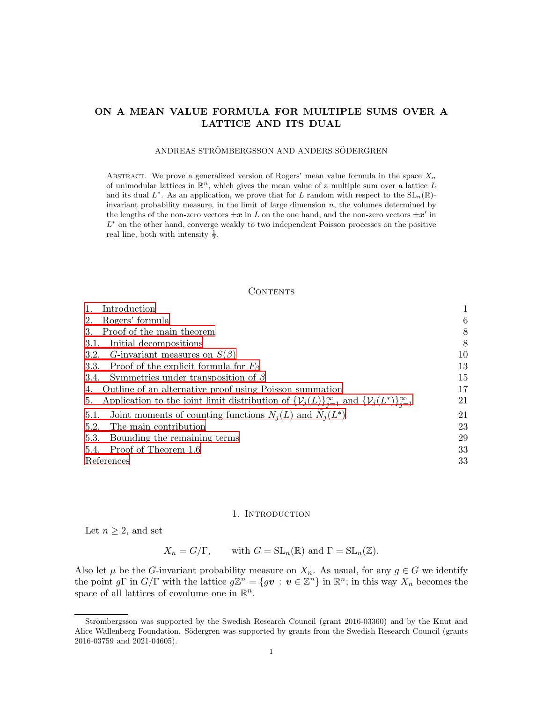# ON A MEAN VALUE FORMULA FOR MULTIPLE SUMS OVER A LATTICE AND ITS DUAL

## ANDREAS STRÖMBERGSSON AND ANDERS SÖDERGREN

ABSTRACT. We prove a generalized version of Rogers' mean value formula in the space  $X_n$ of unimodular lattices in  $\mathbb{R}^n$ , which gives the mean value of a multiple sum over a lattice L and its dual  $L^*$ . As an application, we prove that for L random with respect to the  $SL_n(\mathbb{R})$ invariant probability measure, in the limit of large dimension n, the volumes determined by the lengths of the non-zero vectors  $\pm x$  in L on the one hand, and the non-zero vectors  $\pm x'$  in L<sup>\*</sup> on the other hand, converge weakly to two independent Poisson processes on the positive real line, both with intensity  $\frac{1}{2}$ .

### **CONTENTS**

| Introduction                                                                                                                           |    |
|----------------------------------------------------------------------------------------------------------------------------------------|----|
| Rogers' formula<br>2.                                                                                                                  | 6  |
| Proof of the main theorem<br>3.                                                                                                        | 8  |
| Initial decompositions<br>3.1.                                                                                                         | 8  |
| G-invariant measures on $S(\beta)$<br>3.2.                                                                                             | 10 |
| 3.3. Proof of the explicit formula for $F_\beta$                                                                                       | 13 |
| Symmetries under transposition of $\beta$<br>3.4.                                                                                      | 15 |
| 4. Outline of an alternative proof using Poisson summation                                                                             | 17 |
| Application to the joint limit distribution of $\{\mathcal{V}_j(L)\}_{j=1}^{\infty}$ and $\{\mathcal{V}_j(L^*)\}_{j=1}^{\infty}$<br>5. | 21 |
| Joint moments of counting functions $N_i(L)$ and $N_i(L^*)$<br>5.1.                                                                    | 21 |
| The main contribution<br>5.2.                                                                                                          | 23 |
| Bounding the remaining terms<br>5.3.                                                                                                   | 29 |
| Proof of Theorem 1.6<br>5.4.                                                                                                           | 33 |
| References                                                                                                                             | 33 |

### 1. INTRODUCTION

<span id="page-0-0"></span>Let  $n \geq 2$ , and set

 $X_n = G/\Gamma$ , with  $G = SL_n(\mathbb{R})$  and  $\Gamma = SL_n(\mathbb{Z})$ .

Also let  $\mu$  be the G-invariant probability measure on  $X_n$ . As usual, for any  $g \in G$  we identify the point  $g\Gamma$  in  $G/\Gamma$  with the lattice  $g\mathbb{Z}^n = \{gv : v \in \mathbb{Z}^n\}$  in  $\mathbb{R}^n$ ; in this way  $X_n$  becomes the space of all lattices of covolume one in  $\mathbb{R}^n$ .

Strömbergsson was supported by the Swedish Research Council (grant 2016-03360) and by the Knut and Alice Wallenberg Foundation. Södergren was supported by grants from the Swedish Research Council (grants 2016-03759 and 2021-04605).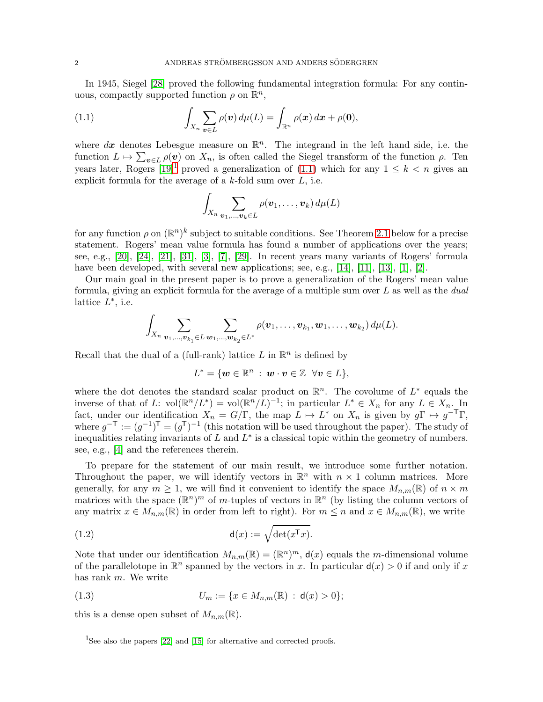In 1945, Siegel [\[28\]](#page-33-0) proved the following fundamental integration formula: For any continuous, compactly supported function  $\rho$  on  $\mathbb{R}^n$ ,

<span id="page-1-1"></span>(1.1) 
$$
\int_{X_n} \sum_{\mathbf{v}\in L} \rho(\mathbf{v}) d\mu(L) = \int_{\mathbb{R}^n} \rho(\mathbf{x}) d\mathbf{x} + \rho(\mathbf{0}),
$$

where  $dx$  denotes Lebesgue measure on  $\mathbb{R}^n$ . The integrand in the left hand side, i.e. the function  $L \mapsto \sum_{v \in L} \rho(v)$  on  $X_n$ , is often called the Siegel transform of the function  $\rho$ . Ten years later, Rogers  $[19]$  $[19]$  $[19]$ <sup>1</sup> proved a generalization of [\(1.1\)](#page-1-1) which for any  $1 \leq k < n$  gives an explicit formula for the average of a  $k$ -fold sum over  $L$ , i.e.

$$
\int_{X_n} \sum_{\boldsymbol{v}_1,\ldots,\boldsymbol{v}_k\in L} \rho(\boldsymbol{v}_1,\ldots,\boldsymbol{v}_k) d\mu(L)
$$

for any function  $\rho$  on  $(\mathbb{R}^n)^k$  subject to suitable conditions. See Theorem [2.1](#page-5-1) below for a precise statement. Rogers' mean value formula has found a number of applications over the years; see, e.g., [\[20\]](#page-33-2), [\[24\]](#page-33-3), [\[21\]](#page-33-4), [\[31\]](#page-33-5), [\[3\]](#page-32-2), [\[7\]](#page-33-6), [\[29\]](#page-33-7). In recent years many variants of Rogers' formula have been developed, with several new applications; see, e.g., [\[14\]](#page-33-8), [\[11\]](#page-33-9), [\[13\]](#page-33-10), [\[1\]](#page-32-3), [\[2\]](#page-32-4).

Our main goal in the present paper is to prove a generalization of the Rogers' mean value formula, giving an explicit formula for the average of a multiple sum over  $L$  as well as the *dual* lattice  $L^*$ , i.e.

$$
\int_{X_n} \sum_{\bm{v}_1,...,\bm{v}_{k_1} \in L} \sum_{\bm{w}_1,...,\bm{w}_{k_2} \in L^*} \rho(\bm{v}_1,\ldots,\bm{v}_{k_1},\bm{w}_1,\ldots,\bm{w}_{k_2}) d\mu(L).
$$

Recall that the dual of a (full-rank) lattice  $L$  in  $\mathbb{R}^n$  is defined by

$$
L^* = \{ \mathbf{w} \in \mathbb{R}^n \; : \; \mathbf{w} \cdot \mathbf{v} \in \mathbb{Z} \; \; \forall \mathbf{v} \in L \},
$$

where the dot denotes the standard scalar product on  $\mathbb{R}^n$ . The covolume of  $L^*$  equals the inverse of that of L:  $vol(\mathbb{R}^n/L^*) = vol(\mathbb{R}^n/L)^{-1}$ ; in particular  $L^* \in X_n$  for any  $L \in X_n$ . In fact, under our identification  $X_n = G/\Gamma$ , the map  $L \mapsto L^*$  on  $X_n$  is given by  $g\Gamma \mapsto g^{-T}\Gamma$ , where  $g^{-\mathsf{T}} := (g^{-1})^{\mathsf{T}} = (g^{\mathsf{T}})^{-1}$  (this notation will be used throughout the paper). The study of inequalities relating invariants of  $L$  and  $L^*$  is a classical topic within the geometry of numbers. see, e.g., [\[4\]](#page-32-5) and the references therein.

To prepare for the statement of our main result, we introduce some further notation. Throughout the paper, we will identify vectors in  $\mathbb{R}^n$  with  $n \times 1$  column matrices. More generally, for any  $m \geq 1$ , we will find it convenient to identify the space  $M_{n,m}(\mathbb{R})$  of  $n \times m$ matrices with the space  $(\mathbb{R}^n)^m$  of m-tuples of vectors in  $\mathbb{R}^n$  (by listing the column vectors of any matrix  $x \in M_{n,m}(\mathbb{R})$  in order from left to right). For  $m \leq n$  and  $x \in M_{n,m}(\mathbb{R})$ , we write

(1.2) 
$$
\mathsf{d}(x) := \sqrt{\det(x^{\mathsf{T}} x)}.
$$

Note that under our identification  $M_{n,m}(\mathbb{R}) = (\mathbb{R}^n)^m$ ,  $\mathsf{d}(x)$  equals the *m*-dimensional volume of the parallelotope in  $\mathbb{R}^n$  spanned by the vectors in x. In particular  $d(x) > 0$  if and only if x has rank m. We write

(1.3) 
$$
U_m := \{x \in M_{n,m}(\mathbb{R}) : \mathsf{d}(x) > 0\};
$$

this is a dense open subset of  $M_{n,m}(\mathbb{R})$ .

<span id="page-1-0"></span><sup>&</sup>lt;sup>1</sup>See also the papers [\[22\]](#page-33-11) and [\[15\]](#page-33-12) for alternative and corrected proofs.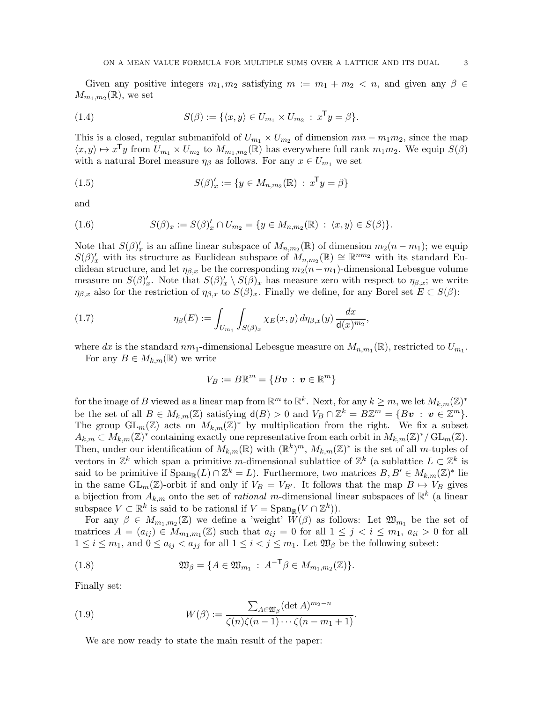Given any positive integers  $m_1, m_2$  satisfying  $m := m_1 + m_2 < n$ , and given any  $\beta \in$  $M_{m_1,m_2}(\mathbb{R})$ , we set

(1.4) 
$$
S(\beta) := \{ \langle x, y \rangle \in U_{m_1} \times U_{m_2} : x^{\mathsf{T}} y = \beta \}.
$$

This is a closed, regular submanifold of  $U_{m_1} \times U_{m_2}$  of dimension  $mn - m_1m_2$ , since the map  $\langle x, y \rangle \mapsto x^{\mathsf{T}} y$  from  $U_{m_1} \times U_{m_2}$  to  $M_{m_1, m_2}(\mathbb{R})$  has everywhere full rank  $m_1 m_2$ . We equip  $S(\beta)$ with a natural Borel measure  $\eta_\beta$  as follows. For any  $x \in U_{m_1}$  we set

(1.5) 
$$
S(\beta)'_x := \{ y \in M_{n,m_2}(\mathbb{R}) : x^{\mathsf{T}} y = \beta \}
$$

and

(1.6) 
$$
S(\beta)_x := S(\beta)'_x \cap U_{m_2} = \{y \in M_{n,m_2}(\mathbb{R}) : \langle x, y \rangle \in S(\beta)\}.
$$

Note that  $S(\beta)'_x$  is an affine linear subspace of  $M_{n,m_2}(\mathbb{R})$  of dimension  $m_2(n-m_1)$ ; we equip  $S(\beta)'_x$  with its structure as Euclidean subspace of  $M_{n,m_2}(\mathbb{R}) \cong \mathbb{R}^{nm_2}$  with its standard Euclidean structure, and let  $\eta_{\beta,x}$  be the corresponding  $m_2(n-m_1)$ -dimensional Lebesgue volume measure on  $S(\beta)'_x$ . Note that  $S(\beta)'_x \setminus S(\beta)_x$  has measure zero with respect to  $\eta_{\beta,x}$ ; we write  $\eta_{\beta,x}$  also for the restriction of  $\eta_{\beta,x}$  to  $S(\beta)_x$ . Finally we define, for any Borel set  $E \subset S(\beta)$ :

<span id="page-2-0"></span>(1.7) 
$$
\eta_{\beta}(E) := \int_{U_{m_1}} \int_{S(\beta)_x} \chi_E(x, y) d\eta_{\beta, x}(y) \frac{dx}{\mathsf{d}(x)^{m_2}},
$$

where dx is the standard  $nm_1$ -dimensional Lebesgue measure on  $M_{n,m_1}(\mathbb{R})$ , restricted to  $U_{m_1}$ . For any  $B \in M_{k,m}(\mathbb{R})$  we write

$$
V_B := B\mathbb{R}^m = \{B\mathbf{v} \,:\, \mathbf{v} \in \mathbb{R}^m\}
$$

for the image of B viewed as a linear map from  $\mathbb{R}^m$  to  $\mathbb{R}^k$ . Next, for any  $k \geq m$ , we let  $M_{k,m}(\mathbb{Z})^*$ be the set of all  $B \in M_{k,m}(\mathbb{Z})$  satisfying  $d(B) > 0$  and  $V_B \cap \mathbb{Z}^k = B\mathbb{Z}^m = \{Bv : v \in \mathbb{Z}^m\}.$ The group  $GL_m(\mathbb{Z})$  acts on  $M_{k,m}(\mathbb{Z})^*$  by multiplication from the right. We fix a subset  $A_{k,m} \subset M_{k,m}(\mathbb{Z})^*$  containing exactly one representative from each orbit in  $M_{k,m}(\mathbb{Z})^*/\operatorname{GL}_m(\mathbb{Z})$ . Then, under our identification of  $M_{k,m}(\mathbb{R})$  with  $(\mathbb{R}^k)^m$ ,  $M_{k,m}(\mathbb{Z})^*$  is the set of all m-tuples of vectors in  $\mathbb{Z}^k$  which span a primitive m-dimensional sublattice of  $\mathbb{Z}^k$  (a sublattice  $L \subset \mathbb{Z}^k$  is said to be primitive if  $\text{Span}_{\mathbb{R}}(L) \cap \mathbb{Z}^k = L$ . Furthermore, two matrices  $B, B' \in M_{k,m}(\mathbb{Z})^*$  lie in the same GL<sub>m</sub>(Z)-orbit if and only if  $V_B = V_{B'}$ . It follows that the map  $B \mapsto V_B$  gives a bijection from  $A_{k,m}$  onto the set of *rational m*-dimensional linear subspaces of  $\mathbb{R}^k$  (a linear subspace  $V \subset \mathbb{R}^k$  is said to be rational if  $V = \text{Span}_{\mathbb{R}}(V \cap \mathbb{Z}^k)$ .

For any  $\beta \in M_{m_1,m_2}(\mathbb{Z})$  we define a 'weight'  $\widetilde{W}(\beta)$  as follows: Let  $\mathfrak{W}_{m_1}$  be the set of matrices  $A = (a_{ij}) \in M_{m_1,m_1}(\mathbb{Z})$  such that  $a_{ij} = 0$  for all  $1 \leq j \leq i \leq m_1$ ,  $a_{ii} > 0$  for all  $1 \leq i \leq m_1$ , and  $0 \leq a_{ij} < a_{jj}$  for all  $1 \leq i < j \leq m_1$ . Let  $\mathfrak{W}_{\beta}$  be the following subset:

<span id="page-2-1"></span>(1.8) 
$$
\mathfrak{W}_{\beta} = \{ A \in \mathfrak{W}_{m_1} : A^{-\mathsf{T}}\beta \in M_{m_1,m_2}(\mathbb{Z}) \}.
$$

Finally set:

<span id="page-2-2"></span>(1.9) 
$$
W(\beta) := \frac{\sum_{A \in \mathfrak{W}_{\beta}} (\det A)^{m_2 - n}}{\zeta(n)\zeta(n - 1) \cdots \zeta(n - m_1 + 1)}.
$$

We are now ready to state the main result of the paper: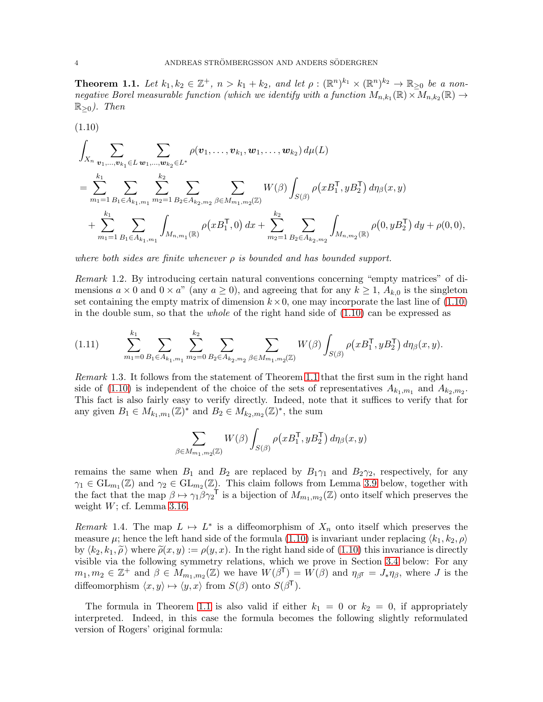<span id="page-3-1"></span>**Theorem 1.1.** Let  $k_1, k_2 \in \mathbb{Z}^+$ ,  $n > k_1 + k_2$ , and let  $\rho : (\mathbb{R}^n)^{k_1} \times (\mathbb{R}^n)^{k_2} \to \mathbb{R}_{\geq 0}$  be a nonnegative Borel measurable function (which we identify with a function  $M_{n,k_1}(\mathbb{R}) \times M_{n,k_2}(\mathbb{R}) \to$  $\mathbb{R}_{\geq 0}$ ). Then

<span id="page-3-0"></span>
$$
(1.10)
$$

$$
\int_{X_n} \sum_{\mathbf{v}_1,\dots,\mathbf{v}_{k_1} \in L} \sum_{\mathbf{w}_1,\dots,\mathbf{w}_{k_2} \in L^*} \rho(\mathbf{v}_1,\dots,\mathbf{v}_{k_1},\mathbf{w}_1,\dots,\mathbf{w}_{k_2}) d\mu(L)
$$
\n
$$
= \sum_{m_1=1}^{k_1} \sum_{B_1 \in A_{k_1,m_1}} \sum_{m_2=1}^{k_2} \sum_{B_2 \in A_{k_2,m_2}} \sum_{\beta \in M_{m_1,m_2}(\mathbb{Z})} W(\beta) \int_{S(\beta)} \rho(xB_1^{\mathsf{T}}, yB_2^{\mathsf{T}}) d\eta_{\beta}(x,y)
$$
\n
$$
+ \sum_{m_1=1}^{k_1} \sum_{B_1 \in A_{k_1,m_1}} \int_{M_{n,m_1}(\mathbb{R})} \rho(xB_1^{\mathsf{T}}, 0) dx + \sum_{m_2=1}^{k_2} \sum_{B_2 \in A_{k_2,m_2}} \int_{M_{n,m_2}(\mathbb{R})} \rho(0, yB_2^{\mathsf{T}}) dy + \rho(0, 0),
$$

where both sides are finite whenever  $\rho$  is bounded and has bounded support.

<span id="page-3-3"></span>Remark 1.2. By introducing certain natural conventions concerning "empty matrices" of dimensions  $a \times 0$  and  $0 \times a$ " (any  $a \ge 0$ ), and agreeing that for any  $k \ge 1$ ,  $A_{k,0}$  is the singleton set containing the empty matrix of dimension  $k \times 0$ , one may incorporate the last line of  $(1.10)$ in the double sum, so that the *whole* of the right hand side of  $(1.10)$  can be expressed as

$$
(1.11) \qquad \sum_{m_1=0}^{k_1} \sum_{B_1 \in A_{k_1,m_1}} \sum_{m_2=0}^{k_2} \sum_{B_2 \in A_{k_2,m_2}} \sum_{\beta \in M_{m_1,m_2}(\mathbb{Z})} W(\beta) \int_{S(\beta)} \rho(xB_1^{\mathsf{T}}, yB_2^{\mathsf{T}}) d\eta_{\beta}(x,y).
$$

Remark 1.3. It follows from the statement of Theorem [1.1](#page-3-1) that the first sum in the right hand side of [\(1.10\)](#page-3-0) is independent of the choice of the sets of representatives  $A_{k_1,m_1}$  and  $A_{k_2,m_2}$ . This fact is also fairly easy to verify directly. Indeed, note that it suffices to verify that for any given  $B_1 \in M_{k_1,m_1}(\mathbb{Z})^*$  and  $B_2 \in M_{k_2,m_2}(\mathbb{Z})^*$ , the sum

$$
\sum_{\beta \in M_{m_1, m_2}(\mathbb{Z})} W(\beta) \int_{S(\beta)} \rho(xB_1^\mathsf{T}, yB_2^\mathsf{T}) d\eta_\beta(x, y)
$$

remains the same when  $B_1$  and  $B_2$  are replaced by  $B_1\gamma_1$  and  $B_2\gamma_2$ , respectively, for any  $\gamma_1 \in GL_{m_1}(\mathbb{Z})$  and  $\gamma_2 \in GL_{m_2}(\mathbb{Z})$ . This claim follows from Lemma [3.9](#page-11-0) below, together with the fact that the map  $\beta \mapsto \gamma_1 \beta \gamma_2^{-1}$  is a bijection of  $M_{m_1,m_2}(\mathbb{Z})$  onto itself which preserves the weight  $W$ ; cf. Lemma [3.16.](#page-15-0)

<span id="page-3-2"></span>Remark 1.4. The map  $L \mapsto L^*$  is a diffeomorphism of  $X_n$  onto itself which preserves the measure  $\mu$ ; hence the left hand side of the formula [\(1.10\)](#page-3-0) is invariant under replacing  $\langle k_1, k_2, \rho \rangle$ by  $\langle k_2, k_1, \tilde{\rho} \rangle$  where  $\tilde{\rho}(x, y) := \rho(y, x)$ . In the right hand side of [\(1.10\)](#page-3-0) this invariance is directly visible via the following symmetry relations, which we prove in Section [3.4](#page-14-0) below: For any  $m_1, m_2 \in \mathbb{Z}^+$  and  $\beta \in M_{m_1,m_2}(\mathbb{Z})$  we have  $W(\beta^{\mathsf{T}}) = W(\beta)$  and  $\eta_{\beta^{\mathsf{T}}} = J_*\eta_{\beta}$ , where J is the diffeomorphism  $\langle x, y \rangle \mapsto \langle y, x \rangle$  from  $S(\beta)$  onto  $S(\beta^{\mathsf{T}})$ .

The formula in Theorem [1.1](#page-3-1) is also valid if either  $k_1 = 0$  or  $k_2 = 0$ , if appropriately interpreted. Indeed, in this case the formula becomes the following slightly reformulated version of Rogers' original formula: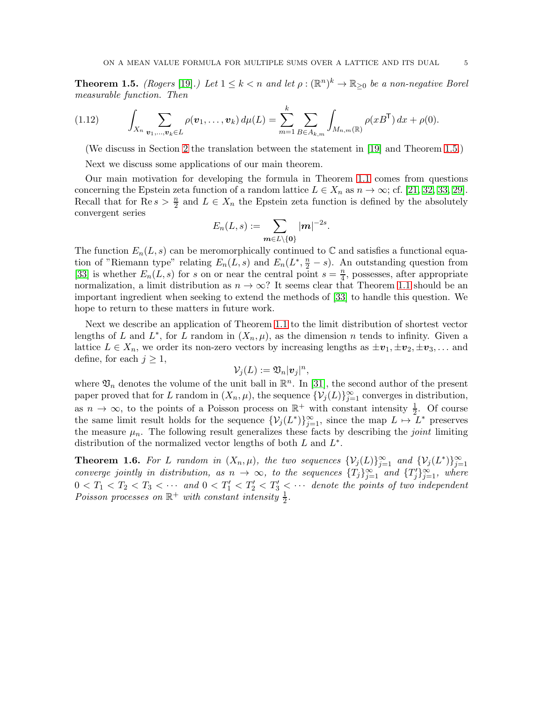<span id="page-4-0"></span>**Theorem 1.5.** (Rogers [\[19\]](#page-33-1).) Let  $1 \leq k < n$  and let  $\rho : (\mathbb{R}^n)^k \to \mathbb{R}_{\geq 0}$  be a non-negative Borel measurable function. Then

<span id="page-4-1"></span>
$$
(1.12) \qquad \int_{X_n} \sum_{\mathbf{v}_1,\dots,\mathbf{v}_k \in L} \rho(\mathbf{v}_1,\dots,\mathbf{v}_k) \, d\mu(L) = \sum_{m=1}^k \sum_{B \in A_{k,m}} \int_{M_{n,m}(\mathbb{R})} \rho(xB^{\mathsf{T}}) \, dx + \rho(0).
$$

(We discuss in Section [2](#page-5-0) the translation between the statement in [\[19\]](#page-33-1) and Theorem [1.5.](#page-4-0))

Next we discuss some applications of our main theorem.

Our main motivation for developing the formula in Theorem [1.1](#page-3-1) comes from questions concerning the Epstein zeta function of a random lattice  $L \in X_n$  as  $n \to \infty$ ; cf. [\[21,](#page-33-4) [32,](#page-33-13) [33,](#page-33-14) [29\]](#page-33-7). Recall that for  $\text{Re } s > \frac{n}{2}$  and  $L \in X_n$  the Epstein zeta function is defined by the absolutely convergent series

$$
E_n(L,s):=\sum_{\boldsymbol{m}\in L\setminus\{\boldsymbol{0}\}}|\boldsymbol{m}|^{-2s}.
$$

The function  $E_n(L, s)$  can be meromorphically continued to C and satisfies a functional equation of "Riemann type" relating  $E_n(L, s)$  and  $E_n(L^*, \frac{n}{2} - s)$ . An outstanding question from [\[33\]](#page-33-14) is whether  $E_n(L, s)$  for s on or near the central point  $s = \frac{n}{4}$  $\frac{n}{4}$ , possesses, after appropriate normalization, a limit distribution as  $n \to \infty$ ? It seems clear that Theorem [1.1](#page-3-1) should be an important ingredient when seeking to extend the methods of [\[33\]](#page-33-14) to handle this question. We hope to return to these matters in future work.

Next we describe an application of Theorem [1.1](#page-3-1) to the limit distribution of shortest vector lengths of L and  $L^*$ , for L random in  $(X_n, \mu)$ , as the dimension n tends to infinity. Given a lattice  $L \in X_n$ , we order its non-zero vectors by increasing lengths as  $\pm v_1, \pm v_2, \pm v_3, \ldots$  and define, for each  $j \geq 1$ ,

$$
\mathcal{V}_j(L):=\mathfrak{V}_n|\boldsymbol{v}_j|^n,
$$

where  $\mathfrak{V}_n$  denotes the volume of the unit ball in  $\mathbb{R}^n$ . In [\[31\]](#page-33-5), the second author of the present paper proved that for L random in  $(X_n, \mu)$ , the sequence  $\{V_j(L)\}_{j=1}^{\infty}$  converges in distribution, as  $n \to \infty$ , to the points of a Poisson process on  $\mathbb{R}^+$  with constant intensity  $\frac{1}{2}$ . Of course the same limit result holds for the sequence  $\{\mathcal{V}_j(L^*)\}_{j=1}^{\infty}$ , since the map  $L \mapsto L^*$  preserves the measure  $\mu_n$ . The following result generalizes these facts by describing the *joint* limiting distribution of the normalized vector lengths of both  $L$  and  $L^*$ .

<span id="page-4-2"></span>**Theorem 1.6.** For L random in  $(X_n, \mu)$ , the two sequences  $\{\mathcal{V}_j(L)\}_{j=1}^{\infty}$  and  $\{\mathcal{V}_j(L^*)\}_{j=1}^{\infty}$ converge jointly in distribution, as  $n \to \infty$ , to the sequences  $\{T_j\}_{j=1}^{\infty}$  and  $\{T'_j\}_{j=1}^{\infty}$ , where  $0 < T_1 < T_2 < T_3 < \cdots$  and  $0 < T'_1 < T'_2 < T'_3 < \cdots$  denote the points of two independent Poisson processes on  $\mathbb{R}^+$  with constant intensity  $\frac{1}{2}$ .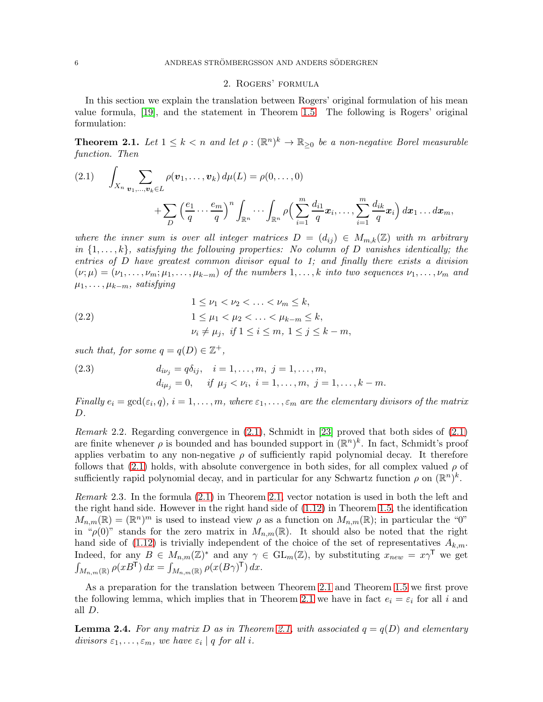### 2. Rogers' formula

<span id="page-5-0"></span>In this section we explain the translation between Rogers' original formulation of his mean value formula, [\[19\]](#page-33-1), and the statement in Theorem [1.5.](#page-4-0) The following is Rogers' original formulation:

<span id="page-5-1"></span>**Theorem 2.1.** Let  $1 \leq k < n$  and let  $\rho : (\mathbb{R}^n)^k \to \mathbb{R}_{\geq 0}$  be a non-negative Borel measurable function. Then

<span id="page-5-2"></span>
$$
(2.1) \qquad \int_{X_n} \sum_{\mathbf{v}_1,\dots,\mathbf{v}_k \in L} \rho(\mathbf{v}_1,\dots,\mathbf{v}_k) d\mu(L) = \rho(0,\dots,0) + \sum_D \left(\frac{e_1}{q} \cdots \frac{e_m}{q}\right)^n \int_{\mathbb{R}^n} \cdots \int_{\mathbb{R}^n} \rho\left(\sum_{i=1}^m \frac{d_{i1}}{q} x_i,\dots,\sum_{i=1}^m \frac{d_{ik}}{q} x_i\right) dx_1 \dots dx_m,
$$

where the inner sum is over all integer matrices  $D = (d_{ij}) \in M_{m,k}(\mathbb{Z})$  with m arbitrary in  $\{1,\ldots,k\}$ , satisfying the following properties: No column of D vanishes identically; the entries of D have greatest common divisor equal to 1; and finally there exists a division  $(\nu;\mu)=(\nu_1,\ldots,\nu_m;\mu_1,\ldots,\mu_{k-m})$  of the numbers  $1,\ldots,k$  into two sequences  $\nu_1,\ldots,\nu_m$  and  $\mu_1, \ldots, \mu_{k-m}$ , satisfying

(2.2) 
$$
1 \leq \nu_1 < \nu_2 < \ldots < \nu_m \leq k, 1 \leq \mu_1 < \mu_2 < \ldots < \mu_{k-m} \leq k, \nu_i \neq \mu_j, \text{ if } 1 \leq i \leq m, 1 \leq j \leq k-m,
$$

such that, for some  $q = q(D) \in \mathbb{Z}^+$ ,

(2.3) 
$$
d_{i\nu_j} = q\delta_{ij}, \quad i = 1, ..., m, \ j = 1, ..., m, \n d_{i\mu_j} = 0, \quad if \ \mu_j < \nu_i, \ i = 1, ..., m, \ j = 1, ..., k - m.
$$

Finally  $e_i = \gcd(\varepsilon_i, q), i = 1, \ldots, m$ , where  $\varepsilon_1, \ldots, \varepsilon_m$  are the elementary divisors of the matrix D.

<span id="page-5-4"></span>*Remark* 2.2. Regarding convergence in  $(2.1)$ , Schmidt in [\[23\]](#page-33-15) proved that both sides of  $(2.1)$ are finite whenever  $\rho$  is bounded and has bounded support in  $(\mathbb{R}^n)^k$ . In fact, Schmidt's proof applies verbatim to any non-negative  $\rho$  of sufficiently rapid polynomial decay. It therefore follows that  $(2.1)$  holds, with absolute convergence in both sides, for all complex valued  $\rho$  of sufficiently rapid polynomial decay, and in particular for any Schwartz function  $\rho$  on  $(\mathbb{R}^n)^k$ .

Remark 2.3. In the formula [\(2.1\)](#page-5-2) in Theorem [2.1,](#page-5-1) vector notation is used in both the left and the right hand side. However in the right hand side of [\(1.12\)](#page-4-1) in Theorem [1.5,](#page-4-0) the identification  $M_{n,m}(\mathbb{R}) = (\mathbb{R}^n)^m$  is used to instead view  $\rho$  as a function on  $M_{n,m}(\mathbb{R})$ ; in particular the "0" in " $\rho(0)$ " stands for the zero matrix in  $M_{n,m}(\mathbb{R})$ . It should also be noted that the right hand side of [\(1.12\)](#page-4-1) is trivially independent of the choice of the set of representatives  $A_{k,m}$ . Indeed, for any  $B \in M_{n,m}(\mathbb{Z})^*$  and any  $\gamma \in GL_m(\mathbb{Z})$ , by substituting  $x_{new} = x\gamma^{\mathsf{T}}$  we get  $\int_{M_{n,m}(\mathbb{R})} \rho(xB^{\mathsf{T}}) dx = \int_{M_{n,m}(\mathbb{R})} \rho(x(B\gamma)^{\mathsf{T}}) dx.$ 

As a preparation for the translation between Theorem [2.1](#page-5-1) and Theorem [1.5](#page-4-0) we first prove the following lemma, which implies that in Theorem [2.1](#page-5-1) we have in fact  $e_i = \varepsilon_i$  for all i and all D.

<span id="page-5-3"></span>**Lemma 2.4.** For any matrix D as in Theorem [2.1,](#page-5-1) with associated  $q = q(D)$  and elementary divisors  $\varepsilon_1, \ldots, \varepsilon_m$ , we have  $\varepsilon_i | q$  for all i.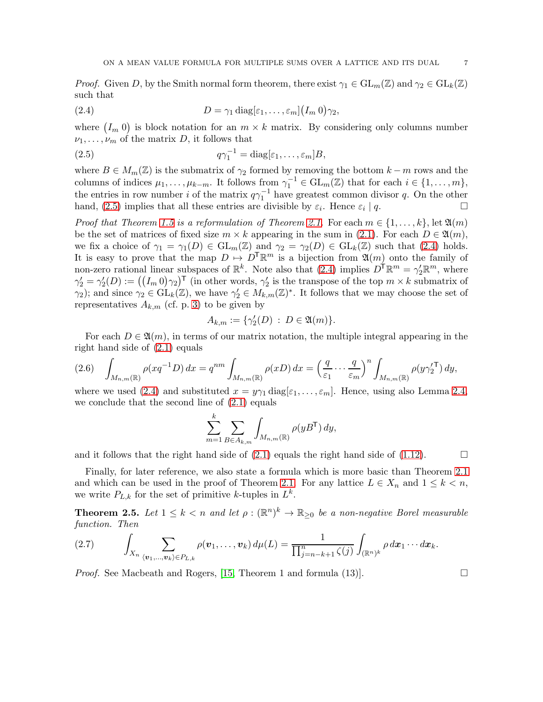*Proof.* Given D, by the Smith normal form theorem, there exist  $\gamma_1 \in GL_m(\mathbb{Z})$  and  $\gamma_2 \in GL_k(\mathbb{Z})$ such that

<span id="page-6-1"></span>(2.4) 
$$
D = \gamma_1 \operatorname{diag}[\varepsilon_1, \ldots, \varepsilon_m] (I_m 0) \gamma_2,
$$

where  $(I_m 0)$  is block notation for an  $m \times k$  matrix. By considering only columns number  $\nu_1, \ldots, \nu_m$  of the matrix D, it follows that

<span id="page-6-0"></span>(2.5) 
$$
q\gamma_1^{-1} = \text{diag}[\varepsilon_1, \ldots, \varepsilon_m]B,
$$

where  $B \in M_m(\mathbb{Z})$  is the submatrix of  $\gamma_2$  formed by removing the bottom  $k - m$  rows and the columns of indices  $\mu_1, \ldots, \mu_{k-m}$ . It follows from  $\gamma_1^{-1} \in GL_m(\mathbb{Z})$  that for each  $i \in \{1, \ldots, m\}$ , the entries in row number i of the matrix  $q\gamma_1^{-1}$  have greatest common divisor q. On the other hand, [\(2.5\)](#page-6-0) implies that all these entries are divisible by  $\varepsilon_i$ . Hence  $\varepsilon_i$  $| q. \Box$ 

*Proof that Theorem [1.5](#page-4-0) is a reformulation of Theorem [2.1.](#page-5-1)* For each  $m \in \{1, \ldots, k\}$ , let  $\mathfrak{A}(m)$ be the set of matrices of fixed size  $m \times k$  appearing in the sum in [\(2.1\)](#page-5-2). For each  $D \in \mathfrak{A}(m)$ , we fix a choice of  $\gamma_1 = \gamma_1(D) \in GL_m(\mathbb{Z})$  and  $\gamma_2 = \gamma_2(D) \in GL_k(\mathbb{Z})$  such that [\(2.4\)](#page-6-1) holds. It is easy to prove that the map  $D \mapsto D^{\mathsf{T}} \mathbb{R}^m$  is a bijection from  $\mathfrak{A}(m)$  onto the family of non-zero rational linear subspaces of  $\mathbb{R}^k$ . Note also that [\(2.4\)](#page-6-1) implies  $D^{\dagger} \mathbb{R}^m = \gamma_2' \mathbb{R}^m$ , where  $\gamma_2' = \gamma_2'(D) := ((I_m 0)\gamma_2)^{\mathsf{T}}$  (in other words,  $\gamma_2'$  is the transpose of the top  $m \times k$  submatrix of  $\gamma_2$ ; and since  $\gamma_2 \in GL_k(\mathbb{Z})$ , we have  $\gamma_2' \in M_{k,m}(\mathbb{Z})^*$ . It follows that we may choose the set of representatives  $A_{k,m}$  (cf. p. [3\)](#page-2-0) to be given by

$$
A_{k,m} := \{ \gamma_2'(D) \, : \, D \in \mathfrak{A}(m) \}.
$$

For each  $D \in \mathfrak{A}(m)$ , in terms of our matrix notation, the multiple integral appearing in the right hand side of [\(2.1\)](#page-5-2) equals

<span id="page-6-3"></span>
$$
(2.6)\quad \int_{M_{n,m}(\mathbb{R})} \rho(xq^{-1}D) dx = q^{nm} \int_{M_{n,m}(\mathbb{R})} \rho(xD) dx = \left(\frac{q}{\varepsilon_1} \cdots \frac{q}{\varepsilon_m}\right)^n \int_{M_{n,m}(\mathbb{R})} \rho(y\gamma_2^{\prime\mathsf{T}}) dy,
$$

where we used [\(2.4\)](#page-6-1) and substituted  $x = y\gamma_1 \text{diag}[\varepsilon_1, \ldots, \varepsilon_m]$ . Hence, using also Lemma [2.4,](#page-5-3) we conclude that the second line of [\(2.1\)](#page-5-2) equals

$$
\sum_{m=1}^k \sum_{B \in A_{k,m}} \int_{M_{n,m}(\mathbb{R})} \rho(yB^{\mathsf{T}}) \, dy,
$$

and it follows that the right hand side of  $(2.1)$  equals the right hand side of  $(1.12)$ .

Finally, for later reference, we also state a formula which is more basic than Theorem [2.1](#page-5-1) and which can be used in the proof of Theorem [2.1.](#page-5-1) For any lattice  $L \in X_n$  and  $1 \leq k < n$ , we write  $P_{L,k}$  for the set of primitive k-tuples in  $L^k$ .

<span id="page-6-2"></span>**Theorem 2.5.** Let  $1 \leq k < n$  and let  $\rho : (\mathbb{R}^n)^k \to \mathbb{R}_{\geq 0}$  be a non-negative Borel measurable function. Then

$$
(2.7) \qquad \int_{X_n} \sum_{\langle \mathbf{v}_1,\ldots,\mathbf{v}_k\rangle \in P_{L,k}} \rho(\mathbf{v}_1,\ldots,\mathbf{v}_k) d\mu(L) = \frac{1}{\prod_{j=n-k+1}^n \zeta(j)} \int_{(\mathbb{R}^n)^k} \rho \, dx_1 \cdots dx_k.
$$

*Proof.* See Macbeath and Rogers, [\[15,](#page-33-12) Theorem 1 and formula (13)].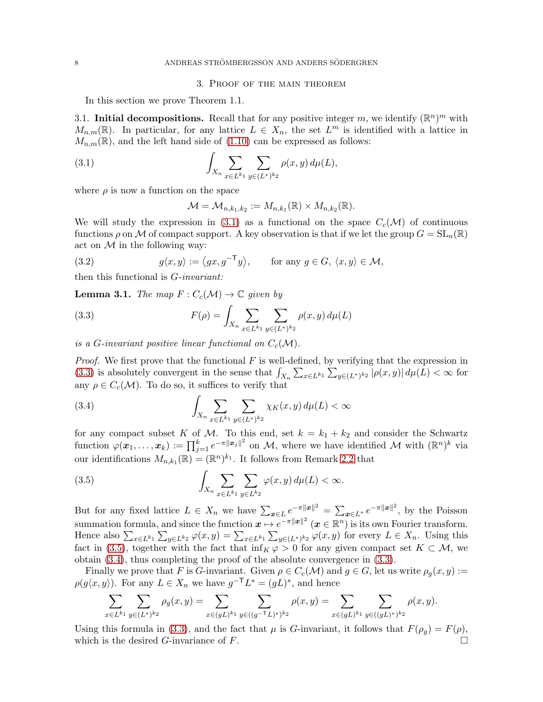#### 3. Proof of the main theorem

<span id="page-7-0"></span>In this section we prove Theorem 1.1.

<span id="page-7-1"></span>3.1. Initial decompositions. Recall that for any positive integer m, we identify  $(\mathbb{R}^n)^m$  with  $M_{n,m}(\mathbb{R})$ . In particular, for any lattice  $L \in X_n$ , the set  $L^m$  is identified with a lattice in  $M_{n,m}(\mathbb{R})$ , and the left hand side of [\(1.10\)](#page-3-0) can be expressed as follows:

<span id="page-7-2"></span>(3.1) 
$$
\int_{X_n} \sum_{x \in L^{k_1}} \sum_{y \in (L^*)^{k_2}} \rho(x, y) d\mu(L),
$$

where  $\rho$  is now a function on the space

$$
\mathcal{M}=\mathcal{M}_{n,k_1,k_2}:=M_{n,k_1}(\mathbb{R})\times M_{n,k_2}(\mathbb{R}).
$$

We will study the expression in [\(3.1\)](#page-7-2) as a functional on the space  $C_c(\mathcal{M})$  of continuous functions  $\rho$  on M of compact support. A key observation is that if we let the group  $G = SL_n(\mathbb{R})$ act on  $M$  in the following way:

<span id="page-7-7"></span>(3.2) 
$$
g\langle x,y\rangle := \langle gx,g^{-T}y\rangle, \quad \text{for any } g \in G, \ \langle x,y\rangle \in \mathcal{M},
$$

then this functional is G-invariant:

<span id="page-7-6"></span>**Lemma 3.1.** The map  $F: C_c(\mathcal{M}) \to \mathbb{C}$  given by

<span id="page-7-3"></span>(3.3) 
$$
F(\rho) = \int_{X_n} \sum_{x \in L^{k_1}} \sum_{y \in (L^*)^{k_2}} \rho(x, y) d\mu(L)
$$

is a G-invariant positive linear functional on  $C_c(\mathcal{M})$ .

*Proof.* We first prove that the functional  $F$  is well-defined, by verifying that the expression in [\(3.3\)](#page-7-3) is absolutely convergent in the sense that  $\int_{X_n} \sum_{x \in L^{k_1}} \sum_{y \in (L^*)^{k_2}} |\rho(x, y)| d\mu(L) < \infty$  for any  $\rho \in C_c(\mathcal{M})$ . To do so, it suffices to verify that

<span id="page-7-5"></span>(3.4) 
$$
\int_{X_n} \sum_{x \in L^{k_1}} \sum_{y \in (L^*)^{k_2}} \chi_K(x, y) d\mu(L) < \infty
$$

for any compact subset K of M. To this end, set  $k = k_1 + k_2$  and consider the Schwartz function  $\varphi(\boldsymbol{x}_1,\ldots,\boldsymbol{x}_k) := \prod_{j=1}^k e^{-\pi ||\boldsymbol{x}_j||^2}$  on M, where we have identified M with  $(\mathbb{R}^n)^k$  via our identifications  $M_{n,k_1}(\mathbb{R}) = (\mathbb{R}^n)^{k_1}$ . It follows from Remark [2.2](#page-5-4) that

<span id="page-7-4"></span>(3.5) 
$$
\int_{X_n} \sum_{x \in L^{k_1}} \sum_{y \in L^{k_2}} \varphi(x, y) d\mu(L) < \infty.
$$

But for any fixed lattice  $L \in X_n$  we have  $\sum_{x \in L} e^{-\pi ||x||^2} = \sum_{x \in L^*} e^{-\pi ||x||^2}$ , by the Poisson summation formula, and since the function  $\boldsymbol{x} \mapsto e^{-\pi ||\boldsymbol{x}||^2}$   $(\boldsymbol{x} \in \mathbb{R}^n)$  is its own Fourier transform. Hence also  $\sum_{x \in L^{k_1}} \sum_{y \in L^{k_2}} \varphi(x, y) = \sum_{x \in L^{k_1}} \sum_{y \in (L^*)^{k_2}} \varphi(x, y)$  for every  $L \in X_n$ . Using this fact in [\(3.5\)](#page-7-4), together with the fact that  $\inf_K \varphi > 0$  for any given compact set  $K \subset \mathcal{M}$ , we obtain [\(3.4\)](#page-7-5), thus completing the proof of the absolute convergence in [\(3.3\)](#page-7-3).

Finally we prove that F is G-invariant. Given  $\rho \in C_c(\mathcal{M})$  and  $g \in G$ , let us write  $\rho_q(x, y) :=$  $\rho(g\langle x,y\rangle)$ . For any  $L \in X_n$  we have  $g^{-\mathsf{T}}L^* = (gL)^*$ , and hence

$$
\sum_{x \in L^{k_1}} \sum_{y \in (L^*)^{k_2}} \rho_g(x, y) = \sum_{x \in (gL)^{k_1}} \sum_{y \in ((g^{-\mathsf{T}}L)^*)^{k_2}} \rho(x, y) = \sum_{x \in (gL)^{k_1}} \sum_{y \in ((gL)^*)^{k_2}} \rho(x, y).
$$

Using this formula in [\(3.3\)](#page-7-3), and the fact that  $\mu$  is G-invariant, it follows that  $F(\rho_g) = F(\rho)$ , which is the desired G-invariance of F.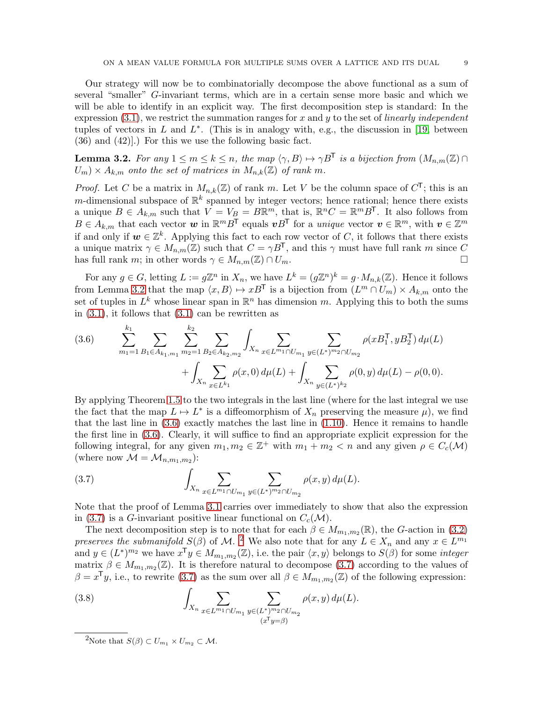Our strategy will now be to combinatorially decompose the above functional as a sum of several "smaller" G-invariant terms, which are in a certain sense more basic and which we will be able to identify in an explicit way. The first decomposition step is standard: In the expression  $(3.1)$ , we restrict the summation ranges for x and y to the set of linearly independent tuples of vectors in  $L$  and  $L^*$ . (This is in analogy with, e.g., the discussion in [\[19,](#page-33-1) between (36) and (42)].) For this we use the following basic fact.

<span id="page-8-0"></span>**Lemma 3.2.** For any  $1 \le m \le k \le n$ , the map  $\langle \gamma, B \rangle \mapsto \gamma B^{\mathsf{T}}$  is a bijection from  $(M_{n,m}(\mathbb{Z}) \cap$  $U_m) \times A_{k,m}$  onto the set of matrices in  $M_{n,k}(\mathbb{Z})$  of rank m.

*Proof.* Let C be a matrix in  $M_{n,k}(\mathbb{Z})$  of rank m. Let V be the column space of  $C^{\mathsf{T}}$ ; this is an m-dimensional subspace of  $\mathbb{R}^k$  spanned by integer vectors; hence rational; hence there exists a unique  $B \in A_{k,m}$  such that  $V = V_B = BR^m$ , that is,  $\mathbb{R}^n C = \mathbb{R}^m B^T$ . It also follows from  $B \in A_{k,m}$  that each vector  $w$  in  $\mathbb{R}^m B^{\mathsf{T}}$  equals  $vB^{\mathsf{T}}$  for a *unique* vector  $v \in \mathbb{R}^m$ , with  $v \in \mathbb{Z}^m$ if and only if  $w \in \mathbb{Z}^k$ . Applying this fact to each row vector of C, it follows that there exists a unique matrix  $\gamma \in M_{n,m}(\mathbb{Z})$  such that  $C = \gamma B^T$ , and this  $\gamma$  must have full rank m since C has full rank m: in other words  $\gamma \in M_{n,m}(\mathbb{Z}) \cap U_m$ . has full rank m; in other words  $\gamma \in M_{n,m}(\mathbb{Z}) \cap U_m$ .

For any  $g \in G$ , letting  $L := g\mathbb{Z}^n$  in  $X_n$ , we have  $L^k = (g\mathbb{Z}^n)^k = g \cdot M_{n,k}(\mathbb{Z})$ . Hence it follows from Lemma [3.2](#page-8-0) that the map  $\langle x, B \rangle \mapsto xB^{\mathsf{T}}$  is a bijection from  $(L^m \cap U_m) \times A_{k,m}$  onto the set of tuples in  $L^k$  whose linear span in  $\mathbb{R}^n$  has dimension m. Applying this to both the sums in  $(3.1)$ , it follows that  $(3.1)$  can be rewritten as

<span id="page-8-1"></span>(3.6) 
$$
\sum_{m_1=1}^{k_1} \sum_{B_1 \in A_{k_1,m_1}} \sum_{m_2=1}^{k_2} \sum_{B_2 \in A_{k_2,m_2}} \int_{X_n} \sum_{x \in L^{m_1} \cap U_{m_1}} \sum_{y \in (L^*)^{m_2} \cap U_{m_2}} \rho(xB_1^{\mathsf{T}}, yB_2^{\mathsf{T}}) d\mu(L) + \int_{X_n} \sum_{y \in (L^*)^{k_2}} \rho(0, y) d\mu(L) - \rho(0, 0).
$$

By applying Theorem [1.5](#page-4-0) to the two integrals in the last line (where for the last integral we use the fact that the map  $L \mapsto L^*$  is a diffeomorphism of  $X_n$  preserving the measure  $\mu$ ), we find that the last line in  $(3.6)$  exactly matches the last line in  $(1.10)$ . Hence it remains to handle the first line in [\(3.6\)](#page-8-1). Clearly, it will suffice to find an appropriate explicit expression for the following integral, for any given  $m_1, m_2 \in \mathbb{Z}^+$  with  $m_1 + m_2 < n$  and any given  $\rho \in C_c(\mathcal{M})$ (where now  $\mathcal{M} = \mathcal{M}_{n,m_1,m_2}$ ):

<span id="page-8-2"></span>(3.7) 
$$
\int_{X_n} \sum_{x \in L^{m_1} \cap U_{m_1}} \sum_{y \in (L^*)^{m_2} \cap U_{m_2}} \rho(x, y) d\mu(L).
$$

Note that the proof of Lemma [3.1](#page-7-6) carries over immediately to show that also the expression in [\(3.7\)](#page-8-2) is a G-invariant positive linear functional on  $C_c(\mathcal{M})$ .

The next decomposition step is to note that for each  $\beta \in M_{m_1,m_2}(\mathbb{R})$ , the G-action in [\(3.2\)](#page-7-7) preserves the submanifold  $S(\beta)$  of M.<sup>[2](#page-8-3)</sup> We also note that for any  $L \in X_n$  and any  $x \in L^{m_1}$ and  $y \in (L^*)^{m_2}$  we have  $x^{\mathsf{T}}y \in M_{m_1,m_2}(\mathbb{Z})$ , i.e. the pair  $\langle x, y \rangle$  belongs to  $S(\beta)$  for some *integer* matrix  $\beta \in M_{m_1,m_2}(\mathbb{Z})$ . It is therefore natural to decompose [\(3.7\)](#page-8-2) according to the values of  $\beta = x^{\mathsf{T}}y$ , i.e., to rewrite [\(3.7\)](#page-8-2) as the sum over all  $\beta \in M_{m_1,m_2}(\mathbb{Z})$  of the following expression:

<span id="page-8-4"></span>(3.8) 
$$
\int_{X_n} \sum_{x \in L^{m_1} \cap U_{m_1}} \sum_{y \in (L^*)^{m_2} \cap U_{m_2}} \rho(x, y) d\mu(L).
$$

<span id="page-8-3"></span><sup>&</sup>lt;sup>2</sup>Note that  $S(\beta) \subset U_{m_1} \times U_{m_2} \subset \mathcal{M}$ .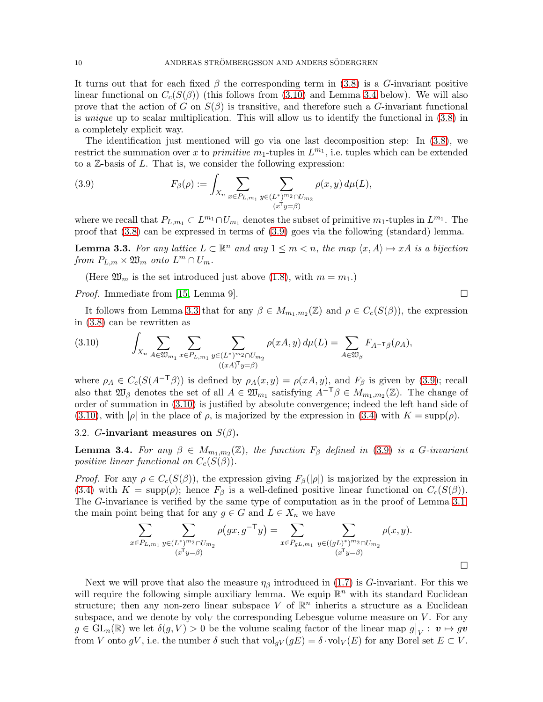It turns out that for each fixed  $\beta$  the corresponding term in [\(3.8\)](#page-8-4) is a G-invariant positive linear functional on  $C_c(S(\beta))$  (this follows from [\(3.10\)](#page-9-1) and Lemma [3.4](#page-9-2) below). We will also prove that the action of G on  $S(\beta)$  is transitive, and therefore such a G-invariant functional is unique up to scalar multiplication. This will allow us to identify the functional in [\(3.8\)](#page-8-4) in a completely explicit way.

The identification just mentioned will go via one last decomposition step: In [\(3.8\)](#page-8-4), we restrict the summation over x to primitive  $m_1$ -tuples in  $L^{m_1}$ , i.e. tuples which can be extended to a  $\mathbb{Z}$ -basis of  $L$ . That is, we consider the following expression:

<span id="page-9-3"></span>(3.9) 
$$
F_{\beta}(\rho) := \int_{X_n} \sum_{x \in P_{L,m_1}} \sum_{y \in (L^*)^{m_2} \cap U_{m_2}} \rho(x, y) d\mu(L),
$$

where we recall that  $P_{L,m_1} \subset L^{m_1} \cap U_{m_1}$  denotes the subset of primitive  $m_1$ -tuples in  $L^{m_1}$ . The proof that [\(3.8\)](#page-8-4) can be expressed in terms of [\(3.9\)](#page-9-3) goes via the following (standard) lemma.

<span id="page-9-4"></span>**Lemma 3.3.** For any lattice  $L \subset \mathbb{R}^n$  and any  $1 \leq m < n$ , the map  $\langle x, A \rangle \mapsto xA$  is a bijection from  $P_{L,m} \times \mathfrak{W}_m$  onto  $L^m \cap U_m$ .

(Here  $\mathfrak{W}_m$  is the set introduced just above [\(1.8\)](#page-2-1), with  $m = m_1$ .)

*Proof.* Immediate from [\[15,](#page-33-12) Lemma 9].  $\square$ 

It follows from Lemma [3.3](#page-9-4) that for any  $\beta \in M_{m_1,m_2}(\mathbb{Z})$  and  $\rho \in C_c(S(\beta))$ , the expression in [\(3.8\)](#page-8-4) can be rewritten as

<span id="page-9-1"></span>(3.10) 
$$
\int_{X_n} \sum_{A \in \mathfrak{W}_{m_1}} \sum_{x \in P_{L,m_1}} \sum_{y \in (L^*)^{m_2} \cap U_{m_2}} \rho(xA, y) d\mu(L) = \sum_{A \in \mathfrak{W}_{\beta}} F_{A^{-\mathsf{T}}\beta}(\rho_A),
$$

where  $\rho_A \in C_c(S(A^{-T}\beta))$  is defined by  $\rho_A(x,y) = \rho(xA, y)$ , and  $F_\beta$  is given by [\(3.9\)](#page-9-3); recall also that  $\mathfrak{W}_{\beta}$  denotes the set of all  $A \in \mathfrak{W}_{m_1}$  satisfying  $A^{-\top} \beta \in M_{m_1,m_2}(\mathbb{Z})$ . The change of order of summation in [\(3.10\)](#page-9-1) is justified by absolute convergence; indeed the left hand side of  $(3.10)$ , with  $|\rho|$  in the place of  $\rho$ , is majorized by the expression in  $(3.4)$  with  $K = \text{supp}(\rho)$ .

<span id="page-9-0"></span>3.2. G-invariant measures on  $S(\beta)$ .

<span id="page-9-2"></span>**Lemma 3.4.** For any  $\beta \in M_{m_1,m_2}(\mathbb{Z})$ , the function  $F_\beta$  defined in [\(3.9\)](#page-9-3) is a G-invariant positive linear functional on  $C_c(S(\beta))$ .

*Proof.* For any  $\rho \in C_c(S(\beta))$ , the expression giving  $F_\beta(|\rho|)$  is majorized by the expression in [\(3.4\)](#page-7-5) with  $K = \text{supp}(\rho)$ ; hence  $F_\beta$  is a well-defined positive linear functional on  $C_c(S(\beta))$ . The G-invariance is verified by the same type of computation as in the proof of Lemma [3.1,](#page-7-6) the main point being that for any  $g \in G$  and  $L \in X_n$  we have

$$
\sum_{x \in P_{L,m_1}} \sum_{y \in (L^*)^m 2 \cap U_{m_2}} \rho(gx, g^{-\mathsf{T}}y) = \sum_{x \in P_{gL,m_1}} \sum_{y \in ((gL)^*)^m 2 \cap U_{m_2}} \rho(x, y).
$$
\n
$$
\sum_{(x^{\mathsf{T}}y = \beta)} \rho(x, y) = \sum_{x \in P_{gL,m_1}} \sum_{y \in ((gL)^*)^m 2 \cap U_{m_2}} \rho(x, y).
$$

Next we will prove that also the measure  $\eta_\beta$  introduced in [\(1.7\)](#page-2-0) is G-invariant. For this we will require the following simple auxiliary lemma. We equip  $\mathbb{R}^n$  with its standard Euclidean structure; then any non-zero linear subspace V of  $\mathbb{R}^n$  inherits a structure as a Euclidean subspace, and we denote by  $vol_V$  the corresponding Lebesgue volume measure on V. For any  $g \in GL_n(\mathbb{R})$  we let  $\delta(g, V) > 0$  be the volume scaling factor of the linear map  $g|_V : v \mapsto gv$ from V onto gV, i.e. the number  $\delta$  such that  $\text{vol}_{qV}(gE) = \delta \cdot \text{vol}_V(E)$  for any Borel set  $E \subset V$ .

 $\Box$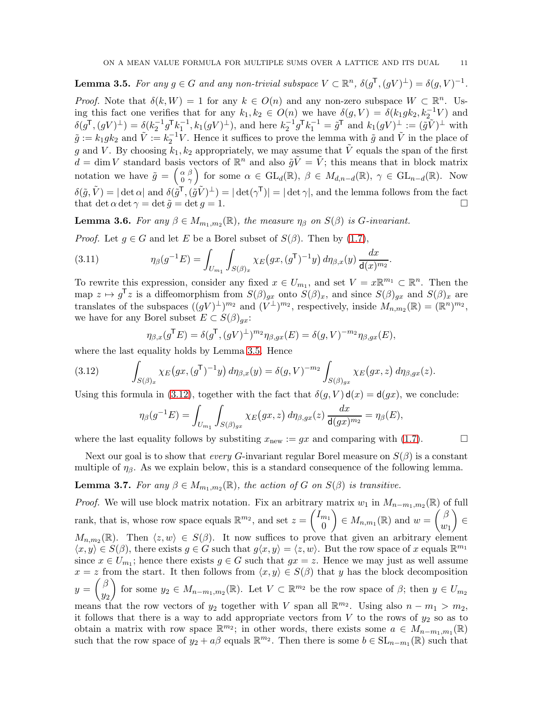<span id="page-10-0"></span>**Lemma 3.5.** For any  $g \in G$  and any non-trivial subspace  $V \subset \mathbb{R}^n$ ,  $\delta(g^{\mathsf{T}}, (gV)^{\perp}) = \delta(g, V)^{-1}$ .

*Proof.* Note that  $\delta(k, W) = 1$  for any  $k \in O(n)$  and any non-zero subspace  $W \subset \mathbb{R}^n$ . Using this fact one verifies that for any  $k_1, k_2 \in O(n)$  we have  $\delta(g, V) = \delta(k_1 g k_2, k_2^{-1} V)$  and  $\delta(g^{\mathsf{T}},(gV)^{\perp}) = \delta(k_2^{-1}g^{\mathsf{T}}k_1^{-1},k_1(gV)^{\perp}),$  and here  $k_2^{-1}g^{\mathsf{T}}k_1^{-1} = \tilde{g}^{\mathsf{T}}$  and  $k_1(gV)^{\perp} := (\tilde{g}\tilde{V})^{\perp}$  with  $\tilde{g} := k_1 g k_2$  and  $\tilde{V} := k_2^{-1} V$ . Hence it suffices to prove the lemma with  $\tilde{g}$  and  $\tilde{V}$  in the place of g and V. By choosing  $k_1, k_2$  appropriately, we may assume that  $\tilde{V}$  equals the span of the first  $d = \dim V$  standard basis vectors of  $\mathbb{R}^n$  and also  $\tilde{g}\tilde{V} = \tilde{V}$ ; this means that in block matrix notation we have  $\tilde{g} = \begin{pmatrix} \alpha & \beta \\ 0 & \gamma \end{pmatrix}$ 0  $\gamma$ for some  $\alpha \in GL_d(\mathbb{R}), \beta \in M_{d,n-d}(\mathbb{R}), \gamma \in GL_{n-d}(\mathbb{R})$ . Now  $\delta(\tilde{g}, \tilde{V}) = |\det \alpha|$  and  $\delta(\tilde{g}^{\mathsf{T}}, (\tilde{g} \tilde{V})^{\perp}) = |\det(\gamma^{\mathsf{T}})| = |\det \gamma|$ , and the lemma follows from the fact that det  $\alpha$  det  $\gamma = \det \tilde{g} = \det g = 1$ .

<span id="page-10-3"></span>**Lemma 3.6.** For any  $\beta \in M_{m_1,m_2}(\mathbb{R})$ , the measure  $\eta_{\beta}$  on  $S(\beta)$  is G-invariant.

*Proof.* Let  $g \in G$  and let E be a Borel subset of  $S(\beta)$ . Then by [\(1.7\)](#page-2-0),

(3.11) 
$$
\eta_{\beta}(g^{-1}E) = \int_{U_{m_1}} \int_{S(\beta)_x} \chi_E(gx, (g^{\mathsf{T}})^{-1}y) d\eta_{\beta,x}(y) \frac{dx}{\mathsf{d}(x)^{m_2}}.
$$

To rewrite this expression, consider any fixed  $x \in U_{m_1}$ , and set  $V = x \mathbb{R}^{m_1} \subset \mathbb{R}^n$ . Then the map  $z \mapsto g^{\mathsf{T}}z$  is a diffeomorphism from  $S(\beta)_{gx}$  onto  $S(\beta)_x$ , and since  $S(\beta)_{gx}$  and  $S(\beta)_x$  are translates of the subspaces  $((gV)^{\perp})^{m_2}$  and  $(V^{\perp})^{m_2}$ , respectively, inside  $M_{n,m_2}(\mathbb{R}) = (\mathbb{R}^n)^{m_2}$ , we have for any Borel subset  $E \subset S(\beta)_{ax}$ :

$$
\eta_{\beta,x}(g^{\mathsf{T}}E) = \delta(g^{\mathsf{T}}, (gV)^{\perp})^{m_2}\eta_{\beta,gx}(E) = \delta(g,V)^{-m_2}\eta_{\beta,gx}(E),
$$

where the last equality holds by Lemma [3.5.](#page-10-0) Hence

<span id="page-10-1"></span>(3.12) 
$$
\int_{S(\beta)_x} \chi_E(gx,(g^{\mathsf{T}})^{-1}y) d\eta_{\beta,x}(y) = \delta(g,V)^{-m_2} \int_{S(\beta)_{gx}} \chi_E(gx,z) d\eta_{\beta,gx}(z).
$$

Using this formula in [\(3.12\)](#page-10-1), together with the fact that  $\delta(g, V) d(x) = d(gx)$ , we conclude:

$$
\eta_{\beta}(g^{-1}E) = \int_{U_{m_1}} \int_{S(\beta)_{gx}} \chi_E(gx, z) d\eta_{\beta, gx}(z) \frac{dx}{\mathrm{d}(gx)^{m_2}} = \eta_{\beta}(E),
$$

where the last equality follows by substiting  $x_{\text{new}} := gx$  and comparing with [\(1.7\)](#page-2-0).

Next our goal is to show that *every G*-invariant regular Borel measure on  $S(\beta)$  is a constant multiple of  $\eta_{\beta}$ . As we explain below, this is a standard consequence of the following lemma.

<span id="page-10-2"></span>**Lemma 3.7.** For any  $\beta \in M_{m_1,m_2}(\mathbb{R})$ , the action of G on  $S(\beta)$  is transitive.

*Proof.* We will use block matrix notation. Fix an arbitrary matrix  $w_1$  in  $M_{n-m_1,m_2}(\mathbb{R})$  of full rank, that is, whose row space equals  $\mathbb{R}^{m_2}$ , and set  $z =$  $\sqrt{I_{m_1}}$ 0  $\overline{ }$  $\in M_{n,m_1}(\mathbb{R})$  and  $w =$  $\int \beta$  $w_1$  $\overline{ }$ ∈  $M_{n,m_2}(\mathbb{R})$ . Then  $\langle z, w \rangle \in S(\beta)$ . It now suffices to prove that given an arbitrary element  $\langle x, y \rangle \in S(\beta)$ , there exists  $g \in G$  such that  $g\langle x, y \rangle = \langle z, w \rangle$ . But the row space of x equals  $\mathbb{R}^{m_1}$ since  $x \in U_{m_1}$ ; hence there exists  $g \in G$  such that  $gx = z$ . Hence we may just as well assume  $x = z$  from the start. It then follows from  $\langle x, y \rangle \in S(\beta)$  that y has the block decomposition  $y =$  $\int$   $\beta$  $y_2$  $\setminus$ for some  $y_2 \in M_{n-m_1,m_2}(\mathbb{R})$ . Let  $V \subset \mathbb{R}^{m_2}$  be the row space of  $\beta$ ; then  $y \in U_{m_2}$ means that the row vectors of  $y_2$  together with V span all  $\mathbb{R}^{m_2}$ . Using also  $n - m_1 > m_2$ , it follows that there is a way to add appropriate vectors from  $V$  to the rows of  $y_2$  so as to obtain a matrix with row space  $\mathbb{R}^{m_2}$ ; in other words, there exists some  $a \in M_{n-m_1,m_1}(\mathbb{R})$ such that the row space of  $y_2 + a\beta$  equals  $\mathbb{R}^{m_2}$ . Then there is some  $b \in SL_{n-m_1}(\mathbb{R})$  such that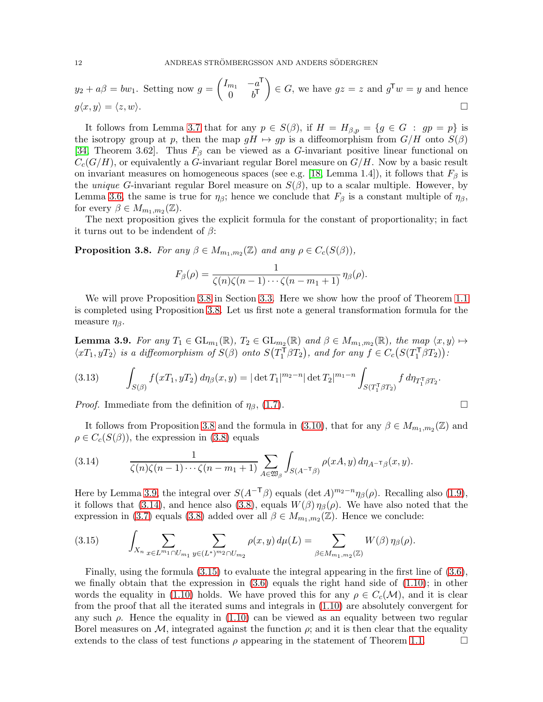$$
y_2 + a\beta = bw_1
$$
. Setting now  $g = \begin{pmatrix} I_{m_1} & -a^T \\ 0 & b^T \end{pmatrix} \in G$ , we have  $gz = z$  and  $g^T w = y$  and hence  $g\langle x, y \rangle = \langle z, w \rangle$ .

It follows from Lemma [3.7](#page-10-2) that for any  $p \in S(\beta)$ , if  $H = H_{\beta,p} = \{g \in G : gp = p\}$  is the isotropy group at p, then the map  $gH \mapsto gp$  is a diffeomorphism from  $G/H$  onto  $S(\beta)$ [\[34,](#page-33-16) Theorem 3.62]. Thus  $F_\beta$  can be viewed as a G-invariant positive linear functional on  $C_c(G/H)$ , or equivalently a G-invariant regular Borel measure on  $G/H$ . Now by a basic result on invariant measures on homogeneous spaces (see e.g. [\[18,](#page-33-17) Lemma 1.4]), it follows that  $F_\beta$  is the *unique G*-invariant regular Borel measure on  $S(\beta)$ , up to a scalar multiple. However, by Lemma [3.6,](#page-10-3) the same is true for  $\eta_{\beta}$ ; hence we conclude that  $F_{\beta}$  is a constant multiple of  $\eta_{\beta}$ , for every  $\beta \in M_{m_1,m_2}(\mathbb{Z})$ .

The next proposition gives the explicit formula for the constant of proportionality; in fact it turns out to be indendent of  $\beta$ :

<span id="page-11-1"></span>**Proposition 3.8.** For any  $\beta \in M_{m_1,m_2}(\mathbb{Z})$  and any  $\rho \in C_c(S(\beta)),$ 

$$
F_{\beta}(\rho) = \frac{1}{\zeta(n)\zeta(n-1)\cdots\zeta(n-m_1+1)}\eta_{\beta}(\rho).
$$

We will prove Proposition [3.8](#page-11-1) in Section [3.3.](#page-12-0) Here we show how the proof of Theorem [1.1](#page-3-1) is completed using Proposition [3.8.](#page-11-1) Let us first note a general transformation formula for the measure  $\eta_{\beta}$ .

<span id="page-11-0"></span>**Lemma 3.9.** For any  $T_1 \in GL_{m_1}(\mathbb{R})$ ,  $T_2 \in GL_{m_2}(\mathbb{R})$  and  $\beta \in M_{m_1,m_2}(\mathbb{R})$ , the map  $\langle x, y \rangle \mapsto$  $\langle xT_1, yT_2 \rangle$  is a diffeomorphism of  $S(\beta)$  onto  $S(T_1^{\tilde{T}} \beta T_2)$ , and for any  $f \in C_c(S(T_1^{\tilde{T}} \beta T_2))$ .

(3.13) 
$$
\int_{S(\beta)} f(xT_1, yT_2) d\eta_{\beta}(x, y) = |\det T_1|^{m_2 - n} |\det T_2|^{m_1 - n} \int_{S(T_1^{\mathsf{T}} \beta T_2)} f d\eta_{T_1^{\mathsf{T}} \beta T_2}.
$$

*Proof.* Immediate from the definition of  $\eta_{\beta}$ , [\(1.7\)](#page-2-0).

It follows from Proposition [3.8](#page-11-1) and the formula in [\(3.10\)](#page-9-1), that for any  $\beta \in M_{m_1,m_2}(\mathbb{Z})$  and  $\rho \in C_c(S(\beta))$ , the expression in [\(3.8\)](#page-8-4) equals

<span id="page-11-2"></span>(3.14) 
$$
\frac{1}{\zeta(n)\zeta(n-1)\cdots\zeta(n-m_1+1)}\sum_{A\in\mathfrak{W}_{\beta}}\int_{S(A^{-\mathsf{T}}\beta)}\rho(xA,y)\,d\eta_{A^{-\mathsf{T}}\beta}(x,y).
$$

Here by Lemma [3.9,](#page-11-0) the integral over  $S(A^{-\mathsf{T}}\beta)$  equals  $(\det A)^{m_2-n}\eta_\beta(\rho)$ . Recalling also [\(1.9\)](#page-2-2), it follows that [\(3.14\)](#page-11-2), and hence also [\(3.8\)](#page-8-4), equals  $W(\beta)\eta_{\beta}(\rho)$ . We have also noted that the expression in [\(3.7\)](#page-8-2) equals [\(3.8\)](#page-8-4) added over all  $\beta \in M_{m_1,m_2}(\mathbb{Z})$ . Hence we conclude:

<span id="page-11-3"></span>(3.15) 
$$
\int_{X_n} \sum_{x \in L^{m_1} \cap U_{m_1}} \sum_{y \in (L^*)^{m_2} \cap U_{m_2}} \rho(x, y) d\mu(L) = \sum_{\beta \in M_{m_1, m_2}(\mathbb{Z})} W(\beta) \eta_{\beta}(\rho).
$$

Finally, using the formula [\(3.15\)](#page-11-3) to evaluate the integral appearing in the first line of [\(3.6\)](#page-8-1), we finally obtain that the expression in  $(3.6)$  equals the right hand side of  $(1.10)$ ; in other words the equality in [\(1.10\)](#page-3-0) holds. We have proved this for any  $\rho \in C_c(\mathcal{M})$ , and it is clear from the proof that all the iterated sums and integrals in [\(1.10\)](#page-3-0) are absolutely convergent for any such  $\rho$ . Hence the equality in [\(1.10\)](#page-3-0) can be viewed as an equality between two regular Borel measures on M, integrated against the function  $\rho$ ; and it is then clear that the equality extends to the class of test functions  $\rho$  appearing in the statement of Theorem 1.1. extends to the class of test functions  $\rho$  appearing in the statement of Theorem [1.1.](#page-3-1)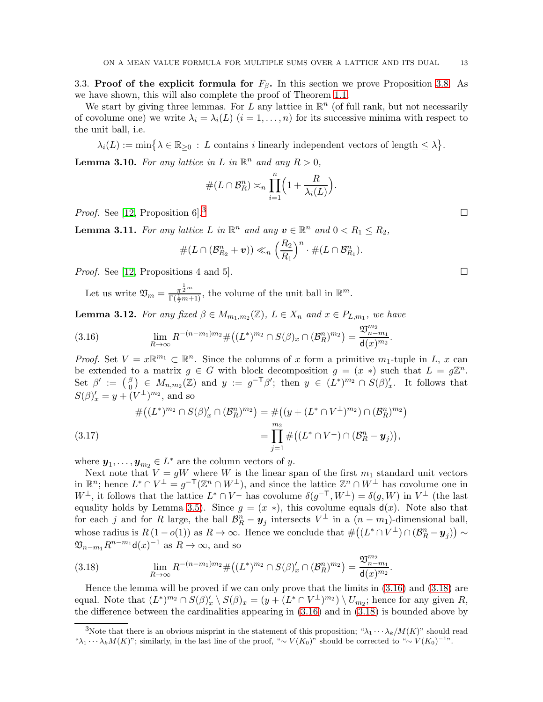<span id="page-12-0"></span>3.3. Proof of the explicit formula for  $F_\beta$ . In this section we prove Proposition [3.8.](#page-11-1) As we have shown, this will also complete the proof of Theorem [1.1.](#page-3-1)

We start by giving three lemmas. For L any lattice in  $\mathbb{R}^n$  (of full rank, but not necessarily of covolume one) we write  $\lambda_i = \lambda_i(L)$   $(i = 1, \ldots, n)$  for its successive minima with respect to the unit ball, i.e.

 $\lambda_i(L) := \min \big\{ \lambda \in \mathbb{R}_{\geq 0} : L \text{ contains } i \text{ linearly independent vectors of length } \leq \lambda \big\}.$ 

<span id="page-12-4"></span>**Lemma 3.10.** For any lattice in L in  $\mathbb{R}^n$  and any  $R > 0$ ,

$$
\#(L \cap \mathcal{B}_R^n) \asymp_n \prod_{i=1}^n \Big(1 + \frac{R}{\lambda_i(L)}\Big).
$$

*Proof.* See [\[12,](#page-33-18) Proposition 6].<sup>[3](#page-12-1)</sup>

<span id="page-12-7"></span>**Lemma 3.11.** For any lattice L in  $\mathbb{R}^n$  and any  $v \in \mathbb{R}^n$  and  $0 < R_1 \leq R_2$ ,

$$
\#(L\cap(\mathcal{B}_{R_2}^n+\boldsymbol{v}))\ll_n \left(\frac{R_2}{R_1}\right)^n\cdot\#(L\cap\mathcal{B}_{R_1}^n).
$$

*Proof.* See [\[12,](#page-33-18) Propositions 4 and 5].

Let us write  $\mathfrak{V}_m = \frac{\pi^{\frac{1}{2}m}}{\Gamma(\frac{1}{2}m+1)}$  $\frac{\pi^{\frac{n}{2}m}}{\Gamma(\frac{1}{2}m+1)}$ , the volume of the unit ball in  $\mathbb{R}^m$ .

<span id="page-12-5"></span>**Lemma 3.12.** For any fixed  $\beta \in M_{m_1,m_2}(\mathbb{Z})$ ,  $L \in X_n$  and  $x \in P_{L,m_1}$ , we have

<span id="page-12-2"></span>(3.16) 
$$
\lim_{R \to \infty} R^{-(n-m_1)m_2} \# \big( (L^*)^{m_2} \cap S(\beta)_x \cap (\mathcal{B}_R^n)^{m_2} \big) = \frac{\mathfrak{V}_{n-m_1}^{m_2}}{\mathsf{d}(x)^{m_2}}.
$$

*Proof.* Set  $V = x \mathbb{R}^{m_1} \subset \mathbb{R}^n$ . Since the columns of x form a primitive  $m_1$ -tuple in L, x can be extended to a matrix  $g \in G$  with block decomposition  $g = (x * )$  such that  $L = g\mathbb{Z}^n$ . Set  $\beta' := \begin{pmatrix} \beta \\ 0 \end{pmatrix}$  $\begin{array}{rcl} \beta \ (\delta) \in M_{n,m_2}(\mathbb{Z}) \end{array}$  and  $y := g^{-\mathsf{T}}\beta'$ ; then  $y \in (L^*)^{m_2} \cap S(\beta)'_x$ . It follows that  $S(\beta)'_x = y + (V^{\perp})^{m_2}$ , and so

<span id="page-12-6"></span>
$$
\#((L^*)^{m_2} \cap S(\beta)'_x \cap (\mathcal{B}_R^n)^{m_2}) = \#((y + (L^* \cap V^\perp)^{m_2}) \cap (\mathcal{B}_R^n)^{m_2})
$$
  
= 
$$
\prod_{j=1}^{m_2} \#((L^* \cap V^\perp) \cap (\mathcal{B}_R^n - y_j)),
$$

where  $y_1, \ldots, y_{m_2} \in L^*$  are the column vectors of y.

Next note that  $V = gW$  where W is the linear span of the first  $m_1$  standard unit vectors in  $\mathbb{R}^n$ ; hence  $L^* \cap V^{\perp} = g^{-\mathsf{T}}(\mathbb{Z}^n \cap W^{\perp})$ , and since the lattice  $\mathbb{Z}^n \cap W^{\perp}$  has covolume one in  $W^{\perp}$ , it follows that the lattice  $L^* \cap V^{\perp}$  has covolume  $\delta(g^{-\mathsf{T}}, W^{\perp}) = \delta(g, W)$  in  $V^{\perp}$  (the last equality holds by Lemma [3.5\)](#page-10-0). Since  $g = (x *)$ , this covolume equals  $d(x)$ . Note also that for each j and for R large, the ball  $\mathcal{B}_R^n - y_j$  intersects  $V^{\perp}$  in a  $(n - m_1)$ -dimensional ball, whose radius is  $R(1 - o(1))$  as  $R \to \infty$ . Hence we conclude that  $\#((L^* \cap V^{\perp}) \cap (\mathcal{B}_R^n - y_j)) \sim$  $\mathfrak{V}_{n-m_1} R^{n-m_1} \mathsf{d}(x)^{-1}$  as  $R \to \infty$ , and so

<span id="page-12-3"></span>(3.18) 
$$
\lim_{R \to \infty} R^{-(n-m_1)m_2} \# \big( (L^*)^{m_2} \cap S(\beta)'_x \cap (\mathcal{B}_R^n)^{m_2} \big) = \frac{\mathfrak{V}_{n-m_1}^{m_2}}{\mathsf{d}(x)^{m_2}}.
$$

Hence the lemma will be proved if we can only prove that the limits in [\(3.16\)](#page-12-2) and [\(3.18\)](#page-12-3) are equal. Note that  $(L^*)^{m_2} \cap S(\beta)'_x \setminus S(\beta)_x = (y + (L^* \cap V^{\perp})^{m_2}) \setminus U_{m_2}$ ; hence for any given R, the difference between the cardinalities appearing in [\(3.16\)](#page-12-2) and in [\(3.18\)](#page-12-3) is bounded above by

<span id="page-12-1"></span><sup>&</sup>lt;sup>3</sup>Note that there is an obvious misprint in the statement of this proposition; " $\lambda_1 \cdots \lambda_k/M(K)$ " should read "λ<sub>1</sub> · · · λ<sub>k</sub> $M(K)$ "; similarly, in the last line of the proof, "∼  $V(K_0)$ " should be corrected to "∼  $V(K_0)^{-1}$ ".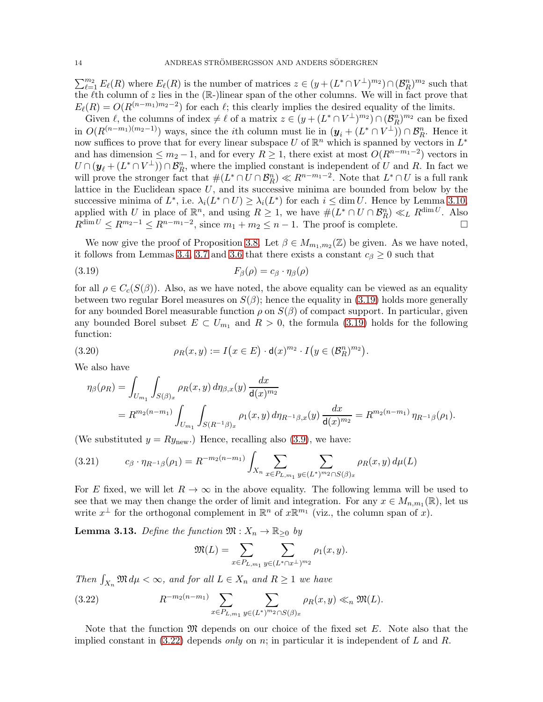$\sum_{\ell=1}^{m_2} E_{\ell}(R)$  where  $E_{\ell}(R)$  is the number of matrices  $z \in (y + (L^* \cap V^{\perp})^{m_2}) \cap (\mathcal{B}_R^n)^{m_2}$  such that the  $\ell$ th column of z lies in the (R-)linear span of the other columns. We will in fact prove that  $E_{\ell}(R) = O(R^{(n-m_1)m_2-2})$  for each  $\ell$ ; this clearly implies the desired equality of the limits.

Given  $\ell$ , the columns of index  $\neq \ell$  of a matrix  $z \in (y + (L^* \cap V^{\perp})^{m_2}) \cap (\mathcal{B}_R^n)^{m_2}$  can be fixed in  $O(R^{(n-m_1)(m_2-1)})$  ways, since the *i*th column must lie in  $(\mathbf{y}_i + (L^* \cap V^{\perp})) \cap \mathcal{B}_R^n$ . Hence it now suffices to prove that for every linear subspace U of  $\mathbb{R}^n$  which is spanned by vectors in  $L^*$ and has dimension  $\leq m_2 - 1$ , and for every  $R \geq 1$ , there exist at most  $O(R^{n-m_1-2})$  vectors in  $U \cap (\mathbf{y}_\ell + (L^* \cap V^{\perp})) \cap \mathcal{B}_R^n$ , where the implied constant is independent of U and R. In fact we will prove the stronger fact that  $\#(L^* \cap U \cap \mathcal{B}_R^n) \ll R^{n-m_1-2}$ . Note that  $L^* \cap U$  is a full rank lattice in the Euclidean space  $U$ , and its successive minima are bounded from below by the successive minima of  $L^*$ , i.e.  $\lambda_i(L^* \cap U) \geq \lambda_i(L^*)$  for each  $i \leq \dim U$ . Hence by Lemma [3.10,](#page-12-4) applied with U in place of  $\mathbb{R}^n$ , and using  $R \geq 1$ , we have  $\#(L^* \cap U \cap \mathcal{B}_R^n) \ll_L R^{\dim U}$ . Also  $R^{\dim U} \leq R^{m_2-1} \leq R^{n-m_1-2}$ , since  $m_1 + m_2 \leq n-1$ . The proof is complete.

We now give the proof of Proposition [3.8.](#page-11-1) Let  $\beta \in M_{m_1,m_2}(\mathbb{Z})$  be given. As we have noted, it follows from Lemmas [3.4,](#page-9-2) [3.7](#page-10-2) and [3.6](#page-10-3) that there exists a constant  $c_\beta \geq 0$  such that

<span id="page-13-0"></span>
$$
(3.19) \tF\beta(\rho) = c\beta \cdot \eta_{\beta}(\rho)
$$

for all  $\rho \in C_c(S(\beta))$ . Also, as we have noted, the above equality can be viewed as an equality between two regular Borel measures on  $S(\beta)$ ; hence the equality in [\(3.19\)](#page-13-0) holds more generally for any bounded Borel measurable function  $\rho$  on  $S(\beta)$  of compact support. In particular, given any bounded Borel subset  $E \subset U_{m_1}$  and  $R > 0$ , the formula [\(3.19\)](#page-13-0) holds for the following function:

<span id="page-13-3"></span>(3.20) 
$$
\rho_R(x,y) := I\big(x \in E\big) \cdot \mathsf{d}(x)^{m_2} \cdot I\big(y \in (\mathcal{B}_R^n)^{m_2}\big).
$$

We also have

$$
\eta_{\beta}(\rho_R) = \int_{U_{m_1}} \int_{S(\beta)_x} \rho_R(x, y) d\eta_{\beta, x}(y) \frac{dx}{\mathsf{d}(x)^{m_2}} \n= R^{m_2(n-m_1)} \int_{U_{m_1}} \int_{S(R^{-1}\beta)_x} \rho_1(x, y) d\eta_{R^{-1}\beta, x}(y) \frac{dx}{\mathsf{d}(x)^{m_2}} = R^{m_2(n-m_1)} \eta_{R^{-1}\beta}(\rho_1).
$$

(We substituted  $y = Ry_{\text{new}}$ .) Hence, recalling also [\(3.9\)](#page-9-3), we have:

<span id="page-13-2"></span>
$$
(3.21) \t c_{\beta} \cdot \eta_{R^{-1}\beta}(\rho_1) = R^{-m_2(n-m_1)} \int_{X_n} \sum_{x \in P_{L,m_1}} \sum_{y \in (L^*)^m \geq \cap S(\beta)_x} \rho_R(x,y) d\mu(L)
$$

For E fixed, we will let  $R \to \infty$  in the above equality. The following lemma will be used to see that we may then change the order of limit and integration. For any  $x \in M_{n,m_1}(\mathbb{R})$ , let us write  $x^{\perp}$  for the orthogonal complement in  $\mathbb{R}^n$  of  $x\mathbb{R}^{m_1}$  (viz., the column span of x).

<span id="page-13-4"></span>**Lemma 3.13.** Define the function  $\mathfrak{M}: X_n \to \mathbb{R}_{\geq 0}$  by

$$
\mathfrak{M}(L) = \sum_{x \in P_{L,m_1}} \sum_{y \in (L^* \cap x^\perp)^{m_2}} \rho_1(x, y).
$$

Then  $\int_{X_n} \mathfrak{M} d\mu < \infty$ , and for all  $L \in X_n$  and  $R \ge 1$  we have

<span id="page-13-1"></span>(3.22) 
$$
R^{-m_2(n-m_1)} \sum_{x \in P_{L,m_1}} \sum_{y \in (L^*)^{m_2} \cap S(\beta)_x} \rho_R(x,y) \ll_n \mathfrak{M}(L).
$$

Note that the function  $\mathfrak{M}$  depends on our choice of the fixed set E. Note also that the implied constant in  $(3.22)$  depends only on n; in particular it is independent of L and R.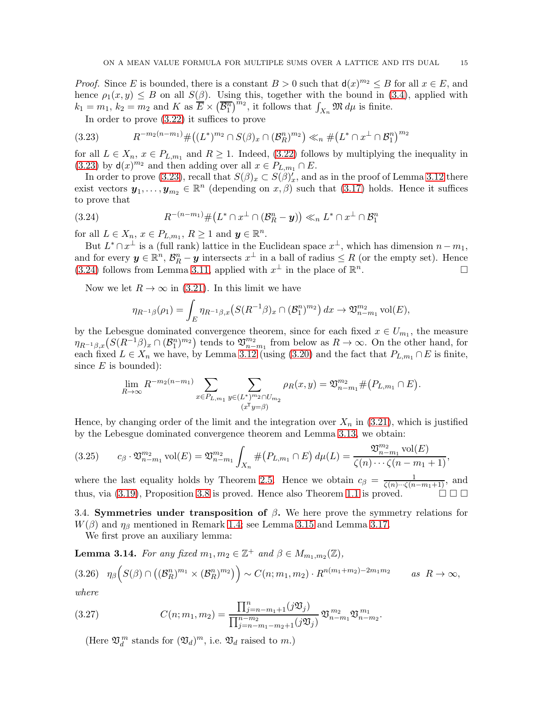*Proof.* Since E is bounded, there is a constant  $B > 0$  such that  $d(x)^{m_2} \leq B$  for all  $x \in E$ , and hence  $\rho_1(x, y) \leq B$  on all  $S(\beta)$ . Using this, together with the bound in [\(3.4\)](#page-7-5), applied with  $k_1 = m_1, k_2 = m_2$  and K as  $\overline{E} \times (\overline{\mathcal{B}_1^n})^{m_2}$ , it follows that  $\int_{X_n} \mathfrak{M} d\mu$  is finite.

In order to prove [\(3.22\)](#page-13-1) it suffices to prove

<span id="page-14-1"></span>
$$
(3.23) \t R^{-m_2(n-m_1)} \# \big( (L^*)^{m_2} \cap S(\beta)_x \cap (\mathcal{B}_R^n)^{m_2} \big) \ll_n \# \big( L^* \cap x^\perp \cap \mathcal{B}_1^n \big)^{m_2}
$$

for all  $L \in X_n$ ,  $x \in P_{L,m_1}$  and  $R \ge 1$ . Indeed, [\(3.22\)](#page-13-1) follows by multiplying the inequality in [\(3.23\)](#page-14-1) by  $\mathsf{d}(x)^{m_2}$  and then adding over all  $x \in P_{L,m_1} \cap E$ .

In order to prove [\(3.23\)](#page-14-1), recall that  $S(\beta)_x \subset S(\beta)'_x$ , and as in the proof of Lemma [3.12](#page-12-5) there exist vectors  $y_1, \ldots, y_{m_2} \in \mathbb{R}^n$  (depending on  $x, \beta$ ) such that [\(3.17\)](#page-12-6) holds. Hence it suffices to prove that

<span id="page-14-2"></span>
$$
(3.24) \t R^{-(n-m_1)} \#(L^* \cap x^\perp \cap (\mathcal{B}_R^n - \mathbf{y})) \ll_n L^* \cap x^\perp \cap \mathcal{B}_1^n
$$

for all  $L \in X_n$ ,  $x \in P_{L,m_1}$ ,  $R \ge 1$  and  $y \in \mathbb{R}^n$ .

But  $L^* \cap x^{\perp}$  is a (full rank) lattice in the Euclidean space  $x^{\perp}$ , which has dimension  $n - m_1$ , and for every  $y \in \mathbb{R}^n$ ,  $\mathcal{B}_R^n - y$  intersects  $x^{\perp}$  in a ball of radius  $\leq R$  (or the empty set). Hence [\(3.24\)](#page-14-2) follows from Lemma [3.11,](#page-12-7) applied with  $x^{\perp}$  in the place of  $\mathbb{R}^n$ .

Now we let  $R \to \infty$  in [\(3.21\)](#page-13-2). In this limit we have

$$
\eta_{R^{-1}\beta}(\rho_1) = \int_E \eta_{R^{-1}\beta,x} \big( S(R^{-1}\beta)_x \cap (\mathcal{B}_1^n)^{m_2} \big) dx \to \mathfrak{V}_{n-m_1}^{m_2} \text{vol}(E),
$$

by the Lebesgue dominated convergence theorem, since for each fixed  $x \in U_{m_1}$ , the measure  $\eta_{R^{-1}\beta,x}(S(R^{-1}\beta)_x\cap(\mathcal{B}_1^n)^{m_2})$  tends to  $\mathfrak{V}_{n-m_1}^{m_2}$  from below as  $R\to\infty$ . On the other hand, for each fixed  $L \in X_n$  we have, by Lemma [3.12](#page-12-5) (using [\(3.20\)](#page-13-3) and the fact that  $P_{L,m_1} \cap E$  is finite, since  $E$  is bounded):

$$
\lim_{R \to \infty} R^{-m_2(n-m_1)} \sum_{x \in P_{L,m_1}} \sum_{y \in (L^*)^{m_2} \cap U_{m_2}} \rho_R(x, y) = \mathfrak{V}_{n-m_1}^{m_2} \# (P_{L,m_1} \cap E).
$$

Hence, by changing order of the limit and the integration over  $X_n$  in [\(3.21\)](#page-13-2), which is justified by the Lebesgue dominated convergence theorem and Lemma [3.13,](#page-13-4) we obtain:

$$
(3.25) \t c_{\beta} \cdot \mathfrak{V}_{n-m_1}^{m_2} \text{vol}(E) = \mathfrak{V}_{n-m_1}^{m_2} \int_{X_n} \#(P_{L,m_1} \cap E) \, d\mu(L) = \frac{\mathfrak{V}_{n-m_1}^{m_2} \text{vol}(E)}{\zeta(n) \cdots \zeta(n-m_1+1)},
$$

where the last equality holds by Theorem [2.5.](#page-6-2) Hence we obtain  $c_{\beta} = \frac{1}{\zeta(n)\cdots(\zeta(n-m_1+1)}$ , and thus, via [\(3.19\)](#page-13-0), Proposition [3.8](#page-11-1) is proved. Hence also Theorem [1.1](#page-3-1) is proved.

<span id="page-14-0"></span>3.4. Symmetries under transposition of  $\beta$ . We here prove the symmetry relations for  $W(\beta)$  and  $\eta_{\beta}$  mentioned in Remark [1.4;](#page-3-2) see Lemma [3.15](#page-15-1) and Lemma [3.17.](#page-16-1)

We first prove an auxiliary lemma:

<span id="page-14-5"></span>**Lemma 3.14.** For any fixed  $m_1, m_2 \in \mathbb{Z}^+$  and  $\beta \in M_{m_1,m_2}(\mathbb{Z})$ ,

<span id="page-14-3"></span>
$$
(3.26) \quad \eta_{\beta}\Big(S(\beta)\cap\big((\mathcal{B}_{R}^{n})^{m_{1}}\times(\mathcal{B}_{R}^{n})^{m_{2}}\big)\Big) \sim C(n; m_{1}, m_{2})\cdot R^{n(m_{1}+m_{2})-2m_{1}m_{2}} \qquad as \ \ R\to\infty,
$$

where

<span id="page-14-4"></span>(3.27) 
$$
C(n; m_1, m_2) = \frac{\prod_{j=n-m_1+1}^n (j \mathfrak{V}_j)}{\prod_{j=n-m_1-m_2+1}^{n-m_2} (j \mathfrak{V}_j)} \mathfrak{V}_{n-m_1}^{m_2} \mathfrak{V}_{n-m_2}^{m_1}.
$$

(Here  $\mathfrak{V}_d^m$  stands for  $(\mathfrak{V}_d)^m$ , i.e.  $\mathfrak{V}_d$  raised to  $m$ .)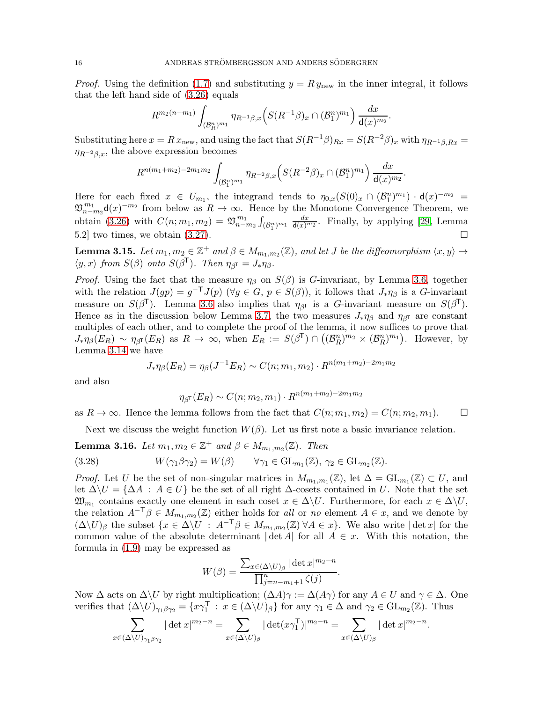*Proof.* Using the definition [\(1.7\)](#page-2-0) and substituting  $y = Ry_{\text{new}}$  in the inner integral, it follows that the left hand side of [\(3.26\)](#page-14-3) equals

$$
R^{m_2(n-m_1)} \int_{(\mathcal{B}_R^n)^{m_1}} \eta_{R^{-1}\beta,x} \Big( S(R^{-1}\beta)_x \cap (\mathcal{B}_1^n)^{m_1} \Big) \frac{dx}{\mathsf{d}(x)^{m_2}}.
$$

Substituting here  $x = Rx_{\text{new}}$ , and using the fact that  $S(R^{-1}\beta)_{Rx} = S(R^{-2}\beta)_x$  with  $\eta_{R^{-1}\beta,Rx} =$  $\eta_{R^{-2}\beta,x}$ , the above expression becomes

$$
R^{n(m_1+m_2)-2m_1m_2}\int_{(\mathcal{B}_1^n)^{m_1}}\eta_{R^{-2}\beta,x}\Big(S(R^{-2}\beta)_x\cap(\mathcal{B}_1^n)^{m_1}\Big)\,\frac{dx}{\mathsf{d}(x)^{m_2}}.
$$

Here for each fixed  $x \in U_{m_1}$ , the integrand tends to  $\eta_{0,x}(S(0)_x \cap (B_1^n)^{m_1}) \cdot d(x)^{-m_2} =$  $\mathfrak{V}_{n-m_2}^{m_1} \mathsf{d}(x)^{-m_2}$  from below as  $R \to \infty$ . Hence by the Monotone Convergence Theorem, we obtain [\(3.26\)](#page-14-3) with  $C(n; m_1, m_2) = \mathfrak{V}_{n-m_2}^{m_1} \int_{(\mathcal{B}_1^n)^{m_1}} \frac{dx}{d(x)^{m_2}}$ . Finally, by applying [\[29,](#page-33-7) Lemma 5.2] two times, we obtain  $(3.27)$ .

<span id="page-15-1"></span>**Lemma 3.15.** Let  $m_1, m_2 \in \mathbb{Z}^+$  and  $\beta \in M_{m_1,m_2}(\mathbb{Z})$ , and let J be the diffeomorphism  $\langle x, y \rangle \mapsto$  $\langle y, x \rangle$  from  $S(\beta)$  onto  $S(\beta^{\mathsf{T}})$ . Then  $\eta_{\beta^{\mathsf{T}}} = J_* \eta_{\beta}$ .

*Proof.* Using the fact that the measure  $\eta_{\beta}$  on  $S(\beta)$  is G-invariant, by Lemma [3.6,](#page-10-3) together with the relation  $J(gp) = g^{-T}J(p)$  ( $\forall g \in G, p \in S(\beta)$ ), it follows that  $J_*\eta_\beta$  is a G-invariant measure on  $S(\beta^{\mathsf{T}})$ . Lemma [3.6](#page-10-3) also implies that  $\eta_{\beta^{\mathsf{T}}}$  is a *G*-invariant measure on  $S(\beta^{\mathsf{T}})$ . Hence as in the discussion below Lemma [3.7,](#page-10-2) the two measures  $J_*\eta_\beta$  and  $\eta_{\beta\bar{I}}$  are constant multiples of each other, and to complete the proof of the lemma, it now suffices to prove that  $J_*\eta_\beta(E_R) \sim \eta_{\beta^{\sf T}}(E_R)$  as  $R \to \infty$ , when  $E_R := S(\beta^{\sf T}) \cap ((\mathcal{B}_R^n)^{m_2} \times (\mathcal{B}_R^n)^{m_1})$ . However, by Lemma [3.14](#page-14-5) we have

$$
J_* \eta_\beta(E_R) = \eta_\beta(J^{-1}E_R) \sim C(n; m_1, m_2) \cdot R^{n(m_1 + m_2) - 2m_1 m_2}
$$

and also

$$
\eta_{\beta^{\sf T}}(E_R) \sim C(n; m_2, m_1) \cdot R^{n(m_1+m_2)-2m_1m_2}
$$

as  $R \to \infty$ . Hence the lemma follows from the fact that  $C(n; m_1, m_2) = C(n; m_2, m_1)$ .

Next we discuss the weight function  $W(\beta)$ . Let us first note a basic invariance relation.

<span id="page-15-0"></span>**Lemma 3.16.** Let  $m_1, m_2 \in \mathbb{Z}^+$  and  $\beta \in M_{m_1,m_2}(\mathbb{Z})$ . Then

(3.28) 
$$
W(\gamma_1 \beta \gamma_2) = W(\beta) \qquad \forall \gamma_1 \in \text{GL}_{m_1}(\mathbb{Z}), \ \gamma_2 \in \text{GL}_{m_2}(\mathbb{Z}).
$$

*Proof.* Let U be the set of non-singular matrices in  $M_{m_1,m_1}(\mathbb{Z})$ , let  $\Delta = GL_{m_1}(\mathbb{Z}) \subset U$ , and let  $\Delta \setminus U = {\Delta A : A \in U}$  be the set of all right  $\Delta$ -cosets contained in U. Note that the set  $\mathfrak{W}_{m_1}$  contains exactly one element in each coset  $x \in \Delta \backslash U$ . Furthermore, for each  $x \in \Delta \backslash U$ , the relation  $A^{-\mathsf{T}}\beta \in M_{m_1,m_2}(\mathbb{Z})$  either holds for all or no element  $A \in \mathcal{X}$ , and we denote by  $(\Delta \backslash U)_{\beta}$  the subset  $\{x \in \Delta \backslash U : A^{-\mathsf{T}}\beta \in M_{m_1,m_2}(\mathbb{Z}) \,\forall A \in x\}$ . We also write  $|\det x|$  for the common value of the absolute determinant  $|\det A|$  for all  $A \in \mathcal{X}$ . With this notation, the formula in [\(1.9\)](#page-2-2) may be expressed as

$$
W(\beta) = \frac{\sum_{x \in (\Delta \setminus U)_{\beta}} |\det x|^{m_2 - n}}{\prod_{j=n-m_1+1}^{n} \zeta(j)}
$$

.

.

Now  $\Delta$  acts on  $\Delta \setminus U$  by right multiplication;  $(\Delta A)\gamma := \Delta(A\gamma)$  for any  $A \in U$  and  $\gamma \in \Delta$ . One verifies that  $(\Delta \backslash U)_{\gamma_1 \beta \gamma_2} = \{x \gamma_1^{\mathsf{T}} : x \in (\Delta \backslash U)_{\beta}\}\$ for any  $\gamma_1 \in \Delta$  and  $\gamma_2 \in \text{GL}_{m_2}(\mathbb{Z})$ . Thus

$$
\sum_{x \in (\Delta \setminus U)_{\gamma_1 \beta \gamma_2}} |\det x|^{m_2 - n} = \sum_{x \in (\Delta \setminus U)_{\beta}} |\det (x \gamma_1^{\mathsf{T}})|^{m_2 - n} = \sum_{x \in (\Delta \setminus U)_{\beta}} |\det x|^{m_2 - n}
$$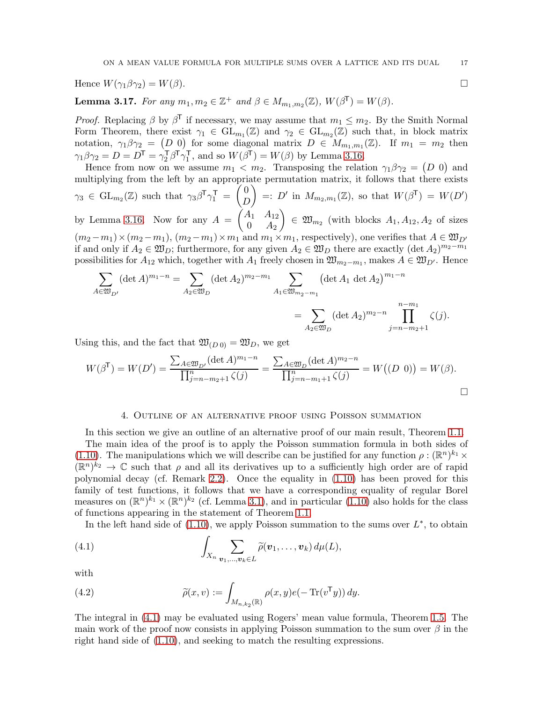Hence  $W(\gamma_1 \beta \gamma_2) = W(\beta)$ .

<span id="page-16-1"></span>**Lemma 3.17.** For any  $m_1, m_2 \in \mathbb{Z}^+$  and  $\beta \in M_{m_1,m_2}(\mathbb{Z})$ ,  $W(\beta^{\mathsf{T}}) = W(\beta)$ .

*Proof.* Replacing  $\beta$  by  $\beta^{\mathsf{T}}$  if necessary, we may assume that  $m_1 \leq m_2$ . By the Smith Normal Form Theorem, there exist  $\gamma_1 \in GL_{m_1}(\mathbb{Z})$  and  $\gamma_2 \in GL_{m_2}(\mathbb{Z})$  such that, in block matrix notation,  $\gamma_1 \beta \gamma_2 = (D 0)$  for some diagonal matrix  $D \in M_{m_1,m_1}(\mathbb{Z})$ . If  $m_1 = m_2$  then  $\gamma_1\beta\gamma_2=D=D^\mathsf{T}=\gamma_2^\mathsf{T}\beta^\mathsf{T}\gamma_1^\mathsf{T}$  $_1^{\mathsf{T}}$ , and so  $W(\beta^{\mathsf{T}}) = W(\beta)$  by Lemma [3.16.](#page-15-0)

Hence from now on we assume  $m_1 < m_2$ . Transposing the relation  $\gamma_1 \beta \gamma_2 = (D \ 0)$  and multiplying from the left by an appropriate permutation matrix, it follows that there exists  $\gamma_3 \in \mathrm{GL}_{m_2}(\mathbb{Z})$  such that  $\gamma_3 \beta^T \gamma_1^T =$  $\tilde{U}$  $\overline{D}$  $\Big)$  =: D' in  $M_{m_2,m_1}(\mathbb{Z})$ , so that  $W(\beta^{\mathsf{T}}) = W(D')$ by Lemma [3.16.](#page-15-0) Now for any  $A =$  $A_1$   $A_{12}$  $0 \quad A_2$  $\Big) \in \mathfrak{W}_{m_2}$  (with blocks  $A_1, A_{12}, A_2$  of sizes  $(m_2 - m_1) \times (m_2 - m_1), (m_2 - m_1) \times m_1$  and  $m_1 \times m_1$ , respectively), one verifies that  $A \in \mathfrak{W}_{D'}$ if and only if  $A_2 \in \mathfrak{W}_D$ ; furthermore, for any given  $A_2 \in \mathfrak{W}_D$  there are exactly  $(\det A_2)^{m_2-m_1}$ possibilities for  $A_{12}$  which, together with  $A_1$  freely chosen in  $\mathfrak{W}_{m_2-m_1}$ , makes  $A \in \mathfrak{W}_{D'}$ . Hence

$$
\sum_{A \in \mathfrak{W}_{D'}} (\det A)^{m_1 - n} = \sum_{A_2 \in \mathfrak{W}_D} (\det A_2)^{m_2 - m_1} \sum_{A_1 \in \mathfrak{W}_{m_2 - m_1}} (\det A_1 \det A_2)^{m_1 - n}
$$
  
= 
$$
\sum_{A_2 \in \mathfrak{W}_D} (\det A_2)^{m_2 - n} \prod_{j = n - m_2 + 1}^{n - m_1} \zeta(j).
$$

Using this, and the fact that  $\mathfrak{W}_{(D\,0)} = \mathfrak{W}_D$ , we get

$$
W(\beta^{\mathsf{T}}) = W(D') = \frac{\sum_{A \in \mathfrak{W}_{D'}} (\det A)^{m_1 - n}}{\prod_{j=n-m_2+1}^{n} \zeta(j)} = \frac{\sum_{A \in \mathfrak{W}_{D}} (\det A)^{m_2 - n}}{\prod_{j=n-m_1+1}^{n} \zeta(j)} = W((D \ 0)) = W(\beta).
$$

#### 4. Outline of an alternative proof using Poisson summation

<span id="page-16-0"></span>In this section we give an outline of an alternative proof of our main result, Theorem [1.1.](#page-3-1) The main idea of the proof is to apply the Poisson summation formula in both sides of [\(1.10\)](#page-3-0). The manipulations which we will describe can be justified for any function  $\rho : (\mathbb{R}^n)^{k_1} \times$  $(\mathbb{R}^n)^{k_2} \to \mathbb{C}$  such that  $\rho$  and all its derivatives up to a sufficiently high order are of rapid polynomial decay (cf. Remark [2.2\)](#page-5-4). Once the equality in [\(1.10\)](#page-3-0) has been proved for this family of test functions, it follows that we have a corresponding equality of regular Borel measures on  $(\mathbb{R}^n)^{k_1} \times (\mathbb{R}^n)^{k_2}$  (cf. Lemma [3.1\)](#page-7-6), and in particular [\(1.10\)](#page-3-0) also holds for the class of functions appearing in the statement of Theorem [1.1.](#page-3-1)

In the left hand side of  $(1.10)$ , we apply Poisson summation to the sums over  $L^*$ , to obtain

<span id="page-16-2"></span>(4.1) 
$$
\int_{X_n} \sum_{\mathbf{v}_1,\ldots,\mathbf{v}_k \in L} \widetilde{\rho}(\mathbf{v}_1,\ldots,\mathbf{v}_k) d\mu(L),
$$

with

<span id="page-16-3"></span>(4.2) 
$$
\widetilde{\rho}(x,v) := \int_{M_{n,k_2}(\mathbb{R})} \rho(x,y) e(-\operatorname{Tr}(v^{\mathsf{T}}y)) dy.
$$

The integral in [\(4.1\)](#page-16-2) may be evaluated using Rogers' mean value formula, Theorem [1.5.](#page-4-0) The main work of the proof now consists in applying Poisson summation to the sum over  $\beta$  in the right hand side of [\(1.10\)](#page-3-0), and seeking to match the resulting expressions.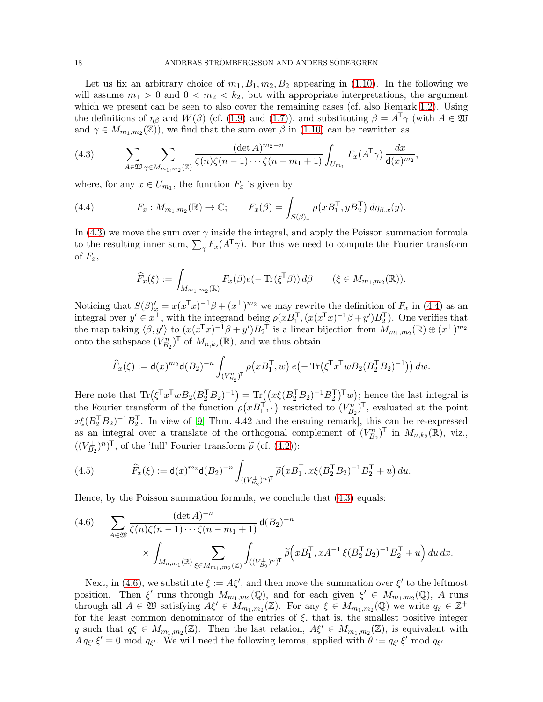Let us fix an arbitrary choice of  $m_1, B_1, m_2, B_2$  appearing in [\(1.10\)](#page-3-0). In the following we will assume  $m_1 > 0$  and  $0 < m_2 < k_2$ , but with appropriate interpretations, the argument which we present can be seen to also cover the remaining cases (cf. also Remark [1.2\)](#page-3-3). Using the definitions of  $\eta_\beta$  and  $W(\beta)$  (cf. [\(1.9\)](#page-2-2) and [\(1.7\)](#page-2-0)), and substituting  $\beta = A^T \gamma$  (with  $A \in \mathfrak{W}$ and  $\gamma \in M_{m_1,m_2}(\mathbb{Z})$ , we find that the sum over  $\beta$  in [\(1.10\)](#page-3-0) can be rewritten as

<span id="page-17-0"></span>(4.3) 
$$
\sum_{A \in \mathfrak{W}} \sum_{\gamma \in M_{m_1, m_2}(\mathbb{Z})} \frac{(\det A)^{m_2 - n}}{\zeta(n)\zeta(n-1)\cdots\zeta(n-m_1+1)} \int_{U_{m_1}} F_x(A^{\mathsf{T}}\gamma) \frac{dx}{\mathsf{d}(x)^{m_2}},
$$

where, for any  $x \in U_{m_1}$ , the function  $F_x$  is given by

<span id="page-17-1"></span>(4.4) 
$$
F_x: M_{m_1,m_2}(\mathbb{R}) \to \mathbb{C}; \qquad F_x(\beta) = \int_{S(\beta)_x} \rho(xB_1^\mathsf{T}, yB_2^\mathsf{T}) d\eta_{\beta,x}(y).
$$

In [\(4.3\)](#page-17-0) we move the sum over  $\gamma$  inside the integral, and apply the Poisson summation formula to the resulting inner sum,  $\sum_{\gamma} F_x(A^{\mathsf{T}} \gamma)$ . For this we need to compute the Fourier transform of  $F_x$ ,

$$
\widehat{F}_x(\xi) := \int_{M_{m_1,m_2}(\mathbb{R})} F_x(\beta) e(-\operatorname{Tr}(\xi^{\mathsf{T}} \beta)) d\beta \qquad (\xi \in M_{m_1,m_2}(\mathbb{R})).
$$

Noticing that  $S(\beta)'_x = x(x^{\mathsf{T}} x)^{-1} \beta + (x^{\perp})^{m_2}$  we may rewrite the definition of  $F_x$  in [\(4.4\)](#page-17-1) as an integral over  $y' \in x^{\perp}$ , with the integrand being  $\rho(xB_1^{\mathsf{T}},(x(x^{\mathsf{T}}x)^{-1}\beta+y')B_2^{\mathsf{T}})$ . One verifies that the map taking  $\langle \beta, y' \rangle$  to  $(x(x^Tx)^{-1}\beta + y')B_2^T$  is a linear bijection from  $M_{m_1,m_2}(\mathbb{R}) \oplus (x^{\perp})^{m_2}$ onto the subspace  $(V_{B_2}^n)^{\mathsf{T}}$  of  $M_{n,k_2}(\mathbb{R})$ , and we thus obtain

$$
\widehat{F}_x(\xi) := \mathrm{d}(x)^{m_2} \mathrm{d}(B_2)^{-n} \int_{(V_{B_2}^n)^{\text{T}}} \rho\big(xB_1^{\text{T}}, w\big) \, e\big(-\operatorname{Tr}\big(\xi^{\text{T}} x^{\text{T}} w B_2 (B_2^{\text{T}} B_2)^{-1}\big)\big) \, dw.
$$

Here note that  $\text{Tr}(\xi^{\mathsf{T}} x^{\mathsf{T}} w B_2 (B_2^{\mathsf{T}} B_2)^{-1}) = \text{Tr}((x\xi(B_2^{\mathsf{T}} B_2)^{-1} B_2^{\mathsf{T}})^{\mathsf{T}} w)$ ; hence the last integral is the Fourier transform of the function  $\rho(xB_1^{\mathsf{T}},\cdot)$  restricted to  $(V_{B_2}^n)^{\mathsf{T}}$ , evaluated at the point  $x\xi(B_2^{\mathsf{T}}B_2)^{-1}B_2^{\mathsf{T}}$ . In view of [\[9,](#page-33-19) Thm. 4.42 and the ensuing remark], this can be re-expressed as an integral over a translate of the orthogonal complement of  $(V_{B_2}^n)$ <sup>T</sup> in  $M_{n,k_2}(\mathbb{R})$ , viz.,  $((V_{B_2}^{\perp})^n)^{\mathsf{T}}$ , of the 'full' Fourier transform  $\widetilde{\rho}$  (cf. [\(4.2\)](#page-16-3)):

(4.5) 
$$
\widehat{F}_x(\xi) := \mathsf{d}(x)^{m_2} \mathsf{d}(B_2)^{-n} \int_{((V_{B_2}^{\perp})^n)^T} \widetilde{\rho}(x B_1^{\mathsf{T}}, x \xi (B_2^{\mathsf{T}} B_2)^{-1} B_2^{\mathsf{T}} + u) \, du.
$$

Hence, by the Poisson summation formula, we conclude that [\(4.3\)](#page-17-0) equals:

<span id="page-17-2"></span>(4.6) 
$$
\sum_{A \in \mathfrak{W}} \frac{(\det A)^{-n}}{\zeta(n)\zeta(n-1)\cdots\zeta(n-m_1+1)} d(B_2)^{-n}
$$

$$
\times \int_{M_{n,m_1}(\mathbb{R})} \sum_{\xi \in M_{m_1,m_2}(\mathbb{Z})} \int_{((V_{B_2}^{\perp})^n)^{\mathsf{T}}} \widetilde{\rho} \Big(xB_1^{\mathsf{T}}, xA^{-1}\xi(B_2^{\mathsf{T}}B_2)^{-1}B_2^{\mathsf{T}} + u\Big) du dx.
$$

Next, in [\(4.6\)](#page-17-2), we substitute  $\xi := A \xi'$ , and then move the summation over  $\xi'$  to the leftmost position. Then  $\xi'$  runs through  $M_{m_1,m_2}(\mathbb{Q})$ , and for each given  $\xi' \in M_{m_1,m_2}(\mathbb{Q})$ , A runs through all  $A \in \mathfrak{W}$  satisfying  $A\xi' \in M_{m_1,m_2}(\mathbb{Z})$ . For any  $\xi \in M_{m_1,m_2}(\mathbb{Q})$  we write  $q_{\xi} \in \mathbb{Z}^+$ for the least common denominator of the entries of  $\xi$ , that is, the smallest positive integer q such that  $q\xi \in M_{m_1,m_2}(\mathbb{Z})$ . Then the last relation,  $A\xi' \in M_{m_1,m_2}(\mathbb{Z})$ , is equivalent with  $A q_{\xi'} \xi' \equiv 0 \mod q_{\xi'}$ . We will need the following lemma, applied with  $\theta := q_{\xi'} \xi' \mod q_{\xi'}$ .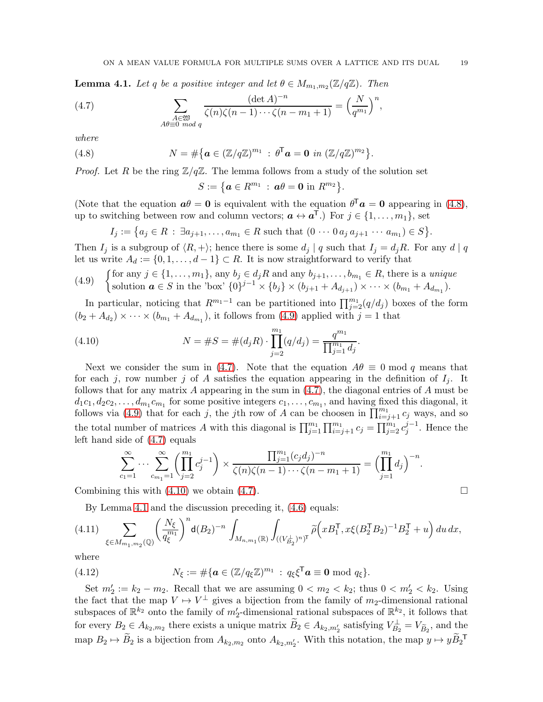<span id="page-18-4"></span>**Lemma 4.1.** Let q be a positive integer and let  $\theta \in M_{m_1,m_2}(\mathbb{Z}/q\mathbb{Z})$ . Then

<span id="page-18-2"></span>(4.7) 
$$
\sum_{\substack{A \in \mathfrak{W} \\ A\theta \equiv 0 \bmod q}} \frac{(\det A)^{-n}}{\zeta(n)\zeta(n-1)\cdots\zeta(n-m_1+1)} = \left(\frac{N}{q^{m_1}}\right)^n,
$$

where

<span id="page-18-0"></span>(4.8) 
$$
N = \#\big\{\boldsymbol{a} \in (\mathbb{Z}/q\mathbb{Z})^{m_1} : \boldsymbol{\theta}^{\mathsf{T}}\boldsymbol{a} = \boldsymbol{0} \text{ in } (\mathbb{Z}/q\mathbb{Z})^{m_2}\big\}.
$$

*Proof.* Let R be the ring  $\mathbb{Z}/q\mathbb{Z}$ . The lemma follows from a study of the solution set

$$
S:=\big\{\boldsymbol{a}\in R^{m_1}\ :\ \boldsymbol{a}\theta=\boldsymbol{0}\ \text{in}\ R^{m_2}\big\}.
$$

(Note that the equation  $a\theta = 0$  is equivalent with the equation  $\theta^{\mathsf{T}} a = 0$  appearing in [\(4.8\)](#page-18-0), up to switching between row and column vectors;  $\mathbf{a} \leftrightarrow \mathbf{a}^{\mathsf{T}}$ .) For  $j \in \{1, \ldots, m_1\}$ , set

$$
I_j := \big\{ a_j \in R \, : \, \exists a_{j+1}, \dots, a_{m_1} \in R \text{ such that } (0 \cdots 0 a_j a_{j+1} \cdots a_{m_1}) \in S \big\}.
$$

Then  $I_j$  is a subgroup of  $\langle R, + \rangle$ ; hence there is some  $d_j | q$  such that  $I_j = d_j R$ . For any  $d | q$ let us write  $A_d := \{0, 1, \ldots, d-1\} \subset R$ . It is now straightforward to verify that

<span id="page-18-1"></span>(4.9) {for any 
$$
j \in \{1, \ldots, m_1\}
$$
, any  $b_j \in d_j R$  and any  $b_{j+1}, \ldots, b_{m_1} \in R$ , there is a unique solution  $\mathbf{a} \in S$  in the 'box'  $\{0\}^{j-1} \times \{b_j\} \times (b_{j+1} + A_{d_{j+1}}) \times \cdots \times (b_{m_1} + A_{d_{m_1}}).$ 

In particular, noticing that  $R^{m_1-1}$  can be partitioned into  $\prod_{j=2}^{m_1}(q/d_j)$  boxes of the form  $(b_2 + A_{d_2}) \times \cdots \times (b_{m_1} + A_{d_{m_1}})$ , it follows from [\(4.9\)](#page-18-1) applied with  $j = 1$  that

<span id="page-18-3"></span>(4.10) 
$$
N = \#S = \#(d_j R) \cdot \prod_{j=2}^{m_1} (q/d_j) = \frac{q^{m_1}}{\prod_{j=1}^{m_1} d_j}.
$$

Next we consider the sum in [\(4.7\)](#page-18-2). Note that the equation  $A\theta \equiv 0 \text{ mod } q$  means that for each j, row number j of A satisfies the equation appearing in the definition of  $I_j$ . It follows that for any matrix A appearing in the sum in  $(4.7)$ , the diagonal entries of A must be  $d_1c_1, d_2c_2, \ldots, d_{m_1}c_{m_1}$  for some positive integers  $c_1, \ldots, c_{m_1}$ , and having fixed this diagonal, it follows via [\(4.9\)](#page-18-1) that for each j, the jth row of A can be choosen in  $\prod_{i=j+1}^{m_1} c_j$  ways, and so the total number of matrices A with this diagonal is  $\prod_{j=1}^{m_1} \prod_{i=j+1}^{m_1} c_j = \prod_{j=2}^{m_1} c_j^{j-1}$  $j^{-1}$ . Hence the left hand side of [\(4.7\)](#page-18-2) equals

$$
\sum_{c_1=1}^{\infty} \cdots \sum_{c_{m_1}=1}^{\infty} \left( \prod_{j=2}^{m_1} c_j^{j-1} \right) \times \frac{\prod_{j=1}^{m_1} (c_j d_j)^{-n}}{\zeta(n) \zeta(n-1) \cdots \zeta(n-m_1+1)} = \left( \prod_{j=1}^{m_1} d_j \right)^{-n}.
$$

Combining this with  $(4.10)$  we obtain  $(4.7)$ .

By Lemma [4.1](#page-18-4) and the discussion preceding it, [\(4.6\)](#page-17-2) equals:

<span id="page-18-5"></span>
$$
(4.11) \sum_{\xi \in M_{m_1,m_2}({\mathbb Q})} \left(\frac{N_{\xi}}{q_{\xi}^{m_1}}\right)^n \mathbf{d}(B_2)^{-n} \, \int_{M_{n,m_1}({\mathbb R})} \int_{((V_{B_2}^{\perp})^n)^{\mathsf{T}}} \widetilde{\rho}\Big(xB_1^{\mathsf{T}}, x\xi (B_2^{\mathsf{T}} B_2)^{-1} B_2^{\mathsf{T}} + u\Big) \, du \, dx,
$$

where

<span id="page-18-6"></span>(4.12) 
$$
N_{\xi} := \#\{\boldsymbol{a} \in (\mathbb{Z}/q_{\xi}\mathbb{Z})^{m_1} : q_{\xi}\xi^{\mathsf{T}}\boldsymbol{a} \equiv \boldsymbol{0} \bmod q_{\xi}\}.
$$

Set  $m'_2 := k_2 - m_2$ . Recall that we are assuming  $0 < m_2 < k_2$ ; thus  $0 < m'_2 < k_2$ . Using the fact that the map  $V \mapsto V^{\perp}$  gives a bijection from the family of  $m_2$ -dimensional rational subspaces of  $\mathbb{R}^{k_2}$  onto the family of  $m'_2$ -dimensional rational subspaces of  $\mathbb{R}^{k_2}$ , it follows that for every  $B_2 \in A_{k_2,m_2}$  there exists a unique matrix  $B_2 \in A_{k_2,m'_2}$  satisfying  $V_{B_2}^{\perp} = V_{\widetilde{B}_2}$ , and the map  $B_2 \mapsto \widetilde{B}_2$  is a bijection from  $A_{k_2,m_2}$  onto  $A_{k_2,m_2'}$ . With this notation, the map  $y \mapsto y \widetilde{B}_2$ <sup>T</sup>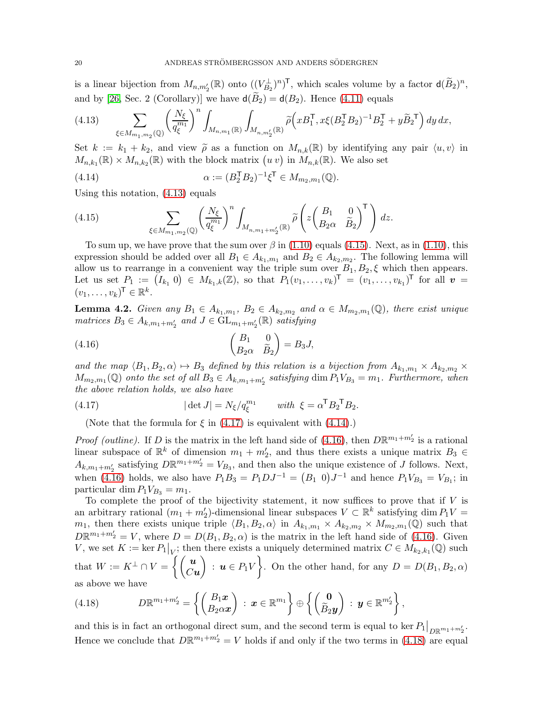is a linear bijection from  $M_{n,m'_2}(\mathbb{R})$  onto  $((V_{B_2}^{\perp})^n)^{\mathsf{T}}$ , which scales volume by a factor  $d(\widetilde{B}_2)^n$ , and by [\[26,](#page-33-20) Sec. 2 (Corollary)] we have  $d(\tilde{B}_2) = d(B_2)$ . Hence [\(4.11\)](#page-18-5) equals

<span id="page-19-0"></span>
$$
(4.13) \qquad \sum_{\xi \in M_{m_1, m_2}(\mathbb{Q})} \left( \frac{N_{\xi}}{q_{\xi}^{m_1}} \right)^n \int_{M_{n, m_1}(\mathbb{R})} \int_{M_{n, m_2'}(\mathbb{R})} \widetilde{\rho} \Big( x B_1^{\mathsf{T}}, x \xi (B_2^{\mathsf{T}} B_2)^{-1} B_2^{\mathsf{T}} + y \widetilde{B}_2^{\mathsf{T}} \Big) \, dy \, dx,
$$

Set  $k := k_1 + k_2$ , and view  $\tilde{\rho}$  as a function on  $M_{n,k}(\mathbb{R})$  by identifying any pair  $\langle u, v \rangle$  in  $M_{n,k_1}(\mathbb{R}) \times M_{n,k_2}(\mathbb{R})$  with the block matrix  $(u v)$  in  $M_{n,k}(\mathbb{R})$ . We also set

<span id="page-19-3"></span>(4.14) 
$$
\alpha := (B_2^{\mathsf{T}} B_2)^{-1} \xi^{\mathsf{T}} \in M_{m_2, m_1}(\mathbb{Q}).
$$

Using this notation, [\(4.13\)](#page-19-0) equals

<span id="page-19-1"></span>(4.15) 
$$
\sum_{\xi \in M_{m_1,m_2}(\mathbb{Q})} \left(\frac{N_{\xi}}{q_{\xi}^{m_1}}\right)^n \int_{M_{n,m_1+m_2'}(\mathbb{R})} \widetilde{\rho}\left(z \begin{pmatrix} B_1 & 0 \\ B_2 \alpha & \widetilde{B}_2 \end{pmatrix}^{\mathsf{T}}\right) dz.
$$

To sum up, we have prove that the sum over  $\beta$  in [\(1.10\)](#page-3-0) equals [\(4.15\)](#page-19-1). Next, as in (1.10), this expression should be added over all  $B_1 \in A_{k_1,m_1}$  and  $B_2 \in A_{k_2,m_2}$ . The following lemma will allow us to rearrange in a convenient way the triple sum over  $B_1, B_2, \xi$  which then appears. Let us set  $P_1 := (I_{k_1} \ 0) \in M_{k_1,k}(\mathbb{Z})$ , so that  $P_1(v_1,\ldots,v_k)^\mathsf{T} = (v_1,\ldots,v_{k_1})^\mathsf{T}$  for all  $v =$  $(v_1, \ldots, v_k)^\mathsf{T} \in \mathbb{R}^k$ .

<span id="page-19-6"></span>**Lemma 4.2.** Given any  $B_1 \in A_{k_1,m_1}$ ,  $B_2 \in A_{k_2,m_2}$  and  $\alpha \in M_{m_2,m_1}(\mathbb{Q})$ , there exist unique matrices  $B_3 \in A_{k,m_1+m'_2}$  and  $J \in GL_{m_1+m'_2}(\mathbb{R})$  satisfying

<span id="page-19-4"></span>(4.16) 
$$
\begin{pmatrix} B_1 & 0 \ B_2 \alpha & \widetilde{B}_2 \end{pmatrix} = B_3 J,
$$

and the map  $\langle B_1, B_2, \alpha \rangle \mapsto B_3$  defined by this relation is a bijection from  $A_{k_1,m_1} \times A_{k_2,m_2} \times$  $M_{m_2,m_1}(\mathbb{Q})$  onto the set of all  $B_3 \in A_{k,m_1+m'_2}$  satisfying  $\dim P_1V_{B_3} = m_1$ . Furthermore, when the above relation holds, we also have

<span id="page-19-2"></span>(4.17) 
$$
|\det J| = N_{\xi}/q_{\xi}^{m_1} \quad \text{with } \xi = \alpha^{\mathsf{T}} B_2^{\mathsf{T}} B_2.
$$

(Note that the formula for  $\xi$  in [\(4.17\)](#page-19-2) is equivalent with [\(4.14\)](#page-19-3).)

*Proof (outline)*. If D is the matrix in the left hand side of [\(4.16\)](#page-19-4), then  $D\mathbb{R}^{m_1+m'_2}$  is a rational linear subspace of  $\mathbb{R}^k$  of dimension  $m_1 + m'_2$ , and thus there exists a unique matrix  $B_3 \in$  $A_{k,m_1+m'_2}$  satisfying  $D\mathbb{R}^{m_1+m'_2} = V_{B_3}$ , and then also the unique existence of J follows. Next, when [\(4.16\)](#page-19-4) holds, we also have  $P_1B_3 = P_1DJ^{-1} = (B_1 \ 0)J^{-1}$  and hence  $P_1V_{B_3} = V_{B_1}$ ; in particular dim  $P_1V_{B_3} = m_1$ .

To complete the proof of the bijectivity statement, it now suffices to prove that if  $V$  is an arbitrary rational  $(m_1 + m_2')$ -dimensional linear subspaces  $V \subset \mathbb{R}^k$  satisfying dim  $P_1V =$  $m_1$ , then there exists unique triple  $\langle B_1, B_2, \alpha \rangle$  in  $A_{k_1,m_1} \times A_{k_2,m_2} \times M_{m_2,m_1}(\mathbb{Q})$  such that  $D\mathbb{R}^{m_1+m_2'}=V$ , where  $D=D(B_1,B_2,\alpha)$  is the matrix in the left hand side of [\(4.16\)](#page-19-4). Given V, we set  $K := \ker P_1|_V$ ; then there exists a uniquely determined matrix  $C \in M_{k_2, k_1}(\mathbb{Q})$  such that  $W := K^{\perp} \cap V = \left\{ \begin{pmatrix} u \\ Cv \end{pmatrix} \right\}$  $Cu$  $\overline{ }$ :  $\mathbf{u} \in P_1 V$  $\mathcal{L}$ . On the other hand, for any  $D = D(B_1, B_2, \alpha)$ as above we have

<span id="page-19-5"></span>(4.18) 
$$
D\mathbb{R}^{m_1+m_2'}=\left\{\begin{pmatrix}B_1x\\B_2\alpha x\end{pmatrix}\,:\,x\in\mathbb{R}^{m_1}\right\}\oplus\left\{\begin{pmatrix}\mathbf{0}\\ \widetilde{B}_2\mathbf{y}\end{pmatrix}\,:\,\mathbf{y}\in\mathbb{R}^{m_2'}\right\},
$$

and this is in fact an orthogonal direct sum, and the second term is equal to ker  $P_1|_{D\mathbb{R}^{m_1+m'_2}}$ . Hence we conclude that  $D\mathbb{R}^{m_1+m_2'}=V$  holds if and only if the two terms in [\(4.18\)](#page-19-5) are equal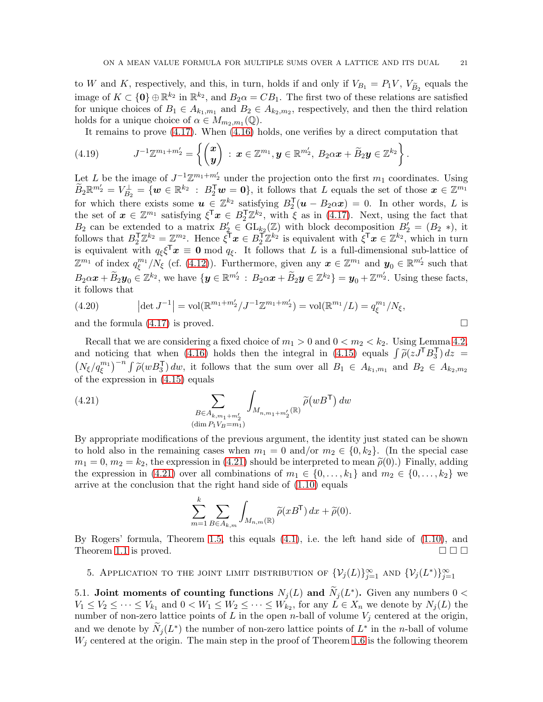to W and K, respectively, and this, in turn, holds if and only if  $V_{B_1} = P_1V$ ,  $V_{\widetilde{B}_2}$  equals the image of  $K \subset \{0\} \oplus \mathbb{R}^{k_2}$  in  $\mathbb{R}^{k_2}$ , and  $B_2 \alpha = CB_1$ . The first two of these relations are satisfied for unique choices of  $B_1 \in A_{k_1,m_1}$  and  $B_2 \in A_{k_2,m_2}$ , respectively, and then the third relation holds for a unique choice of  $\alpha \in M_{m_2,m_1}(\mathbb{Q})$ .

It remains to prove [\(4.17\)](#page-19-2). When [\(4.16\)](#page-19-4) holds, one verifies by a direct computation that

$$
(4.19) \t J^{-1}\mathbb{Z}^{m_1+m_2'}=\left\{\begin{pmatrix}\boldsymbol{x}\\ \boldsymbol{y}\end{pmatrix}\,:\, \boldsymbol{x}\in\mathbb{Z}^{m_1},\boldsymbol{y}\in\mathbb{R}^{m_2'},\ B_2\alpha\boldsymbol{x}+\widetilde{B}_2\boldsymbol{y}\in\mathbb{Z}^{k_2}\right\}.
$$

Let L be the image of  $J^{-1}\mathbb{Z}^{m_1+m'_2}$  under the projection onto the first  $m_1$  coordinates. Using  $\widetilde{B}_2\mathbb{R}^{m'_2} = V_{B_2}^{\perp} = \{w \in \mathbb{R}^{k_2} : B_2^{\mathsf{T}}w = 0\}$ , it follows that L equals the set of those  $x \in \mathbb{Z}^{m_1}$ for which there exists some  $u \in \mathbb{Z}^{k_2}$  satisfying  $B_2^{\mathsf{T}}(u - B_2 \alpha x) = 0$ . In other words, L is the set of  $\mathbf{x} \in \mathbb{Z}^{m_1}$  satisfying  $\xi^{\mathsf{T}}\mathbf{x} \in B_2^{\mathsf{T}}\mathbb{Z}^{k_2}$ , with  $\xi$  as in [\(4.17\)](#page-19-2). Next, using the fact that  $B_2$  can be extended to a matrix  $B'_2 \in GL_{k_2}(\mathbb{Z})$  with block decomposition  $B'_2 = (B_2 *),$  it follows that  $B_2^{\mathsf{T}}\mathbb{Z}^{k_2} = \mathbb{Z}^{m_2}$ . Hence  $\xi^{\mathsf{T}}x \in B_2^{\mathsf{T}}\mathbb{Z}^{k_2}$  is equivalent with  $\xi^{\mathsf{T}}x \in \mathbb{Z}^{k_2}$ , which in turn is equivalent with  $q_{\xi} \xi^{\mathsf{T}} x \equiv 0 \mod q_{\xi}$ . It follows that L is a full-dimensional sub-lattice of  $\mathbb{Z}^{m_1}$  of index  $q_\varepsilon^{m_1}$  $\mathcal{L}_{\xi}^{m_1}/\mathcal{N}_{\xi}$  (cf. [\(4.12\)](#page-18-6)). Furthermore, given any  $\boldsymbol{x} \in \mathbb{Z}^{m_1}$  and  $\boldsymbol{y}_0 \in \mathbb{R}^{m'_2}$  such that  $B_2\alpha x + \widetilde{B}_2y_0 \in \mathbb{Z}^{k_2}$ , we have  $\{y \in \mathbb{R}^{m'_2} : B_2\alpha x + \widetilde{B}_2y \in \mathbb{Z}^{k_2}\} = y_0 + \mathbb{Z}^{m'_2}$ . Using these facts, it follows that

(4.20) 
$$
|\det J^{-1}| = \text{vol}(\mathbb{R}^{m_1+m'_2}/J^{-1}\mathbb{Z}^{m_1+m'_2}) = \text{vol}(\mathbb{R}^{m_1}/L) = q_{\xi}^{m_1}/N_{\xi},
$$
  
and the formula (4.17) is proved.

Recall that we are considering a fixed choice of  $m_1 > 0$  and  $0 < m_2 < k_2$ . Using Lemma [4.2,](#page-19-6) and noticing that when [\(4.16\)](#page-19-4) holds then the integral in [\(4.15\)](#page-19-1) equals  $\int \tilde{\rho}(z J^{\mathsf{T}} B_3^{\mathsf{T}}) dz =$  $(N_{\xi}/q_{\xi}^{m_1})^{-n} \int \widetilde{\rho}(wB_3^{\sf T}) dw$ , it follows that the sum over all  $B_1 \in A_{k_1,m_1}$  and  $B_2 \in A_{k_2,m_2}$ of the expression in [\(4.15\)](#page-19-1) equals

<span id="page-20-2"></span>(4.21) 
$$
\sum_{\substack{B \in A_{k,m_1+m_2'} \\ (\dim P_1 V_B = m_1)}} \int_{M_{n,m_1+m_2'}(\mathbb{R})} \widetilde{\rho}(wB^{\mathsf{T}}) \, dw
$$

By appropriate modifications of the previous argument, the identity just stated can be shown to hold also in the remaining cases when  $m_1 = 0$  and/or  $m_2 \in \{0, k_2\}$ . (In the special case  $m_1 = 0$ ,  $m_2 = k_2$ , the expression in [\(4.21\)](#page-20-2) should be interpreted to mean  $\tilde{\rho}(0)$ .) Finally, adding the expression in [\(4.21\)](#page-20-2) over all combinations of  $m_1 \in \{0, \ldots, k_1\}$  and  $m_2 \in \{0, \ldots, k_2\}$  we arrive at the conclusion that the right hand side of [\(1.10\)](#page-3-0) equals

$$
\sum_{m=1}^k \sum_{B \in A_{k,m}} \int_{M_{n,m}(\mathbb{R})} \widetilde{\rho}(x B^{\mathsf{T}}) \, dx + \widetilde{\rho}(0).
$$

By Rogers' formula, Theorem [1.5,](#page-4-0) this equals [\(4.1\)](#page-16-2), i.e. the left hand side of [\(1.10\)](#page-3-0), and Theorem [1.1](#page-3-1) is proved.  $\square \square$ 

<span id="page-20-0"></span>5. Application to the joint limit distribution of  $\{ \mathcal{V}_j(L) \}_{j=1}^{\infty}$  and  $\{ \mathcal{V}_j(L^*) \}_{j=1}^{\infty}$ 

<span id="page-20-1"></span>5.1. Joint moments of counting functions  $N_j(L)$  and  $N_j(L^*)$ . Given any numbers  $0 <$  $V_1 \leq V_2 \leq \cdots \leq V_{k_1}$  and  $0 \lt W_1 \leq W_2 \leq \cdots \leq W_{k_2}$ , for any  $L \in X_n$  we denote by  $N_j(L)$  the number of non-zero lattice points of L in the open n-ball of volume  $V_i$  centered at the origin, and we denote by  $\widetilde{N}_j(L^*)$  the number of non-zero lattice points of  $L^*$  in the *n*-ball of volume  $W_i$  centered at the origin. The main step in the proof of Theorem [1.6](#page-4-2) is the following theorem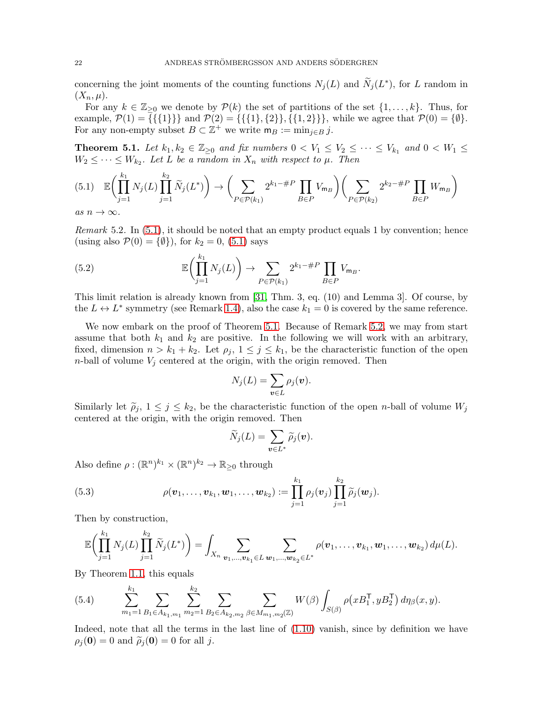concerning the joint moments of the counting functions  $N_j(L)$  and  $\widetilde{N}_j(L^*)$ , for L random in  $(X_n, \mu).$ 

For any  $k \in \mathbb{Z}_{\geq 0}$  we denote by  $\mathcal{P}(k)$  the set of partitions of the set  $\{1, \ldots, k\}$ . Thus, for example,  $\mathcal{P}(1) = \{\{\{1\}\}\}\$ and  $\mathcal{P}(2) = \{\{\{1\},\{2\}\},\{\{1,2\}\}\}\$ , while we agree that  $\mathcal{P}(0) = \{\emptyset\}.$ For any non-empty subset  $B \subset \mathbb{Z}^+$  we write  $\mathsf{m}_B := \min_{j \in B} j$ .

<span id="page-21-1"></span>**Theorem 5.1.** Let  $k_1, k_2 \in \mathbb{Z}_{\geq 0}$  and fix numbers  $0 \lt V_1 \leq V_2 \leq \cdots \leq V_{k_1}$  and  $0 \lt W_1 \leq$  $W_2 \leq \cdots \leq W_{k_2}$ . Let L be a random in  $X_n$  with respect to  $\mu$ . Then

<span id="page-21-0"></span>
$$
(5.1) \mathbb{E}\left(\prod_{j=1}^{k_1} N_j(L)\prod_{j=1}^{k_2} \widetilde{N}_j(L^*)\right) \to \left(\sum_{P \in \mathcal{P}(k_1)} 2^{k_1 - \#P} \prod_{B \in P} V_{\mathsf{m}_B}\right) \left(\sum_{P \in \mathcal{P}(k_2)} 2^{k_2 - \#P} \prod_{B \in P} W_{\mathsf{m}_B}\right)
$$
\nas  $n \to \infty$ .

<span id="page-21-2"></span>*Remark* 5.2. In  $(5.1)$ , it should be noted that an empty product equals 1 by convention; hence (using also  $\mathcal{P}(0) = \{\emptyset\}$ ), for  $k_2 = 0$ , [\(5.1\)](#page-21-0) says

(5.2) 
$$
\mathbb{E}\left(\prod_{j=1}^{k_1} N_j(L)\right) \to \sum_{P \in \mathcal{P}(k_1)} 2^{k_1 - \#P} \prod_{B \in P} V_{\mathsf{m}_B}.
$$

This limit relation is already known from [\[31,](#page-33-5) Thm. 3, eq. (10) and Lemma 3]. Of course, by the  $L \leftrightarrow L^*$  symmetry (see Remark [1.4\)](#page-3-2), also the case  $k_1 = 0$  is covered by the same reference.

We now embark on the proof of Theorem [5.1.](#page-21-1) Because of Remark [5.2,](#page-21-2) we may from start assume that both  $k_1$  and  $k_2$  are positive. In the following we will work with an arbitrary, fixed, dimension  $n > k_1 + k_2$ . Let  $\rho_j$ ,  $1 \leq j \leq k_1$ , be the characteristic function of the open *n*-ball of volume  $V_j$  centered at the origin, with the origin removed. Then

$$
N_j(L) = \sum_{\boldsymbol{v} \in L} \rho_j(\boldsymbol{v}).
$$

Similarly let  $\tilde{\rho}_j$ ,  $1 \leq j \leq k_2$ , be the characteristic function of the open *n*-ball of volume  $W_j$ centered at the origin, with the origin removed. Then

$$
\widetilde{N}_j(L) = \sum_{\bm{v} \in L^*} \widetilde{\rho}_j(\bm{v}).
$$

Also define  $\rho: (\mathbb{R}^n)^{k_1} \times (\mathbb{R}^n)^{k_2} \to \mathbb{R}_{\geq 0}$  through

<span id="page-21-4"></span>(5.3) 
$$
\rho(\boldsymbol{v}_1,\ldots,\boldsymbol{v}_{k_1},\boldsymbol{w}_1,\ldots,\boldsymbol{w}_{k_2}) := \prod_{j=1}^{k_1} \rho_j(\boldsymbol{v}_j) \prod_{j=1}^{k_2} \widetilde{\rho}_j(\boldsymbol{w}_j).
$$

Then by construction,

$$
\mathbb{E}\biggl(\prod_{j=1}^{k_1} N_j(L)\prod_{j=1}^{k_2} \widetilde{N}_j(L^*)\biggr) = \int_{X_n} \sum_{\mathbf{v}_1,\dots,\mathbf{v}_{k_1} \in L} \sum_{\mathbf{w}_1,\dots,\mathbf{w}_{k_2} \in L^*} \rho(\mathbf{v}_1,\dots,\mathbf{v}_{k_1},\mathbf{w}_1,\dots,\mathbf{w}_{k_2}) d\mu(L).
$$

By Theorem [1.1,](#page-3-1) this equals

<span id="page-21-3"></span>(5.4) 
$$
\sum_{m_1=1}^{k_1} \sum_{B_1 \in A_{k_1,m_1}} \sum_{m_2=1}^{k_2} \sum_{B_2 \in A_{k_2,m_2}} \sum_{\beta \in M_{m_1,m_2}(\mathbb{Z})} W(\beta) \int_{S(\beta)} \rho(xB_1^\mathsf{T}, yB_2^\mathsf{T}) d\eta_\beta(x,y).
$$

Indeed, note that all the terms in the last line of [\(1.10\)](#page-3-0) vanish, since by definition we have  $\rho_i(\mathbf{0}) = 0$  and  $\tilde{\rho}_i(\mathbf{0}) = 0$  for all j.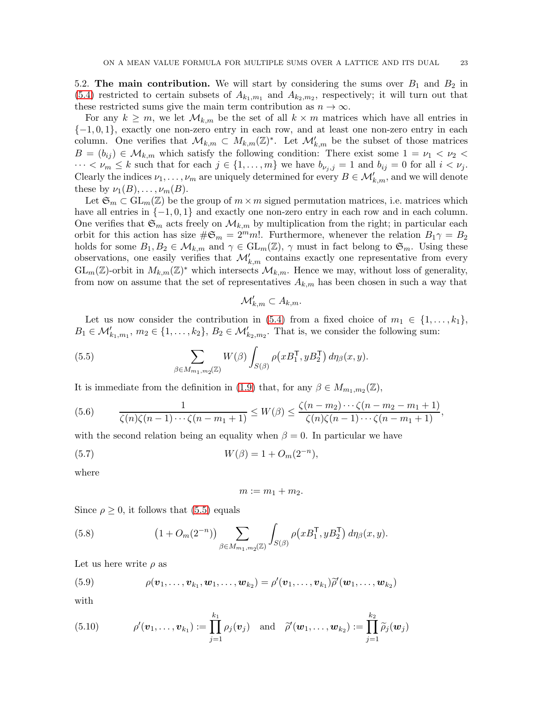<span id="page-22-0"></span>5.2. The main contribution. We will start by considering the sums over  $B_1$  and  $B_2$  in  $(5.4)$  restricted to certain subsets of  $A_{k_1,m_1}$  and  $A_{k_2,m_2}$ , respectively; it will turn out that these restricted sums give the main term contribution as  $n \to \infty$ .

For any  $k \geq m$ , we let  $\mathcal{M}_{k,m}$  be the set of all  $k \times m$  matrices which have all entries in  $\{-1,0,1\}$ , exactly one non-zero entry in each row, and at least one non-zero entry in each column. One verifies that  $\mathcal{M}_{k,m} \subset M_{k,m}(\mathbb{Z})^*$ . Let  $\mathcal{M}'_{k,m}$  be the subset of those matrices  $B = (b_{ij}) \in \mathcal{M}_{k,m}$  which satisfy the following condition: There exist some  $1 = \nu_1 < \nu_2 <$  $\cdots < \nu_m \leq k$  such that for each  $j \in \{1, \ldots, m\}$  we have  $b_{\nu_j, j} = 1$  and  $b_{ij} = 0$  for all  $i < \nu_j$ . Clearly the indices  $\nu_1, \ldots, \nu_m$  are uniquely determined for every  $B \in \mathcal{M}'_{k,m}$ , and we will denote these by  $\nu_1(B), \ldots, \nu_m(B)$ .

Let  $\mathfrak{S}_m \subset \mathrm{GL}_m(\mathbb{Z})$  be the group of  $m \times m$  signed permutation matrices, i.e. matrices which have all entries in  $\{-1, 0, 1\}$  and exactly one non-zero entry in each row and in each column. One verifies that  $\mathfrak{S}_m$  acts freely on  $\mathcal{M}_{k,m}$  by multiplication from the right; in particular each orbit for this action has size  $\#\mathfrak{S}_m = 2^m m!$ . Furthermore, whenever the relation  $B_1 \gamma = B_2$ holds for some  $B_1, B_2 \in \mathcal{M}_{k,m}$  and  $\gamma \in GL_m(\mathbb{Z}), \gamma$  must in fact belong to  $\mathfrak{S}_m$ . Using these observations, one easily verifies that  $\mathcal{M}'_{k,m}$  contains exactly one representative from every  $GL_m(\mathbb{Z})$ -orbit in  $M_{k,m}(\mathbb{Z})^*$  which intersects  $\mathcal{M}_{k,m}$ . Hence we may, without loss of generality, from now on assume that the set of representatives  $A_{k,m}$  has been chosen in such a way that

$$
\mathcal{M}'_{k,m} \subset A_{k,m}.
$$

Let us now consider the contribution in [\(5.4\)](#page-21-3) from a fixed choice of  $m_1 \in \{1, \ldots, k_1\}$ ,  $B_1 \in \mathcal{M}'_{k_1,m_1}, m_2 \in \{1,\ldots,k_2\}, B_2 \in \mathcal{M}'_{k_2,m_2}$ . That is, we consider the following sum:

<span id="page-22-1"></span>(5.5) 
$$
\sum_{\beta \in M_{m_1,m_2}(\mathbb{Z})} W(\beta) \int_{S(\beta)} \rho(xB_1^{\mathsf{T}}, yB_2^{\mathsf{T}}) d\eta_{\beta}(x,y).
$$

It is immediate from the definition in [\(1.9\)](#page-2-2) that, for any  $\beta \in M_{m_1,m_2}(\mathbb{Z})$ ,

(5.6) 
$$
\frac{1}{\zeta(n)\zeta(n-1)\cdots\zeta(n-m_1+1)} \le W(\beta) \le \frac{\zeta(n-m_2)\cdots\zeta(n-m_2-m_1+1)}{\zeta(n)\zeta(n-1)\cdots\zeta(n-m_1+1)},
$$

with the second relation being an equality when  $\beta = 0$ . In particular we have

<span id="page-22-4"></span>(5.7) 
$$
W(\beta) = 1 + O_m(2^{-n}),
$$

where

$$
m:=m_1+m_2.
$$

Since  $\rho \geq 0$ , it follows that [\(5.5\)](#page-22-1) equals

<span id="page-22-2"></span>(5.8) 
$$
(1 + O_m(2^{-n})) \sum_{\beta \in M_{m_1, m_2}(\mathbb{Z})} \int_{S(\beta)} \rho(xB_1^{\mathsf{T}}, yB_2^{\mathsf{T}}) d\eta_{\beta}(x, y).
$$

Let us here write  $\rho$  as

(5.9) 
$$
\rho(\mathbf{v}_1,\ldots,\mathbf{v}_{k_1},\mathbf{w}_1,\ldots,\mathbf{w}_{k_2}) = \rho'(\mathbf{v}_1,\ldots,\mathbf{v}_{k_1})\widetilde{\rho}'(\mathbf{w}_1,\ldots,\mathbf{w}_{k_2})
$$

with

<span id="page-22-3"></span>(5.10) 
$$
\rho'(\boldsymbol{v}_1,\ldots,\boldsymbol{v}_{k_1}) := \prod_{j=1}^{k_1} \rho_j(\boldsymbol{v}_j) \text{ and } \widetilde{\rho}'(\boldsymbol{w}_1,\ldots,\boldsymbol{w}_{k_2}) := \prod_{j=1}^{k_2} \widetilde{\rho}_j(\boldsymbol{w}_j)
$$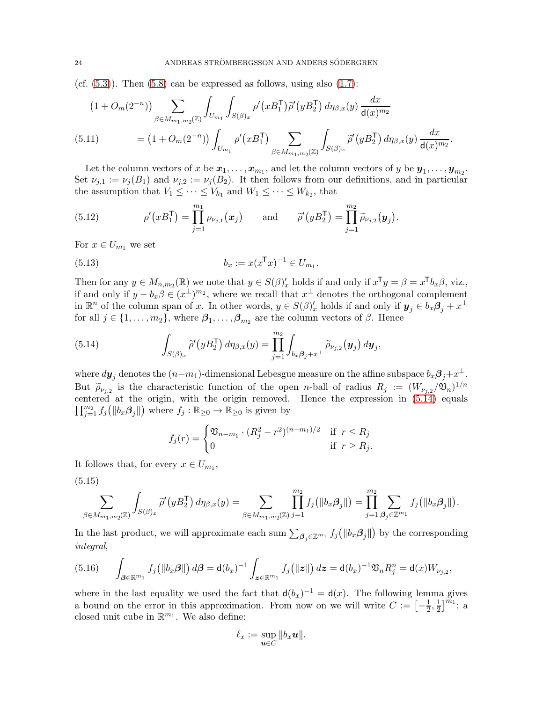(cf.  $(5.3)$ ). Then  $(5.8)$  can be expressed as follows, using also  $(1.7)$ :

<span id="page-23-3"></span>
$$
(1 + O_m(2^{-n})) \sum_{\beta \in M_{m_1, m_2}(\mathbb{Z})} \int_{U_{m_1}} \int_{S(\beta)_x} \rho'(x B_1^{\mathsf{T}}) \widetilde{\rho}'(y B_2^{\mathsf{T}}) d\eta_{\beta, x}(y) \frac{dx}{\mathsf{d}(x)^{m_2}}
$$
  
(5.11) 
$$
= (1 + O_m(2^{-n})) \int_{U_{m_1}} \rho'(x B_1^{\mathsf{T}}) \sum_{\beta \in M_{m_1, m_2}(\mathbb{Z})} \int_{S(\beta)_x} \widetilde{\rho}'(y B_2^{\mathsf{T}}) d\eta_{\beta, x}(y) \frac{dx}{\mathsf{d}(x)^{m_2}}.
$$

Let the column vectors of x be  $x_1, \ldots, x_{m_1}$ , and let the column vectors of y be  $y_1, \ldots, y_{m_2}$ . Set  $\nu_{j,1} := \nu_j(B_1)$  and  $\nu_{j,2} := \nu_j(B_2)$ . It then follows from our definitions, and in particular the assumption that  $V_1 \leq \cdots \leq V_{k_1}$  and  $W_1 \leq \cdots \leq W_{k_2}$ , that

<span id="page-23-4"></span>(5.12) 
$$
\rho'(xB_1^{\mathsf{T}}) = \prod_{j=1}^{m_1} \rho_{\nu_{j,1}}(\boldsymbol{x}_j) \quad \text{and} \quad \widetilde{\rho}'(yB_2^{\mathsf{T}}) = \prod_{j=1}^{m_2} \widetilde{\rho}_{\nu_{j,2}}(\boldsymbol{y}_j).
$$

For  $x \in U_{m_1}$  we set

<span id="page-23-5"></span>(5.13) 
$$
b_x := x(x^{\mathsf{T}} x)^{-1} \in U_{m_1}.
$$

Then for any  $y \in M_{n,m_2}(\mathbb{R})$  we note that  $y \in S(\beta)'_x$  holds if and only if  $x^{\mathsf{T}}y = \beta = x^{\mathsf{T}}b_x\beta$ , viz., if and only if  $y - b_x \beta \in (x^{\perp})^{m_2}$ , where we recall that  $x^{\perp}$  denotes the orthogonal complement in  $\mathbb{R}^n$  of the column span of x. In other words,  $y \in S(\beta)'_x$  holds if and only if  $y_j \in b_x \beta_j + x^{\perp}$ for all  $j \in \{1, \ldots, m_2\}$ , where  $\beta_1, \ldots, \beta_{m_2}$  are the column vectors of  $\beta$ . Hence

<span id="page-23-0"></span>(5.14) 
$$
\int_{S(\beta)_x} \widetilde{\rho}'(yB_2^{\mathsf{T}}) d\eta_{\beta,x}(y) = \prod_{j=1}^{m_2} \int_{b_x \beta_j + x^{\perp}} \widetilde{\rho}_{\nu_{j,2}}(y_j) dy_j,
$$

where  $d\pmb{y}_j$  denotes the  $(n-m_1)$ -dimensional Lebesgue measure on the affine subspace  $b_x\pmb{\beta}_j+x^\perp$ . But  $\widetilde{\rho}_{\nu_{j,2}}$  is the characteristic function of the open *n*-ball of radius  $R_j := (W_{\nu_{j,2}}/\mathfrak{V}_n)^{1/n}$ centered at the origin, with the origin removed. Hence the ex pression in [\(5.14\)](#page-23-0) equals  $\prod_{j=1}^{m_2} f_j(\|b_x \beta_j\|)$  where  $f_j : \mathbb{R}_{\geq 0} \to \mathbb{R}_{\geq 0}$  is given by

$$
f_j(r) = \begin{cases} \mathfrak{V}_{n-m_1} \cdot (R_j^2 - r^2)^{(n-m_1)/2} & \text{if } r \le R_j \\ 0 & \text{if } r \ge R_j. \end{cases}
$$

It follows that, for every  $x \in U_{m_1}$ ,

<span id="page-23-2"></span>(5.15)

$$
\sum_{\beta \in M_{m_1,m_2}(\mathbb{Z})} \int_{S(\beta)_x} \widetilde{\rho}'(yB_2^{\mathsf{T}}) d\eta_{\beta,x}(y) = \sum_{\beta \in M_{m_1,m_2}(\mathbb{Z})} \prod_{j=1}^{m_2} f_j(\|b_x \beta_j\|) = \prod_{j=1}^{m_2} \sum_{\beta_j \in \mathbb{Z}^{m_1}} f_j(\|b_x \beta_j\|).
$$

In the last product, we will approximate each sum  $\sum_{\beta_j \in \mathbb{Z}^{m_1}} f_j(|b_x \beta_j|)$  by the corresponding integral,

<span id="page-23-1"></span>
$$
(5.16) \qquad \int_{\beta \in \mathbb{R}^{m_1}} f_j(\|b_x \beta\|) \, d\beta = \mathrm{d}(b_x)^{-1} \int_{\mathbf{z} \in \mathbb{R}^{m_1}} f_j(\|z\|) \, dz = \mathrm{d}(b_x)^{-1} \mathfrak{V}_n R_j^n = \mathrm{d}(x) W_{\nu_{j,2}},
$$

where in the last equality we used the fact that  $d(b_x)^{-1} = d(x)$ . The following lemma gives a bound on the error in this approximation. From now on we will write  $C := \left[-\frac{1}{2}\right]$  $\frac{1}{2}, \frac{1}{2}$  $\frac{1}{2}$ ]<sup> $\widetilde{m}_1$ </sup>; a closed unit cube in  $\mathbb{R}^{m_1}$ . We also define:

$$
\ell_x := \sup_{\boldsymbol u \in C} \|b_x \boldsymbol u\|.
$$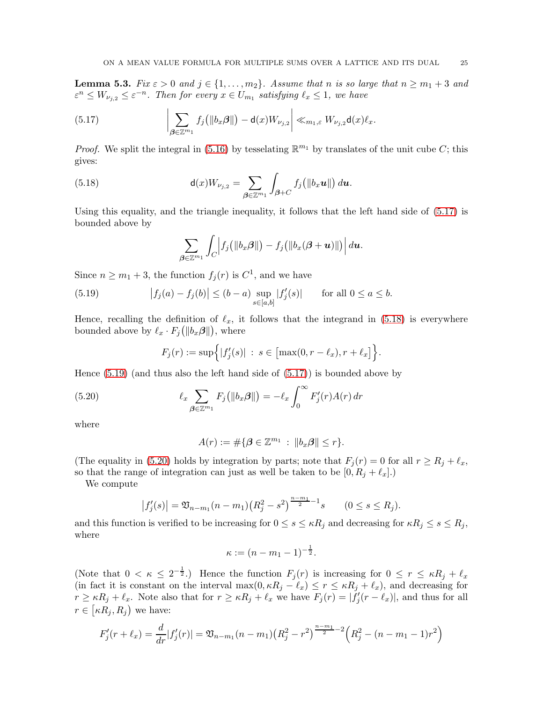<span id="page-24-4"></span>**Lemma 5.3.** Fix  $\varepsilon > 0$  and  $j \in \{1, ..., m_2\}$ . Assume that n is so large that  $n \ge m_1 + 3$  and  $\varepsilon^{n} \leq W_{\nu_{j,2}} \leq \varepsilon^{-n}$ . Then for every  $x \in U_{m_1}$  satisfying  $\ell_x \leq 1$ , we have

<span id="page-24-0"></span>(5.17) 
$$
\left|\sum_{\boldsymbol{\beta}\in\mathbb{Z}^{m_1}}f_j(\|b_x\boldsymbol{\beta}\|)-d(x)W_{\nu_{j,2}}\right|\ll_{m_1,\varepsilon}W_{\nu_{j,2}}d(x)\ell_x.
$$

*Proof.* We split the integral in [\(5.16\)](#page-23-1) by tesselating  $\mathbb{R}^{m_1}$  by translates of the unit cube C; this gives:

<span id="page-24-1"></span>(5.18) 
$$
\mathbf{d}(x)W_{\nu_{j,2}} = \sum_{\boldsymbol{\beta} \in \mathbb{Z}^{m_1}} \int_{\boldsymbol{\beta}+\boldsymbol{C}} f_j\big(\|b_x \mathbf{u}\|\big) d\mathbf{u}.
$$

Using this equality, and the triangle inequality, it follows that the left hand side of [\(5.17\)](#page-24-0) is bounded above by

$$
\sum_{\boldsymbol{\beta} \in \mathbb{Z}^{m_1}} \int_C \Bigl| f_j \bigl( \|b_x \boldsymbol{\beta}\| \bigr) - f_j \bigl( \|b_x (\boldsymbol{\beta} + \boldsymbol{u})\| \bigr) \Bigr| \, d \boldsymbol{u}.
$$

Since  $n \geq m_1 + 3$ , the function  $f_j(r)$  is  $C^1$ , and we have

<span id="page-24-2"></span>(5.19) 
$$
|f_j(a) - f_j(b)| \le (b - a) \sup_{s \in [a, b]} |f'_j(s)|
$$
 for all  $0 \le a \le b$ .

Hence, recalling the definition of  $\ell_x$ , it follows that the integrand in [\(5.18\)](#page-24-1) is everywhere bounded above by  $\ell_x \cdot F_j(|b_x \beta||)$ , where

$$
F_j(r) := \sup \Big\{ |f'_j(s)| \; : \; s \in \big[ \max(0, r - \ell_x), r + \ell_x \big] \Big\}.
$$

Hence  $(5.19)$  (and thus also the left hand side of  $(5.17)$ ) is bounded above by

<span id="page-24-3"></span>(5.20) 
$$
\ell_x \sum_{\boldsymbol{\beta} \in \mathbb{Z}^{m_1}} F_j \big( \|b_x \boldsymbol{\beta}\| \big) = -\ell_x \int_0^\infty F'_j(r) A(r) \, dr
$$

where

$$
A(r) := \#\{\boldsymbol{\beta} \in \mathbb{Z}^{m_1} : ||b_x \boldsymbol{\beta}|| \le r\}.
$$

(The equality in [\(5.20\)](#page-24-3) holds by integration by parts; note that  $F_j(r) = 0$  for all  $r \ge R_j + \ell_x$ , so that the range of integration can just as well be taken to be  $[0, R_j + \ell_x]$ .

We compute

$$
|f'_j(s)| = \mathfrak{V}_{n-m_1}(n-m_1)(R_j^2 - s^2)^{\frac{n-m_1}{2}-1} s
$$
  $(0 \le s \le R_j).$ 

and this function is verified to be increasing for  $0 \le s \le \kappa R_j$  and decreasing for  $\kappa R_j \le s \le R_j$ , where

$$
\kappa := (n - m_1 - 1)^{-\frac{1}{2}}.
$$

(Note that  $0 < \kappa \leq 2^{-\frac{1}{2}}$ .) Hence the function  $F_j(r)$  is increasing for  $0 \leq r \leq \kappa R_j + \ell_x$ (in fact it is constant on the interval max $(0, \kappa R_j - \ell_x) \le r \le \kappa R_j + \ell_x$ ), and decreasing for  $r \geq \kappa R_j + \ell_x$ . Note also that for  $r \geq \kappa R_j + \ell_x$  we have  $F_j(r) = |\tilde{f}_j'(r - \ell_x)|$ , and thus for all  $r \in [\kappa R_j, R_j)$  we have:

$$
F'_{j}(r+\ell_{x}) = \frac{d}{dr}|f'_{j}(r)| = \mathfrak{V}_{n-m_{1}}(n-m_{1})(R_{j}^{2}-r^{2})^{\frac{n-m_{1}}{2}-2}\left(R_{j}^{2}-(n-m_{1}-1)r^{2}\right)
$$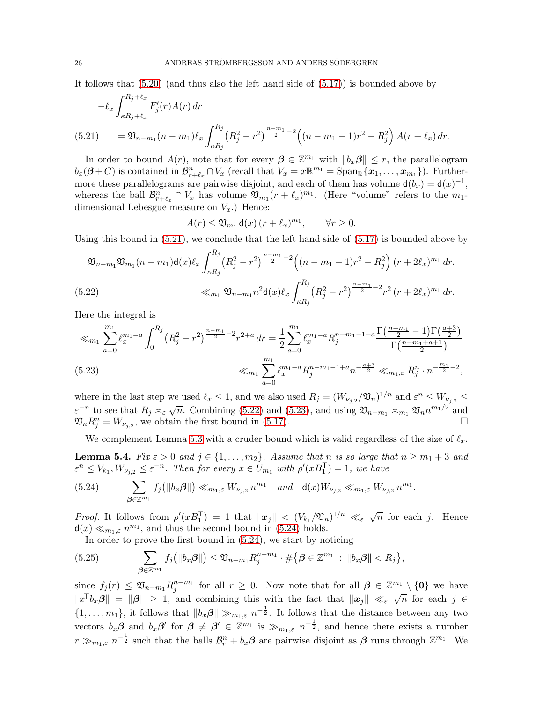It follows that [\(5.20\)](#page-24-3) (and thus also the left hand side of [\(5.17\)](#page-24-0)) is bounded above by

$$
-\ell_x \int_{\kappa R_j + \ell_x}^{R_j + \ell_x} F'_j(r) A(r) dr
$$
  
(5.21) 
$$
= \mathfrak{V}_{n-m_1}(n-m_1) \ell_x \int_{\kappa R_j}^{R_j} (R_j^2 - r^2)^{\frac{n-m_1}{2} - 2} \Big( (n-m_1 - 1) r^2 - R_j^2 \Big) A(r + \ell_x) dr.
$$

<span id="page-25-0"></span>In order to bound  $A(r)$ , note that for every  $\beta \in \mathbb{Z}^{m_1}$  with  $||b_x\beta|| \leq r$ , the parallelogram  $b_x(\beta+C)$  is contained in  $\mathcal{B}_{r+\ell_x}^n \cap V_x$  (recall that  $V_x = x \mathbb{R}^{m_1} = \text{Span}_{\mathbb{R}}\{x_1, \ldots, x_{m_1}\}\)$ . Furthermore these parallelograms are pairwise disjoint, and each of them has volume  $d(b_x) = d(x)^{-1}$ , whereas the ball  $\mathcal{B}_{r+\ell_x}^n \cap V_x$  has volume  $\mathfrak{V}_{m_1}(r+\ell_x)^{m_1}$ . (Here "volume" refers to the  $m_1$ dimensional Lebesgue measure on  $V_x$ .) Hence:

$$
A(r) \leq \mathfrak{V}_{m_1} \mathbf{d}(x) \left( r + \ell_x \right)^{m_1}, \qquad \forall r \geq 0.
$$

Using this bound in  $(5.21)$ , we conclude that the left hand side of  $(5.17)$  is bounded above by

$$
\mathfrak{V}_{n-m_1}\mathfrak{V}_{m_1}(n-m_1)\mathsf{d}(x)\ell_x \int_{\kappa R_j}^{R_j} (R_j^2 - r^2)^{\frac{n-m_1}{2} - 2} \Big( (n-m_1 - 1)r^2 - R_j^2 \Big) (r + 2\ell_x)^{m_1} dr.
$$
\n
$$
\ll_{m_1} \mathfrak{V}_{n-m_1} n^2 \mathsf{d}(x)\ell_x \int_{\kappa R_j}^{R_j} (R_j^2 - r^2)^{\frac{n-m_1}{2} - 2} r^2 (r + 2\ell_x)^{m_1} dr.
$$

<span id="page-25-1"></span>Here the integral is

$$
\ll_{m_1} \sum_{a=0}^{m_1} \ell_x^{m_1-a} \int_0^{R_j} \left( R_j^2 - r^2 \right)^{\frac{n-m_1}{2} - 2} r^{2+a} \, dr = \frac{1}{2} \sum_{a=0}^{m_1} \ell_x^{m_1-a} R_j^{n-m_1-1+a} \frac{\Gamma\left(\frac{n-m_1}{2} - 1\right) \Gamma\left(\frac{a+3}{2}\right)}{\Gamma\left(\frac{n-m_1+a+1}{2}\right)}
$$
\n
$$
\ll_{m_1} \sum_{a=0}^{m_1} \ell_x^{m_1-a} R_j^{n-m_1-1+a} n^{-\frac{a+3}{2}} \ll_{m_1,\varepsilon} R_j^n \cdot n^{-\frac{m_1}{2}-2},
$$

<span id="page-25-2"></span>where in the last step we used  $\ell_x \leq 1$ , and we also used  $R_j = (W_{\nu_{j,2}}/\mathfrak{V}_n)^{1/n}$  and  $\varepsilon^n \leq W_{\nu_{j,2}} \leq$  $\varepsilon^{-n}$  to see that  $R_j \asymp_{\varepsilon} \sqrt{n}$ . Combining [\(5.22\)](#page-25-1) and [\(5.23\)](#page-25-2), and using  $\mathfrak{V}_{n-m_1} \asymp_{m_1} \mathfrak{V}_n n^{m_1/2}$  and  $\mathfrak{V}_n R_j^n = W_{\nu_{j,2}}$ , we obtain the first bound in [\(5.17\)](#page-24-0).

We complement Lemma [5.3](#page-24-4) with a cruder bound which is valid regardless of the size of  $\ell_x$ .

<span id="page-25-5"></span>**Lemma 5.4.** Fix  $\varepsilon > 0$  and  $j \in \{1, ..., m_2\}$ . Assume that n is so large that  $n \ge m_1 + 3$  and  $\varepsilon^{n} \leq V_{k_1}, W_{\nu_{j,2}} \leq \varepsilon^{-n}$ . Then for every  $x \in U_{m_1}$  with  $\rho'(xB_1^{\mathsf{T}}) = 1$ , we have

<span id="page-25-3"></span>
$$
(5.24) \qquad \sum_{\beta \in \mathbb{Z}^{m_1}} f_j(\|b_x \beta\|) \ll_{m_1, \varepsilon} W_{\nu_{j,2}} n^{m_1} \quad and \quad \mathsf{d}(x) W_{\nu_{j,2}} \ll_{m_1, \varepsilon} W_{\nu_{j,2}} n^{m_1}.
$$

*Proof.* It follows from  $\rho'(xB_1^{\mathsf{T}}) = 1$  that  $||\boldsymbol{x}_j|| < (V_{k_1}/\mathfrak{V}_n)^{1/n} \ll_{\varepsilon} \sqrt{n}$  for each j. Hence  $d(x) \ll_{m_1,\varepsilon} n^{m_1}$ , and thus the second bound in [\(5.24\)](#page-25-3) holds.

In order to prove the first bound in [\(5.24\)](#page-25-3), we start by noticing

<span id="page-25-4"></span>(5.25) 
$$
\sum_{\beta \in \mathbb{Z}^{m_1}} f_j(\|b_x \beta\|) \leq \mathfrak{V}_{n-m_1} R_j^{n-m_1} \cdot \#\{\beta \in \mathbb{Z}^{m_1} : \|b_x \beta\| < R_j\},\
$$

since  $f_j(r) \leq \mathfrak{V}_{n-m_1} R_j^{n-m_1}$  $j^{n-m_1}$  for all  $r \geq 0$ . Now note that for all  $\boldsymbol{\beta} \in \mathbb{Z}^{m_1} \setminus \{0\}$  we have  $||x^{\mathsf{T}}b_x\beta|| = ||\beta|| \geq 1$ , and combining this with the fact that  $||x_j|| \ll_{\varepsilon} \sqrt{n}$  for each  $j \in$  $\{1,\ldots,m_1\}$ , it follows that  $||b_x\beta|| \gg_{m_1,\varepsilon} n^{-\frac{1}{2}}$ . It follows that the distance between any two vectors  $b_x \beta$  and  $b_x \beta'$  for  $\beta \neq \beta' \in \mathbb{Z}^{m_1}$  is  $\gg_{m_1,\varepsilon} n^{-\frac{1}{2}}$ , and hence there exists a number  $r \gg_{m_1,\varepsilon} n^{-\frac{1}{2}}$  such that the balls  $\mathcal{B}_r^n + b_x \beta$  are pairwise disjoint as  $\beta$  runs through  $\mathbb{Z}^{m_1}$ . We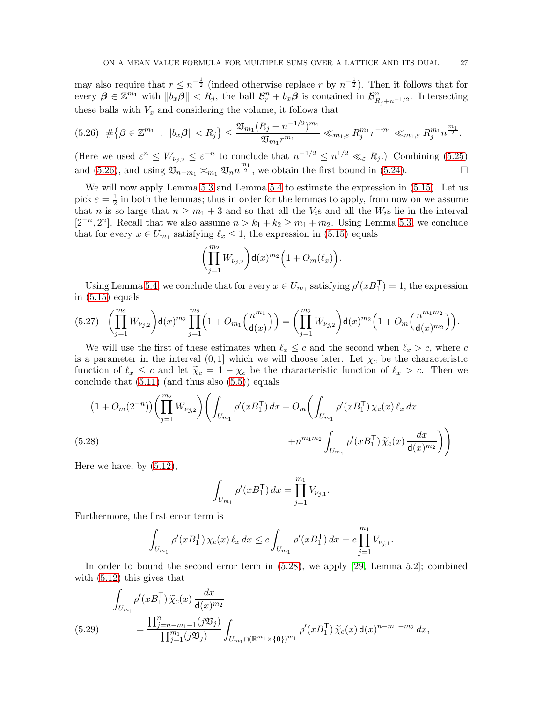may also require that  $r \leq n^{-\frac{1}{2}}$  (indeed otherwise replace r by  $n^{-\frac{1}{2}}$ ). Then it follows that for every  $\beta \in \mathbb{Z}^{m_1}$  with  $||b_x\beta|| < R_j$ , the ball  $\mathcal{B}_r^n + b_x\beta$  is contained in  $\mathcal{B}_{R_j+n^{-1/2}}^n$ . Intersecting these balls with  $V_x$  and considering the volume, it follows that

<span id="page-26-0"></span>
$$
(5.26) \# \{\beta \in \mathbb{Z}^{m_1} : \|b_x \beta\| < R_j\} \leq \frac{\mathfrak{V}_{m_1}(R_j + n^{-1/2})^{m_1}}{\mathfrak{V}_{m_1}r^{m_1}} \ll_{m_1,\varepsilon} R_j^{m_1}r^{-m_1} \ll_{m_1,\varepsilon} R_j^{m_1}n^{\frac{m_1}{2}}.
$$

(Here we used  $\varepsilon^n \leq W_{\nu_{j,2}} \leq \varepsilon^{-n}$  to conclude that  $n^{-1/2} \leq n^{1/2} \ll_{\varepsilon} R_j$ .) Combining [\(5.25\)](#page-25-4) and [\(5.26\)](#page-26-0), and using  $\mathfrak{V}_{n-m_1} \asymp_{m_1} \mathfrak{V}_n n^{\frac{m_1}{2}}$ , we obtain the first bound in [\(5.24\)](#page-25-3).

We will now apply Lemma [5.3](#page-24-4) and Lemma [5.4](#page-25-5) to estimate the expression in [\(5.15\)](#page-23-2). Let us pick  $\varepsilon = \frac{1}{2}$  $\frac{1}{2}$  in both the lemmas; thus in order for the lemmas to apply, from now on we assume that n is so large that  $n \geq m_1 + 3$  and so that all the  $V_i$ s and all the  $W_i$ s lie in the interval  $[2^{-n}, 2^n]$ . Recall that we also assume  $n > k_1 + k_2 \ge m_1 + m_2$ . Using Lemma [5.3,](#page-24-4) we conclude that for every  $x \in U_{m_1}$  satisfying  $\ell_x \leq 1$ , the expression in [\(5.15\)](#page-23-2) equals

$$
\biggl(\prod_{j=1}^{m_2} W_{\nu_{j,2}}\biggr)\mathrm{d}(x)^{m_2}\Bigl(1+O_m(\ell_x)\Bigr).
$$

Using Lemma [5.4,](#page-25-5) we conclude that for every  $x \in U_{m_1}$  satisfying  $\rho'(xB_1^{\mathsf{T}}) = 1$ , the expression in  $(5.15)$  equals

$$
(5.27) \quad \left(\prod_{j=1}^{m_2} W_{\nu_{j,2}}\right) \mathrm{d}(x)^{m_2} \prod_{j=1}^{m_2} \left(1 + O_{m_1}\left(\frac{n^{m_1}}{\mathrm{d}(x)}\right)\right) = \left(\prod_{j=1}^{m_2} W_{\nu_{j,2}}\right) \mathrm{d}(x)^{m_2} \left(1 + O_m\left(\frac{n^{m_1 m_2}}{\mathrm{d}(x)^{m_2}}\right)\right).
$$

We will use the first of these estimates when  $\ell_x \leq c$  and the second when  $\ell_x > c$ , where c is a parameter in the interval  $(0, 1]$  which we will choose later. Let  $\chi_c$  be the characteristic function of  $\ell_x \leq c$  and let  $\tilde{\chi}_c = 1 - \chi_c$  be the characteristic function of  $\ell_x > c$ . Then we conclude that  $(5.11)$  (and thus also  $(5.5)$ ) equals

$$
(1 + O_m(2^{-n})) \left( \prod_{j=1}^{m_2} W_{\nu_{j,2}} \right) \left( \int_{U_{m_1}} \rho'(x B_1^{\mathsf{T}}) \, dx + O_m \left( \int_{U_{m_1}} \rho'(x B_1^{\mathsf{T}}) \, \chi_c(x) \, \ell_x \, dx \right. \\ \left. + n^{m_1 m_2} \int_{U_{m_1}} \rho'(x B_1^{\mathsf{T}}) \, \widetilde{\chi}_c(x) \, \frac{dx}{\mathsf{d}(x)^{m_2}} \right) \right)
$$

<span id="page-26-1"></span>Here we have, by [\(5.12\)](#page-23-4),

$$
\int_{U_{m_1}} \rho'(xB_1^{\mathsf{T}}) \, dx = \prod_{j=1}^{m_1} V_{\nu_{j,1}}.
$$

Furthermore, the first error term is

$$
\int_{U_{m_1}} \rho'(xB_1^{\mathsf{T}}) \chi_c(x) \ell_x dx \leq c \int_{U_{m_1}} \rho'(xB_1^{\mathsf{T}}) dx = c \prod_{j=1}^{m_1} V_{\nu_{j,1}}.
$$

In order to bound the second error term in [\(5.28\)](#page-26-1), we apply [\[29,](#page-33-7) Lemma 5.2]; combined with [\(5.12\)](#page-23-4) this gives that

<span id="page-26-2"></span>
$$
\int_{U_{m_1}} \rho'(xB_1^{\mathsf{T}}) \, \widetilde{\chi}_c(x) \, \frac{dx}{\mathsf{d}(x)^{m_2}} \\
= \frac{\prod_{j=n-m_1+1}^n (j\mathfrak{V}_j)}{\prod_{j=1}^{m_1} (j\mathfrak{V}_j)} \int_{U_{m_1} \cap (\mathbb{R}^{m_1} \times \{\mathbf{0}\})^{m_1}} \rho'(xB_1^{\mathsf{T}}) \, \widetilde{\chi}_c(x) \, \mathsf{d}(x)^{n-m_1-m_2} \, dx,
$$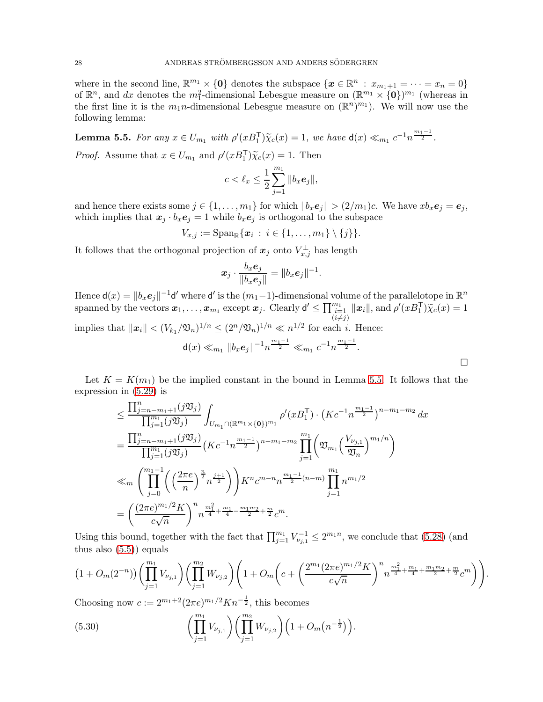where in the second line,  $\mathbb{R}^{m_1} \times \{0\}$  denotes the subspace  $\{x \in \mathbb{R}^n : x_{m_1+1} = \cdots = x_n = 0\}$ of  $\mathbb{R}^n$ , and dx denotes the  $m_1^2$ -dimensional Lebesgue measure on  $(\mathbb{R}^{m_1} \times \{0\})^{m_1}$  (whereas in the first line it is the  $m_1n$ -dimensional Lebesgue measure on  $(\mathbb{R}^n)^{m_1}$ ). We will now use the following lemma:

<span id="page-27-0"></span>**Lemma 5.5.** For any  $x \in U_{m_1}$  with  $\rho'(xB_1^{\mathsf{T}})\tilde{\chi}_c(x) = 1$ , we have  $\mathsf{d}(x) \ll_{m_1} c^{-1}n^{\frac{m_1-1}{2}}$ . *Proof.* Assume that  $x \in U_{m_1}$  and  $\rho'(xB_1^{\mathsf{T}})\tilde{\chi}_c(x) = 1$ . Then

$$
c < \ell_x \leq \frac{1}{2} \sum_{j=1}^{m_1} \|b_x \mathbf{e}_j\|,
$$

and hence there exists some  $j \in \{1, \ldots, m_1\}$  for which  $||b_x \mathbf{e}_j|| > (2/m_1)c$ . We have  $xb_x \mathbf{e}_j = \mathbf{e}_j$ , which implies that  $x_j \cdot b_x e_j = 1$  while  $b_x e_j$  is orthogonal to the subspace

$$
V_{x,j}:=\mathrm{Span}_{\mathbb{R}}\{\boldsymbol{x}_i\,:\,i\in\{1,\ldots,m_1\}\setminus\{j\}\}.
$$

It follows that the orthogonal projection of  $x_j$  onto  $V_{x,j}^{\perp}$  has length

$$
\boldsymbol{x}_j \cdot \frac{b_x \boldsymbol{e}_j}{\|b_x \boldsymbol{e}_j\|} = \|b_x \boldsymbol{e}_j\|^{-1}.
$$

Hence  $\mathsf{d}(x) = ||b_x \mathbf{e}_j||^{-1} \mathsf{d}'$  where  $\mathsf{d}'$  is the  $(m_1-1)$ -dimensional volume of the parallelotope in  $\mathbb{R}^n$ spanned by the vectors  $x_1, \ldots, x_{m_1}$  except  $x_j$ . Clearly  $d' \le \prod_{\substack{i=1 \ i \neq j}}^{m_1} ||x_i||$ , and  $\rho'(xB_1^T)\tilde{\chi}_c(x) = 1$ implies that  $\|\boldsymbol{x}_i\| < (V_{k_1}/\mathfrak{V}_n)^{1/n} \leq (2^n/\mathfrak{V}_n)^{1/n} \ll n^{1/2}$  for each *i*. Hence:  $m_1-1$  $m_1-1$ 

$$
\mathbf{d}(x) \ll_{m_1} ||b_x \mathbf{e}_j||^{-1} n^{\frac{m_1 - 1}{2}} \ll_{m_1} c^{-1} n^{\frac{m_1 - 1}{2}}.
$$

Let  $K = K(m_1)$  be the implied constant in the bound in Lemma [5.5.](#page-27-0) It follows that the expression in [\(5.29\)](#page-26-2) is

$$
\leq \frac{\prod_{j=n-m_1+1}^{n}(j\mathfrak{V}_j)}{\prod_{j=1}^{m_1}(j\mathfrak{V}_j)} \int_{U_{m_1}\cap(\mathbb{R}^{m_1}\times\{0\})^{m_1}} \rho'(xB_1^{\mathsf{T}}) \cdot (Kc^{-1}n^{\frac{m_1-1}{2}})^{n-m_1-m_2} dx
$$
  
\n
$$
= \frac{\prod_{j=n-m_1+1}^{n}(j\mathfrak{V}_j)}{\prod_{j=1}^{m_1}(j\mathfrak{V}_j)} (Kc^{-1}n^{\frac{m_1-1}{2}})^{n-m_1-m_2} \prod_{j=1}^{m_1} \left(\mathfrak{V}_{m_1}\left(\frac{V_{\nu_{j,1}}}{\mathfrak{V}_n}\right)^{m_1/n}\right)
$$
  
\n
$$
\ll_m \left(\prod_{j=0}^{m_1-1} \left(\left(\frac{2\pi e}{n}\right)^{\frac{n}{2}}n^{\frac{j+1}{2}}\right) \right) K^n c^{m-n} n^{\frac{m_1-1}{2}(n-m)} \prod_{j=1}^{m_1} n^{m_1/2}
$$
  
\n
$$
= \left(\frac{(2\pi e)^{m_1/2}K}{c\sqrt{n}}\right)^n n^{\frac{m_1^2}{4}+\frac{m_1}{4}-\frac{m_1m_2}{2}+\frac{m}{2}} c^m.
$$

Using this bound, together with the fact that  $\prod_{j=1}^{m_1} V_{\nu_{j,1}}^{-1} \leq 2^{m_1 n}$ , we conclude that [\(5.28\)](#page-26-1) (and thus also  $(5.5)$  equals

$$
\left(1+O_m(2^{-n})\right)\left(\prod_{j=1}^{m_1}V_{\nu_{j,1}}\right)\left(\prod_{j=1}^{m_2}W_{\nu_{j,2}}\right)\left(1+O_m\bigg(c+\bigg(\frac{2^{m_1}(2\pi e)^{m_1/2}K}{c\sqrt{n}}\bigg)^n n^{\frac{m_1^2}{4}+\frac{m_1}{4}+\frac{m_1m_2}{2}+\frac{m}{2}}c^m\bigg)\right).
$$

Choosing now  $c := 2^{m_1+2} (2\pi e)^{m_1/2} K n^{-\frac{1}{2}}$ , this becomes

<span id="page-27-1"></span>(5.30) 
$$
\left(\prod_{j=1}^{m_1} V_{\nu_{j,1}}\right) \left(\prod_{j=1}^{m_2} W_{\nu_{j,2}}\right) \left(1 + O_m(n^{-\frac{1}{2}})\right).
$$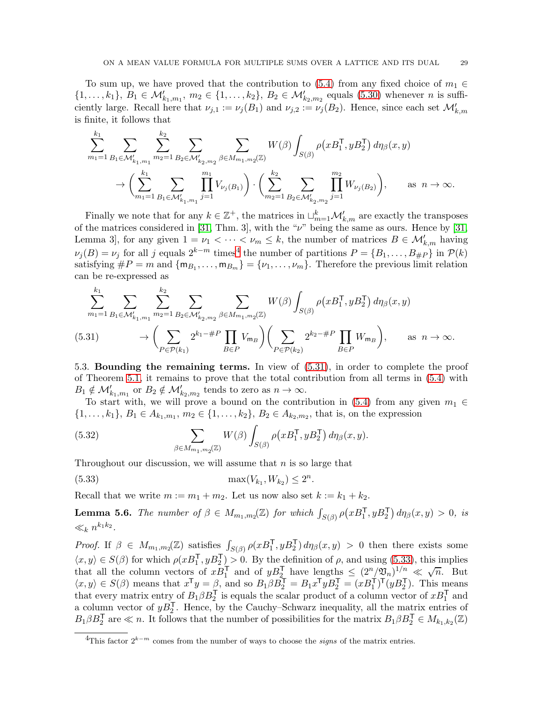To sum up, we have proved that the contribution to [\(5.4\)](#page-21-3) from any fixed choice of  $m_1 \in$  $\{1,\ldots,k_1\},\ B_1\in\mathcal{M}'_{k_1,m_1},\ m_2\in\{1,\ldots,k_2\},\ B_2\in\mathcal{M}'_{k_2,m_2}$  equals [\(5.30\)](#page-27-1) whenever *n* is sufficiently large. Recall here that  $\nu_{j,1} := \nu_j(B_1)$  and  $\nu_{j,2} := \nu_j(B_2)$ . Hence, since each set  $\mathcal{M}'_{k,m}$ is finite, it follows that

$$
\sum_{m_1=1}^{k_1} \sum_{B_1 \in \mathcal{M}'_{k_1,m_1}} \sum_{m_2=1}^{k_2} \sum_{B_2 \in \mathcal{M}'_{k_2,m_2}} \sum_{\beta \in M_{m_1,m_2}(\mathbb{Z})} W(\beta) \int_{S(\beta)} \rho(xB_1^{\mathsf{T}}, yB_2^{\mathsf{T}}) d\eta_{\beta}(x,y) \rightarrow \left( \sum_{m_1=1}^{k_1} \sum_{B_1 \in \mathcal{M}'_{k_1,m_1}} \prod_{j=1}^{m_1} V_{\nu_j(B_1)} \right) \cdot \left( \sum_{m_2=1}^{k_2} \sum_{B_2 \in \mathcal{M}'_{k_2,m_2}} \prod_{j=1}^{m_2} W_{\nu_j(B_2)} \right), \quad \text{as } n \rightarrow \infty.
$$

Finally we note that for any  $k \in \mathbb{Z}^+$ , the matrices in  $\sqcup_{m=1}^k \mathcal{M}'_{k,m}$  are exactly the transposes of the matrices considered in [\[31,](#page-33-5) Thm. 3], with the " $\nu$ " being the same as ours. Hence by [31, Lemma 3, for any given  $1 = \nu_1 < \cdots < \nu_m \leq k$ , the number of matrices  $B \in \mathcal{M}'_{k,m}$  having  $\nu_j(B) = \nu_j$  for all j equals  $2^{k-m}$  times<sup>[4](#page-28-1)</sup> the number of partitions  $P = \{B_1, \ldots, B_{\#P}\}\$  in  $\mathcal{P}(k)$ satisfying  $\#P = m$  and  $\{m_{B_1}, \ldots, m_{B_m}\} = \{\nu_1, \ldots, \nu_m\}$ . Therefore the previous limit relation can be re-expressed as

$$
\sum_{m_1=1}^{k_1} \sum_{B_1 \in \mathcal{M}'_{k_1,m_1}} \sum_{m_2=1}^{k_2} \sum_{B_2 \in \mathcal{M}'_{k_2,m_2}} \sum_{\beta \in M_{m_1,m_2}(\mathbb{Z})} W(\beta) \int_{S(\beta)} \rho(xB_1^{\mathsf{T}}, yB_2^{\mathsf{T}}) d\eta_{\beta}(x,y)
$$
\n(5.31)\n
$$
\rightarrow \left( \sum_{P \in \mathcal{P}(k_1)} 2^{k_1 + P} \prod_{B \in P} V_{m_B} \right) \left( \sum_{P \in \mathcal{P}(k_2)} 2^{k_2 + P} \prod_{B \in P} W_{m_B} \right), \quad \text{as } n \rightarrow \infty.
$$

<span id="page-28-2"></span><span id="page-28-0"></span>5.3. Bounding the remaining terms. In view of [\(5.31\)](#page-28-2), in order to complete the proof of Theorem [5.1,](#page-21-1) it remains to prove that the total contribution from all terms in [\(5.4\)](#page-21-3) with  $B_1 \notin \mathcal{M}'_{k_1,m_1}$  or  $B_2 \notin \mathcal{M}'_{k_2,m_2}$  tends to zero as  $n \to \infty$ .

To start with, we will prove a bound on the contribution in [\(5.4\)](#page-21-3) from any given  $m_1 \in$  $\{1, \ldots, k_1\}, B_1 \in A_{k_1,m_1}, m_2 \in \{1, \ldots, k_2\}, B_2 \in A_{k_2,m_2}$ , that is, on the expression

(5.32) 
$$
\sum_{\beta \in M_{m_1,m_2}(\mathbb{Z})} W(\beta) \int_{S(\beta)} \rho(xB_1^{\mathsf{T}}, yB_2^{\mathsf{T}}) d\eta_{\beta}(x, y).
$$

Throughout our discussion, we will assume that  $n$  is so large that

<span id="page-28-3"></span>(5.33) 
$$
\max(V_{k_1}, W_{k_2}) \le 2^n.
$$

Recall that we write  $m := m_1 + m_2$ . Let us now also set  $k := k_1 + k_2$ .

<span id="page-28-4"></span>**Lemma 5.6.** The number of  $\beta \in M_{m_1,m_2}(\mathbb{Z})$  for which  $\int_{S(\beta)} \rho(xB_1^{\mathsf{T}}, yB_2^{\mathsf{T}}) d\eta_{\beta}(x, y) > 0$ , is  $\ll_k n^{k_1 k_2}.$ 

Proof. If  $\beta \in M_{m_1,m_2}(\mathbb{Z})$  satisfies  $\int_{S(\beta)} \rho(xB_1^{\mathsf{T}}, yB_2^{\mathsf{T}}) d\eta_{\beta}(x,y) > 0$  then there exists some  $\langle x, y \rangle \in S(\beta)$  for which  $\rho(xB_1^{\mathsf{T}}, yB_2^{\mathsf{T}}) > 0$ . By the definition of  $\rho$ , and using [\(5.33\)](#page-28-3), this implies that all the column vectors of  $xB_1^{\mathsf{T}}$  and of  $yB_2^{\mathsf{T}}$  have lengths  $\leq (2^n/2^n)^{1/n} \ll \sqrt{n}$ . But  $\langle x, y \rangle \in S(\beta)$  means that  $x^T y = \beta$ , and so  $B_1 \beta B_2^T = B_1 x^T y B_2^T = (x B_1^T)^T (y B_2^T)$ . This means that every matrix entry of  $B_1 \beta B_2^T$  is equals the scalar product of a column vector of  $xB_1^T$  and a column vector of  $yB_2^T$ . Hence, by the Cauchy–Schwarz inequality, all the matrix entries of  $B_1 \beta B_2^{\mathsf{T}}$  are  $\ll n$ . It follows that the number of possibilities for the matrix  $B_1 \beta B_2^{\mathsf{T}} \in M_{k_1,k_2}(\mathbb{Z})$ 

<span id="page-28-1"></span><sup>&</sup>lt;sup>4</sup>This factor  $2^{k-m}$  comes from the number of ways to choose the *signs* of the matrix entries.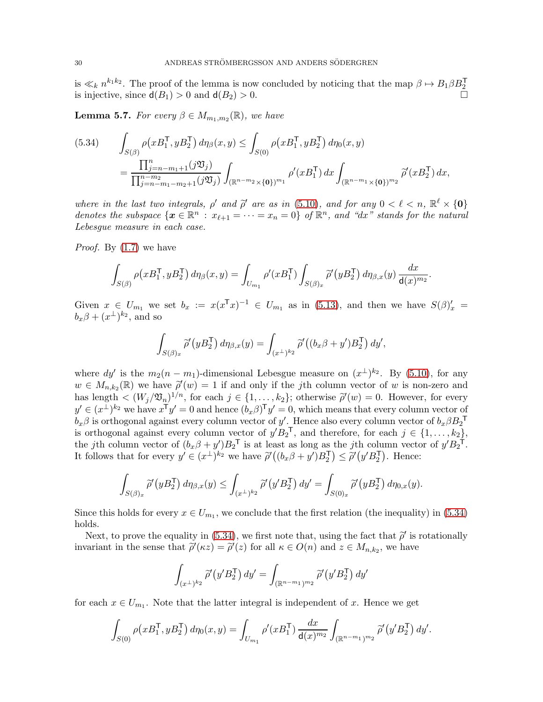is  $\ll_k n^{k_1 k_2}$ . The proof of the lemma is now concluded by noticing that the map  $\beta \mapsto B_1 \beta B_2^{\mathsf{T}}$ is injective, since  $d(B_1) > 0$  and  $d(B_2) > 0$ .

<span id="page-29-1"></span>**Lemma 5.7.** For every  $\beta \in M_{m_1,m_2}(\mathbb{R})$ , we have

<span id="page-29-0"></span>
$$
(5.34) \qquad \int_{S(\beta)} \rho(xB_1^{\mathsf{T}}, yB_2^{\mathsf{T}}) d\eta_{\beta}(x, y) \leq \int_{S(0)} \rho(xB_1^{\mathsf{T}}, yB_2^{\mathsf{T}}) d\eta_{0}(x, y)
$$

$$
= \frac{\prod_{j=n-m_1+1}^{n} (j\mathfrak{V}_j)}{\prod_{j=n-m_1-m_2+1}^{n-m_2} (j\mathfrak{V}_j)} \int_{(\mathbb{R}^{n-m_2}\times\{\mathbf{0}\})^{m_1}} \rho'(xB_1^{\mathsf{T}}) dx \int_{(\mathbb{R}^{n-m_1}\times\{\mathbf{0}\})^{m_2}} \widetilde{\rho}'(xB_2^{\mathsf{T}}) dx,
$$

where in the last two integrals,  $\rho'$  and  $\tilde{\rho}'$  are as in [\(5.10\)](#page-22-3), and for any  $0 < \ell < n$ ,  $\mathbb{R}^{\ell} \times \{0\}$ denotes the subspace  $\{x \in \mathbb{R}^n : x_{\ell+1} = \cdots = x_n = 0\}$  of  $\mathbb{R}^n$ , and "dx" stands for the natural Lebesgue measure in each case.

*Proof.* By  $(1.7)$  we have

$$
\int_{S(\beta)} \rho(xB_1^{\mathsf{T}}, yB_2^{\mathsf{T}}) d\eta_{\beta}(x, y) = \int_{U_{m_1}} \rho'(xB_1^{\mathsf{T}}) \int_{S(\beta)_x} \widetilde{\rho}'(yB_2^{\mathsf{T}}) d\eta_{\beta, x}(y) \frac{dx}{\mathsf{d}(x)^{m_2}}.
$$

Given  $x \in U_{m_1}$  we set  $b_x := x(x^T x)^{-1} \in U_{m_1}$  as in [\(5.13\)](#page-23-5), and then we have  $S(\beta)'_x =$  $b_x\beta+(x^{\perp})^{k_2}$ , and so

$$
\int_{S(\beta)_x} \widetilde{\rho}'(yB_2^{\mathsf{T}})\,d\eta_{\beta,x}(y) = \int_{(x^{\perp})^{k_2}} \widetilde{\rho}'\big((b_x\beta + y')B_2^{\mathsf{T}}\big)\,dy',
$$

where  $dy'$  is the  $m_2(n-m_1)$ -dimensional Lebesgue measure on  $(x^{\perp})^{k_2}$ . By [\(5.10\)](#page-22-3), for any  $w \in M_{n,k_2}(\mathbb{R})$  we have  $\tilde{\rho}'(w) = 1$  if and only if the *j*th column vector of w is non-zero and has length  $\lt (W_j/\mathfrak{V}_n)^{1/n}$ , for each  $j \in \{1, \ldots, k_2\}$ ; otherwise  $\tilde{\rho}'(w) = 0$ . However, for every  $y' \in (x^{\perp})^{k_2}$  we have  $x^{\perp}y' = 0$  and hence  $(b_x \beta)^{\perp}y' = 0$ , which means that every column vector of  $b_x\beta$  is orthogonal against every column vector of y'. Hence also every column vector of  $b_x\beta B_2$ <sup>T</sup> is orthogonal against every column vector of  $y' B_2^T$ , and therefore, for each  $j \in \{1, \ldots, k_2\}$ , the jth column vector of  $(b_x \beta + y')B_2^T$  is at least as long as the jth column vector of  $y'B_2^T$ . It follows that for every  $y' \in (x^{\perp})^{k_2}$  we have  $\tilde{\rho}'((b_x \beta + y')B_2^{\mathsf{T}}) \leq \tilde{\rho}'(y'B_2^{\mathsf{T}})$ . Hence:

$$
\int_{S(\beta)_x} \widetilde{\rho}'(yB_2^{\mathsf{T}})\,d\eta_{\beta,x}(y) \leq \int_{(x^\perp)^{k_2}} \widetilde{\rho}'(y'B_2^{\mathsf{T}})\,dy' = \int_{S(0)_x} \widetilde{\rho}'(yB_2^{\mathsf{T}})\,d\eta_{0,x}(y).
$$

Since this holds for every  $x \in U_{m_1}$ , we conclude that the first relation (the inequality) in [\(5.34\)](#page-29-0) holds.

Next, to prove the equality in [\(5.34\)](#page-29-0), we first note that, using the fact that  $\tilde{\rho}'$  is rotationally invariant in the sense that  $\tilde{\rho}'(\kappa z) = \tilde{\rho}'(z)$  for all  $\kappa \in O(n)$  and  $z \in M_{n,k_2}$ , we have

$$
\int_{(x^{\perp})^{k_2}} \widetilde{\rho}'(y'B_2^{\mathsf{T}}) dy' = \int_{(\mathbb{R}^{n-m_1})^{m_2}} \widetilde{\rho}'(y'B_2^{\mathsf{T}}) dy'
$$

for each  $x \in U_{m_1}$ . Note that the latter integral is independent of x. Hence we get

$$
\int_{S(0)} \rho(xB_1^{\mathsf{T}}, yB_2^{\mathsf{T}}) d\eta_0(x, y) = \int_{U_{m_1}} \rho'(xB_1^{\mathsf{T}}) \frac{dx}{\mathsf{d}(x)^{m_2}} \int_{(\mathbb{R}^{n-m_1})^{m_2}} \widetilde{\rho}'(y'B_2^{\mathsf{T}}) dy'.
$$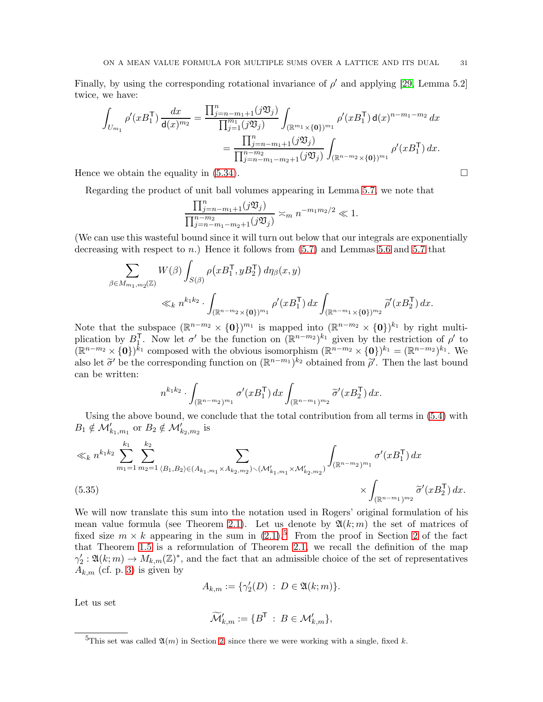Finally, by using the corresponding rotational invariance of  $\rho'$  and applying [\[29,](#page-33-7) Lemma 5.2] twice, we have:

$$
\int_{U_{m_1}} \rho'(xB_1^{\mathsf{T}}) \frac{dx}{\mathsf{d}(x)^{m_2}} = \frac{\prod_{j=n-m_1+1}^n (j\mathfrak{V}_j)}{\prod_{j=1}^{m_1} (j\mathfrak{V}_j)} \int_{(\mathbb{R}^{m_1} \times \{\mathbf{0}\})^{m_1}} \rho'(xB_1^{\mathsf{T}}) \mathsf{d}(x)^{n-m_1-m_2} dx
$$

$$
= \frac{\prod_{j=n-m_1+1}^n (j\mathfrak{V}_j)}{\prod_{j=n-m_1-m_2+1}^{n-m_2} (j\mathfrak{V}_j)} \int_{(\mathbb{R}^{n-m_2} \times \{\mathbf{0}\})^{m_1}} \rho'(xB_1^{\mathsf{T}}) dx.
$$

Hence we obtain the equality in  $(5.34)$ .

Regarding the product of unit ball volumes appearing in Lemma [5.7,](#page-29-1) we note that

$$
\frac{\prod_{j=n-m_1+1}^n (j\mathfrak{V}_j)}{\prod_{j=n-m_1-m_2+1}^{n-m_2} (j\mathfrak{V}_j)} \asymp_m n^{-m_1m_2/2} \ll 1.
$$

(We can use this wasteful bound since it will turn out below that our integrals are exponentially decreasing with respect to n.) Hence it follows from  $(5.7)$  and Lemmas [5.6](#page-28-4) and [5.7](#page-29-1) that

$$
\sum_{\beta \in M_{m_1, m_2}(\mathbb{Z})} W(\beta) \int_{S(\beta)} \rho(xB_1^{\mathsf{T}}, yB_2^{\mathsf{T}}) d\eta_{\beta}(x, y)
$$
\n
$$
\ll_k n^{k_1 k_2} \cdot \int_{(\mathbb{R}^{n-m_2} \times \{\mathbf{0}\})^{m_1}} \rho'(xB_1^{\mathsf{T}}) dx \int_{(\mathbb{R}^{n-m_1} \times \{\mathbf{0}\})^{m_2}} \widetilde{\rho}'(xB_2^{\mathsf{T}}) dx.
$$

Note that the subspace  $(\mathbb{R}^{n-m_2} \times {\mathbf{0}})^{m_1}$  is mapped into  $(\mathbb{R}^{n-m_2} \times {\mathbf{0}})^{k_1}$  by right multiplication by  $B_1^{\mathsf{T}}$ . Now let  $\sigma'$  be the function on  $(\mathbb{R}^{n-m_2})^{k_1}$  given by the restriction of  $\rho'$  to  $(\mathbb{R}^{n-m_2} \times \{0\})^{k_1}$  composed with the obvious isomorphism  $(\mathbb{R}^{n-m_2} \times \{0\})^{k_1} = (\mathbb{R}^{n-m_2})^{k_1}$ . We also let  $\tilde{\sigma}'$  be the corresponding function on  $(\mathbb{R}^{n-m_1})^{k_2}$  obtained from  $\tilde{\rho}'$ . Then the last bound can be written:

$$
n^{k_1k_2} \cdot \int_{(\mathbb{R}^{n-m_2})^{m_1}} \sigma'(xB_1^{\mathsf{T}}) \, dx \int_{(\mathbb{R}^{n-m_1})^{m_2}} \widetilde{\sigma}'(xB_2^{\mathsf{T}}) \, dx.
$$

Using the above bound, we conclude that the total contribution from all terms in [\(5.4\)](#page-21-3) with  $B_1 \notin \mathcal{M}'_{k_1,m_1}$  or  $B_2 \notin \mathcal{M}'_{k_2,m_2}$  is

$$
\ll_{k} n^{k_1 k_2} \sum_{m_1=1}^{k_1} \sum_{m_2=1}^{k_2} \sum_{(B_1, B_2) \in (A_{k_1, m_1} \times A_{k_2, m_2}) \backslash (\mathcal{M}'_{k_1, m_1} \times \mathcal{M}'_{k_2, m_2})} \int_{(\mathbb{R}^{n-m_2})^{m_1}} \sigma'(x B_1^{\mathsf{T}}) \, dx
$$
\n
$$
\times \int_{(\mathbb{R}^{n-m_1})^{m_2}} \widetilde{\sigma}'(x B_2^{\mathsf{T}}) \, dx.
$$

<span id="page-30-1"></span>We will now translate this sum into the notation used in Rogers' original formulation of his mean value formula (see Theorem [2.1\)](#page-5-1). Let us denote by  $\mathfrak{A}(k; m)$  the set of matrices of fixed size  $m \times k$  appearing in the sum in  $(2.1).<sup>5</sup>$  $(2.1).<sup>5</sup>$  $(2.1).<sup>5</sup>$  From the proof in Section [2](#page-5-0) of the fact that Theorem [1.5](#page-4-0) is a reformulation of Theorem [2.1,](#page-5-1) we recall the definition of the map  $\gamma'_2: \mathfrak{A}(k; m) \to M_{k,m}(\mathbb{Z})^*$ , and the fact that an admissible choice of the set of representatives  $A_{k,m}$  (cf. p. [3\)](#page-2-0) is given by

$$
A_{k,m}:=\{\gamma_2'(D)\;:\; D\in {\mathfrak A}(k;m)\}.
$$

Let us set

$$
\widetilde{\mathcal{M}}'_{k,m}:=\{B^{\mathsf{T}}\::\: B\in \mathcal{M}'_{k,m}\},
$$

<span id="page-30-0"></span><sup>&</sup>lt;sup>5</sup>This set was called  $\mathfrak{A}(m)$  in Section [2,](#page-5-0) since there we were working with a single, fixed k.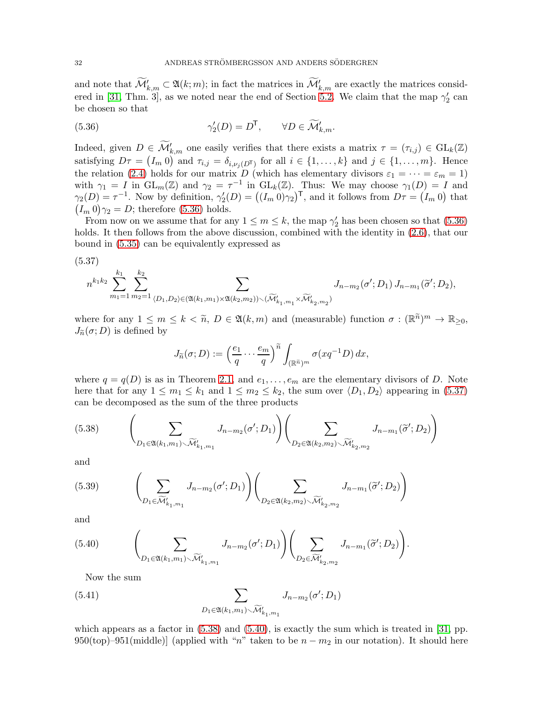and note that  $\widetilde{\mathcal{M}}'_{k,m} \subset \mathfrak{A}(k;m)$ ; in fact the matrices in  $\widetilde{\mathcal{M}}'_{k,m}$  are exactly the matrices consid-ered in [\[31,](#page-33-5) Thm. 3], as we noted near the end of Section [5.2.](#page-22-0) We claim that the map  $\gamma'_2$  can be chosen so that

<span id="page-31-0"></span>(5.36) 
$$
\gamma_2'(D) = D^{\mathsf{T}}, \qquad \forall D \in \widetilde{\mathcal{M}}'_{k,m}.
$$

Indeed, given  $D \in \widetilde{\mathcal{M}}'_{k,m}$  one easily verifies that there exists a matrix  $\tau = (\tau_{i,j}) \in GL_k(\mathbb{Z})$ satisfying  $D\tau = (I_m 0)$  and  $\tau_{i,j} = \delta_{i,\nu_j(D^{\mathsf{T}})}$  for all  $i \in \{1,\ldots,k\}$  and  $j \in \{1,\ldots,m\}$ . Hence the relation [\(2.4\)](#page-6-1) holds for our matrix D (which has elementary divisors  $\varepsilon_1 = \cdots = \varepsilon_m = 1$ ) with  $\gamma_1 = I$  in  $GL_m(\mathbb{Z})$  and  $\gamma_2 = \tau^{-1}$  in  $GL_k(\mathbb{Z})$ . Thus: We may choose  $\gamma_1(D) = I$  and  $\gamma_2(D) = \tau^{-1}$ . Now by definition,  $\gamma_2'(D) = ((I_m 0)\gamma_2)^{\mathsf{T}}$ , and it follows from  $D\tau = (I_m 0)$  that  $(I_m 0) \gamma_2 = D$ ; therefore [\(5.36\)](#page-31-0) holds.

From now on we assume that for any  $1 \le m \le k$ , the map  $\gamma'_2$  has been chosen so that [\(5.36\)](#page-31-0) holds. It then follows from the above discussion, combined with the identity in  $(2.6)$ , that our bound in [\(5.35\)](#page-30-1) can be equivalently expressed as

<span id="page-31-1"></span>(5.37)

$$
n^{k_1k_2} \sum_{m_1=1}^{k_1} \sum_{m_2=1}^{k_2} \sum_{(D_1, D_2) \in (\mathfrak{A}(k_1, m_1) \times \mathfrak{A}(k_2, m_2)) \backslash (\widetilde{\mathcal{M}}'_{k_1, m_1} \times \widetilde{\mathcal{M}}'_{k_2, m_2})} J_{n-m_2}(\sigma'; D_1) J_{n-m_1}(\widetilde{\sigma}'; D_2),
$$

where for any  $1 \leq m \leq k < \tilde{n}$ ,  $D \in \mathfrak{A}(k,m)$  and (measurable) function  $\sigma : (\mathbb{R}^{\tilde{n}})^m \to \mathbb{R}_{\geq 0}$ ,  $J_{\widetilde{n}}(\sigma; D)$  is defined by

$$
J_{\widetilde{n}}(\sigma; D) := \left(\frac{e_1}{q} \cdots \frac{e_m}{q}\right)^{\widetilde{n}} \int_{(\mathbb{R}^{\widetilde{n}})^m} \sigma(xq^{-1}D) dx,
$$

where  $q = q(D)$  is as in Theorem [2.1,](#page-5-1) and  $e_1, \ldots, e_m$  are the elementary divisors of D. Note here that for any  $1 \leq m_1 \leq k_1$  and  $1 \leq m_2 \leq k_2$ , the sum over  $\langle D_1, D_2 \rangle$  appearing in [\(5.37\)](#page-31-1) can be decomposed as the sum of the three products

<span id="page-31-2"></span>
$$
(5.38) \qquad \left(\sum_{D_1 \in \mathfrak{A}(k_1,m_1)\sim \widetilde{\mathcal{M}}'_{k_1,m_1}} J_{n-m_2}(\sigma'; D_1)\right) \left(\sum_{D_2 \in \mathfrak{A}(k_2,m_2)\sim \widetilde{\mathcal{M}}'_{k_2,m_2}} J_{n-m_1}(\widetilde{\sigma}'; D_2)\right)
$$

and

(5.39) 
$$
\left(\sum_{D_1 \in \widetilde{\mathcal{M}}'_{k_1,m_1}} J_{n-m_2}(\sigma'; D_1)\right) \left(\sum_{D_2 \in \mathfrak{A}(k_2,m_2) \setminus \widetilde{\mathcal{M}}'_{k_2,m_2}} J_{n-m_1}(\widetilde{\sigma}'; D_2)\right)
$$

and

<span id="page-31-3"></span>(5.40) 
$$
\left(\sum_{D_1 \in \mathfrak{A}(k_1,m_1) \setminus \widetilde{\mathcal{M}}'_{k_1,m_1}} J_{n-m_2}(\sigma'; D_1)\right) \left(\sum_{D_2 \in \widetilde{\mathcal{M}}'_{k_2,m_2}} J_{n-m_1}(\widetilde{\sigma}'; D_2)\right).
$$

Now the sum

<span id="page-31-4"></span>(5.41) 
$$
\sum_{D_1 \in \mathfrak{A}(k_1,m_1) \setminus \widetilde{\mathcal{M}}'_{k_1,m_1}} J_{n-m_2}(\sigma';D_1)
$$

which appears as a factor in  $(5.38)$  and  $(5.40)$ , is exactly the sum which is treated in [\[31,](#page-33-5) pp. 950(top)–951(middle)] (applied with "n" taken to be  $n - m_2$  in our notation). It should here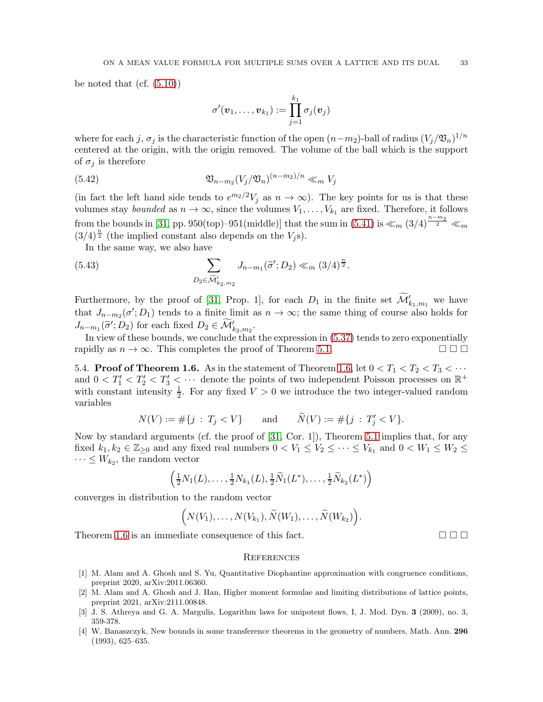be noted that  $(cf. (5.10))$  $(cf. (5.10))$  $(cf. (5.10))$ 

$$
\sigma'(\boldsymbol{v}_1,\ldots,\boldsymbol{v}_{k_1}) := \prod_{j=1}^{k_1} \sigma_j(\boldsymbol{v}_j)
$$

where for each j,  $\sigma_j$  is the characteristic function of the open  $(n-m_2)$ -ball of radius  $(V_j/\mathfrak{V}_n)^{1/n}$ centered at the origin, with the origin removed. The volume of the ball which is the support of  $\sigma_i$  is therefore

Vn−m<sup>2</sup> (Vj/Vn) (5.42) (n−m2)/n <sup>≪</sup><sup>m</sup> <sup>V</sup><sup>j</sup>

(in fact the left hand side tends to  $e^{m_2/2}V_j$  as  $n \to \infty$ ). The key points for us is that these volumes stay *bounded* as  $n \to \infty$ , since the volumes  $V_1, \ldots, V_{k_1}$  are fixed. Therefore, it follows from the bounds in [\[31,](#page-33-5) pp. 950(top)–951(middle)] that the sum in  $(5.41)$  is  $\ll_m (3/4)^{\frac{n-m_2}{2}}$  $\frac{2}{2} \ll m$  $(3/4)^{\frac{n}{2}}$  (the implied constant also depends on the  $V_j$ s).

In the same way, we also have

(5.43) 
$$
\sum_{D_2 \in \widetilde{\mathcal{M}}'_{k_2,m_2}} J_{n-m_1}(\widetilde{\sigma}'; D_2) \ll_m (3/4)^{\frac{n}{2}}.
$$

Furthermore, by the proof of [\[31,](#page-33-5) Prop. 1], for each  $D_1$  in the finite set  $\widetilde{\mathcal{M}}'_{k_1,m_1}$  we have that  $J_{n-m_2}(\sigma'; D_1)$  tends to a finite limit as  $n \to \infty$ ; the same thing of course also holds for  $J_{n-m_1}(\tilde{\sigma}', D_2)$  for each fixed  $D_2 \in \widetilde{\mathcal{M}}'_{k_2, m_2}$ .

In view of these bounds, we conclude that the expression in [\(5.37\)](#page-31-1) tends to zero exponentially rapidly as  $n \to \infty$ . This completes the proof of Theorem [5.1.](#page-21-1)

<span id="page-32-0"></span>5.4. **Proof of Theorem 1.6.** As in the statement of Theorem [1.6,](#page-4-2) let  $0 < T_1 < T_2 < T_3 < \cdots$ and  $0 < T'_1 < T'_2 < T'_3 < \cdots$  denote the points of two independent Poisson processes on  $\mathbb{R}^+$ with constant intensity  $\frac{1}{2}$ . For any fixed  $V > 0$  we introduce the two integer-valued random variables

$$
N(V) := #\{j : T_j < V\}
$$
 and  $\widetilde{N}(V) := #\{j : T'_j < V\}.$ 

Now by standard arguments (cf. the proof of [\[31,](#page-33-5) Cor. 1]), Theorem [5.1](#page-21-1) implies that, for any fixed  $k_1, k_2 \in \mathbb{Z}_{\geq 0}$  and any fixed real numbers  $0 < V_1 \leq V_2 \leq \cdots \leq V_{k_1}$  and  $0 < W_1 \leq W_2 \leq \cdots$  $\cdots \leq W_{k_2}$ , the random vector

$$
\left(\frac{1}{2}N_1(L),\ldots,\frac{1}{2}N_{k_1}(L),\frac{1}{2}\widetilde{N}_1(L^*),\ldots,\frac{1}{2}\widetilde{N}_{k_2}(L^*)\right)
$$

converges in distribution to the random vector

$$
(N(V_1),\ldots,N(V_{k_1}),\widetilde{N}(W_1),\ldots,\widetilde{N}(W_{k_2})\big).
$$

Theorem [1.6](#page-4-2) is an immediate consequence of this fact.  $\square \square$ 

#### <span id="page-32-1"></span>**REFERENCES**

- <span id="page-32-3"></span>[1] M. Alam and A. Ghosh and S. Yu, Quantitative Diophantine approximation with congruence conditions, preprint 2020, arXiv:2011.06360.
- <span id="page-32-4"></span>[2] M. Alam and A. Ghosh and J. Han, Higher moment formulae and limiting distributions of lattice points, preprint 2021, arXiv:2111.00848.
- <span id="page-32-2"></span>[3] J. S. Athreya and G. A. Margulis, Logarithm laws for unipotent flows, I, J. Mod. Dyn. 3 (2009), no. 3, 359-378.
- <span id="page-32-5"></span>[4] W. Banaszczyk, New bounds in some transference theorems in the geometry of numbers, Math. Ann. 296 (1993), 625–635.